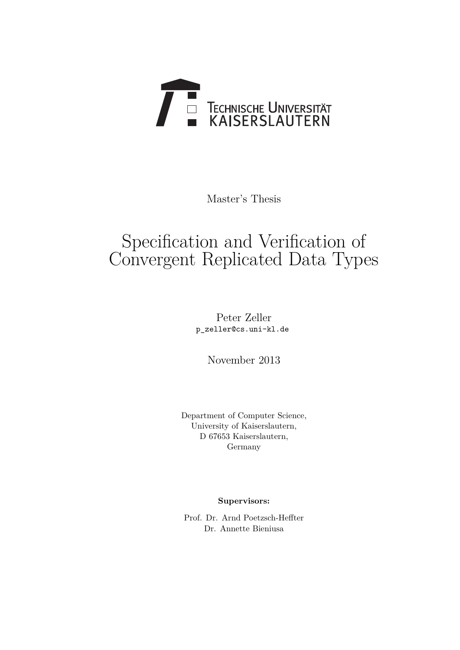

Master's Thesis

# Specification and Verification of Convergent Replicated Data Types

Peter Zeller p\_zeller@cs.uni-kl.de

November 2013

Department of Computer Science, University of Kaiserslautern, D 67653 Kaiserslautern, Germany

**Supervisors:**

Prof. Dr. Arnd Poetzsch-Heffter Dr. Annette Bieniusa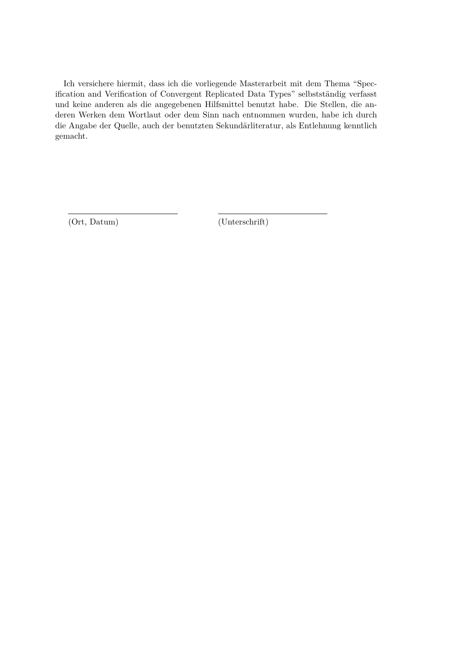Ich versichere hiermit, dass ich die vorliegende Masterarbeit mit dem Thema "Specification and Verification of Convergent Replicated Data Types" selbstständig verfasst und keine anderen als die angegebenen Hilfsmittel benutzt habe. Die Stellen, die anderen Werken dem Wortlaut oder dem Sinn nach entnommen wurden, habe ich durch die Angabe der Quelle, auch der benutzten Sekundärliteratur, als Entlehnung kenntlich gemacht.

(Ort, Datum) (Unterschrift)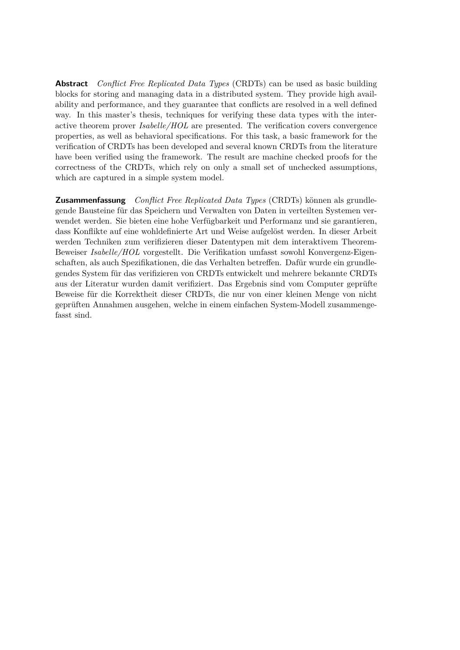**Abstract** *Conflict Free Replicated Data Types* (CRDTs) can be used as basic building blocks for storing and managing data in a distributed system. They provide high availability and performance, and they guarantee that conflicts are resolved in a well defined way. In this master's thesis, techniques for verifying these data types with the interactive theorem prover *Isabelle/HOL* are presented. The verification covers convergence properties, as well as behavioral specifications. For this task, a basic framework for the verification of CRDTs has been developed and several known CRDTs from the literature have been verified using the framework. The result are machine checked proofs for the correctness of the CRDTs, which rely on only a small set of unchecked assumptions, which are captured in a simple system model.

**Zusammenfassung** *Conflict Free Replicated Data Types* (CRDTs) können als grundlegende Bausteine für das Speichern und Verwalten von Daten in verteilten Systemen verwendet werden. Sie bieten eine hohe Verfügbarkeit und Performanz und sie garantieren, dass Konflikte auf eine wohldefinierte Art und Weise aufgelöst werden. In dieser Arbeit werden Techniken zum verifizieren dieser Datentypen mit dem interaktivem Theorem-Beweiser *Isabelle/HOL* vorgestellt. Die Verifikation umfasst sowohl Konvergenz-Eigenschaften, als auch Spezifikationen, die das Verhalten betreffen. Dafür wurde ein grundlegendes System für das verifizieren von CRDTs entwickelt und mehrere bekannte CRDTs aus der Literatur wurden damit verifiziert. Das Ergebnis sind vom Computer geprüfte Beweise für die Korrektheit dieser CRDTs, die nur von einer kleinen Menge von nicht geprüften Annahmen ausgehen, welche in einem einfachen System-Modell zusammengefasst sind.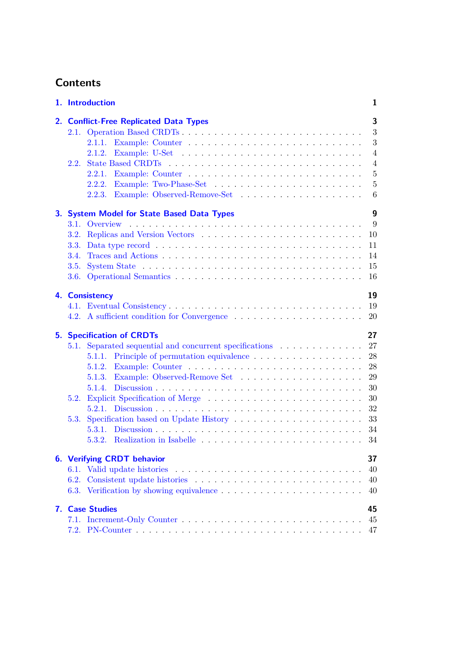# **Contents**

|    | 1. Introduction                                                                                                                                                                                                                                 | 1                                                                                        |
|----|-------------------------------------------------------------------------------------------------------------------------------------------------------------------------------------------------------------------------------------------------|------------------------------------------------------------------------------------------|
| 2. | <b>Conflict-Free Replicated Data Types</b><br>2.1.<br>2.1.2.<br>2.2.<br>2.2.1.<br>2.2.2.<br>2.2.3.                                                                                                                                              | 3<br>3<br>3<br>$\overline{4}$<br>$\overline{4}$<br>$\overline{5}$<br>$\overline{5}$<br>6 |
| 3. | <b>System Model for State Based Data Types</b><br>Overview<br>3.1.<br>3.2.<br>3.3.<br>3.4.<br>3.5.<br>3.6.                                                                                                                                      | $\boldsymbol{9}$<br>9<br>10<br>11<br>14<br>15<br>16                                      |
|    | 4. Consistency                                                                                                                                                                                                                                  | 19<br>19<br>20                                                                           |
| 5. | <b>Specification of CRDTs</b><br>Separated sequential and concurrent specifications<br>5.1.<br>5.1.2.<br>5.1.3.<br>5.1.4.<br>5.2.<br>5.3.<br>5.3.1.<br>5.3.2. Realization in Isabelle $\ldots \ldots \ldots \ldots \ldots \ldots \ldots \ldots$ | 27<br>27<br>28<br>28<br>29<br>30<br>30<br>32<br>33<br>34<br>34                           |
|    | <b>6. Verifying CRDT behavior</b><br>6.1. Valid update histories<br>6.2.                                                                                                                                                                        | 37<br>40<br>40<br>40                                                                     |
|    | 7. Case Studies                                                                                                                                                                                                                                 | 45<br>45<br>47                                                                           |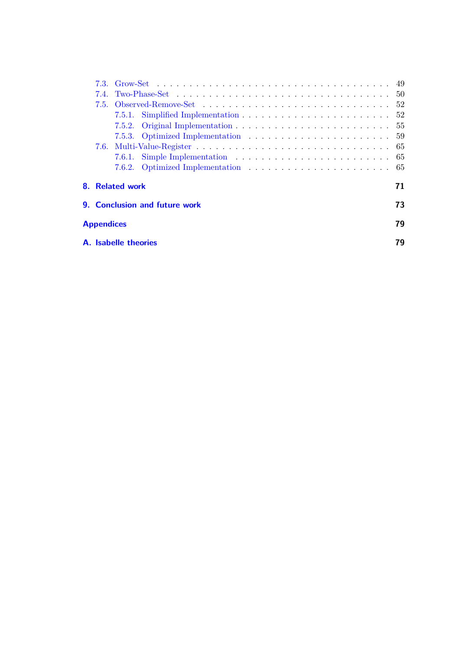|                             | 8. Related work |                               |  | 71 |  |
|-----------------------------|-----------------|-------------------------------|--|----|--|
|                             |                 | 9. Conclusion and future work |  | 73 |  |
| <b>Appendices</b>           |                 |                               |  | 79 |  |
| <b>A.</b> Isabelle theories |                 |                               |  |    |  |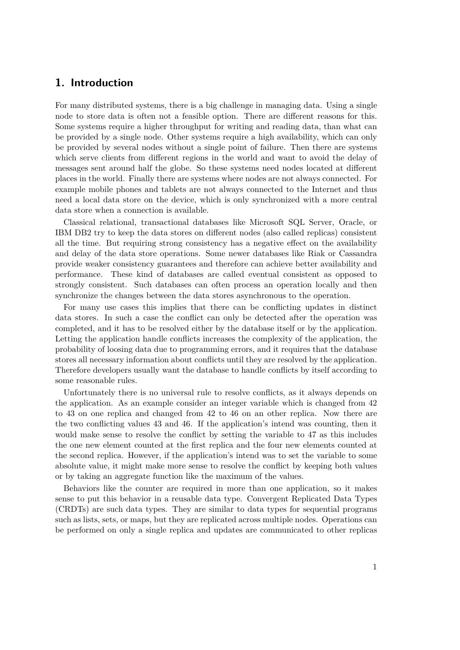# <span id="page-8-0"></span>**1. Introduction**

For many distributed systems, there is a big challenge in managing data. Using a single node to store data is often not a feasible option. There are different reasons for this. Some systems require a higher throughput for writing and reading data, than what can be provided by a single node. Other systems require a high availability, which can only be provided by several nodes without a single point of failure. Then there are systems which serve clients from different regions in the world and want to avoid the delay of messages sent around half the globe. So these systems need nodes located at different places in the world. Finally there are systems where nodes are not always connected. For example mobile phones and tablets are not always connected to the Internet and thus need a local data store on the device, which is only synchronized with a more central data store when a connection is available.

Classical relational, transactional databases like Microsoft SQL Server, Oracle, or IBM DB2 try to keep the data stores on different nodes (also called replicas) consistent all the time. But requiring strong consistency has a negative effect on the availability and delay of the data store operations. Some newer databases like Riak or Cassandra provide weaker consistency guarantees and therefore can achieve better availability and performance. These kind of databases are called eventual consistent as opposed to strongly consistent. Such databases can often process an operation locally and then synchronize the changes between the data stores asynchronous to the operation.

For many use cases this implies that there can be conflicting updates in distinct data stores. In such a case the conflict can only be detected after the operation was completed, and it has to be resolved either by the database itself or by the application. Letting the application handle conflicts increases the complexity of the application, the probability of loosing data due to programming errors, and it requires that the database stores all necessary information about conflicts until they are resolved by the application. Therefore developers usually want the database to handle conflicts by itself according to some reasonable rules.

Unfortunately there is no universal rule to resolve conflicts, as it always depends on the application. As an example consider an integer variable which is changed from 42 to 43 on one replica and changed from 42 to 46 on an other replica. Now there are the two conflicting values 43 and 46. If the application's intend was counting, then it would make sense to resolve the conflict by setting the variable to 47 as this includes the one new element counted at the first replica and the four new elements counted at the second replica. However, if the application's intend was to set the variable to some absolute value, it might make more sense to resolve the conflict by keeping both values or by taking an aggregate function like the maximum of the values.

Behaviors like the counter are required in more than one application, so it makes sense to put this behavior in a reusable data type. Convergent Replicated Data Types (CRDTs) are such data types. They are similar to data types for sequential programs such as lists, sets, or maps, but they are replicated across multiple nodes. Operations can be performed on only a single replica and updates are communicated to other replicas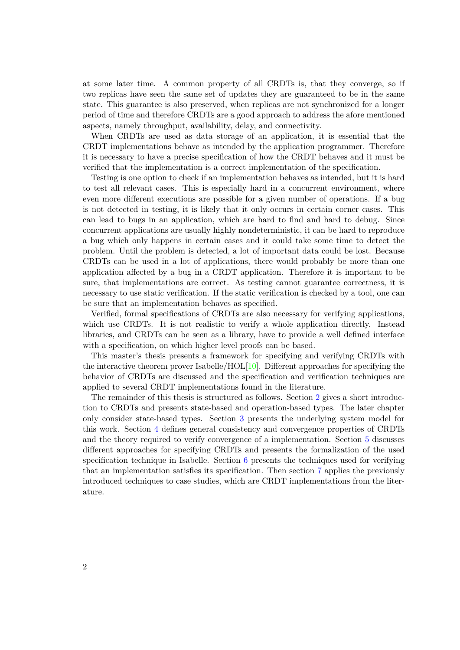at some later time. A common property of all CRDTs is, that they converge, so if two replicas have seen the same set of updates they are guaranteed to be in the same state. This guarantee is also preserved, when replicas are not synchronized for a longer period of time and therefore CRDTs are a good approach to address the afore mentioned aspects, namely throughput, availability, delay, and connectivity.

When CRDTs are used as data storage of an application, it is essential that the CRDT implementations behave as intended by the application programmer. Therefore it is necessary to have a precise specification of how the CRDT behaves and it must be verified that the implementation is a correct implementation of the specification.

Testing is one option to check if an implementation behaves as intended, but it is hard to test all relevant cases. This is especially hard in a concurrent environment, where even more different executions are possible for a given number of operations. If a bug is not detected in testing, it is likely that it only occurs in certain corner cases. This can lead to bugs in an application, which are hard to find and hard to debug. Since concurrent applications are usually highly nondeterministic, it can be hard to reproduce a bug which only happens in certain cases and it could take some time to detect the problem. Until the problem is detected, a lot of important data could be lost. Because CRDTs can be used in a lot of applications, there would probably be more than one application affected by a bug in a CRDT application. Therefore it is important to be sure, that implementations are correct. As testing cannot guarantee correctness, it is necessary to use static verification. If the static verification is checked by a tool, one can be sure that an implementation behaves as specified.

Verified, formal specifications of CRDTs are also necessary for verifying applications, which use CRDTs. It is not realistic to verify a whole application directly. Instead libraries, and CRDTs can be seen as a library, have to provide a well defined interface with a specification, on which higher level proofs can be based.

This master's thesis presents a framework for specifying and verifying CRDTs with the interactive theorem prover Isabelle/HOL $[10]$ . Different approaches for specifying the behavior of CRDTs are discussed and the specification and verification techniques are applied to several CRDT implementations found in the literature.

The remainder of this thesis is structured as follows. Section [2](#page-10-0) gives a short introduction to CRDTs and presents state-based and operation-based types. The later chapter only consider state-based types. Section [3](#page-16-0) presents the underlying system model for this work. Section [4](#page-26-0) defines general consistency and convergence properties of CRDTs and the theory required to verify convergence of a implementation. Section [5](#page-34-0) discusses different approaches for specifying CRDTs and presents the formalization of the used specification technique in Isabelle. Section [6](#page-44-0) presents the techniques used for verifying that an implementation satisfies its specification. Then section [7](#page-52-0) applies the previously introduced techniques to case studies, which are CRDT implementations from the literature.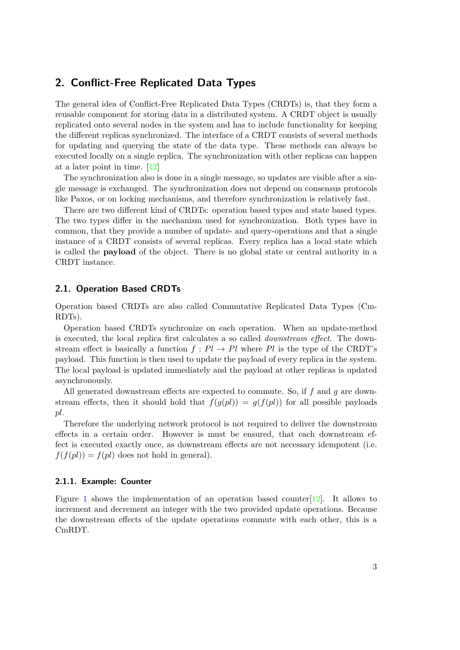# <span id="page-10-0"></span>**2. Conflict-Free Replicated Data Types**

The general idea of Conflict-Free Replicated Data Types (CRDTs) is, that they form a reusable component for storing data in a distributed system. A CRDT object is usually replicated onto several nodes in the system and has to include functionality for keeping the different replicas synchronized. The interface of a CRDT consists of several methods for updating and querying the state of the data type. These methods can always be executed locally on a single replica. The synchronization with other replicas can happen at a later point in time. [\[12\]](#page-84-1)

The synchronization also is done in a single message, so updates are visible after a single message is exchanged. The synchronization does not depend on consensus protocols like Paxos, or on locking mechanisms, and therefore synchronization is relatively fast.

There are two different kind of CRDTs: operation based types and state based types. The two types differ in the mechanism used for synchronization. Both types have in common, that they provide a number of update- and query-operations and that a single instance of a CRDT consists of several replicas. Every replica has a local state which is called the **payload** of the object. There is no global state or central authority in a CRDT instance.

#### <span id="page-10-1"></span>**2.1. Operation Based CRDTs**

Operation based CRDTs are also called Commutative Replicated Data Types (Cm-RDTs).

Operation based CRDTs synchronize on each operation. When an update-method is executed, the local replica first calculates a so called *downstream effect*. The downstream effect is basically a function  $f : Pl \to Pl$  where Pl is the type of the CRDT's payload. This function is then used to update the payload of every replica in the system. The local payload is updated immediately and the payload at other replicas is updated asynchronously.

All generated downstream effects are expected to commute. So, if *f* and *g* are downstream effects, then it should hold that  $f(g(pt)) = g(f(pt))$  for all possible payloads *pl*.

Therefore the underlying network protocol is not required to deliver the downstream effects in a certain order. However is must be ensured, that each downstream effect is executed exactly once, as downstream effects are not necessary idempotent (i.e.  $f(f(pl)) = f(pl)$  does not hold in general).

#### <span id="page-10-2"></span>**2.1.1. Example: Counter**

Figure [1](#page-11-2) shows the implementation of an operation based counter[\[12\]](#page-84-1). It allows to increment and decrement an integer with the two provided update operations. Because the downstream effects of the update operations commute with each other, this is a CmRDT.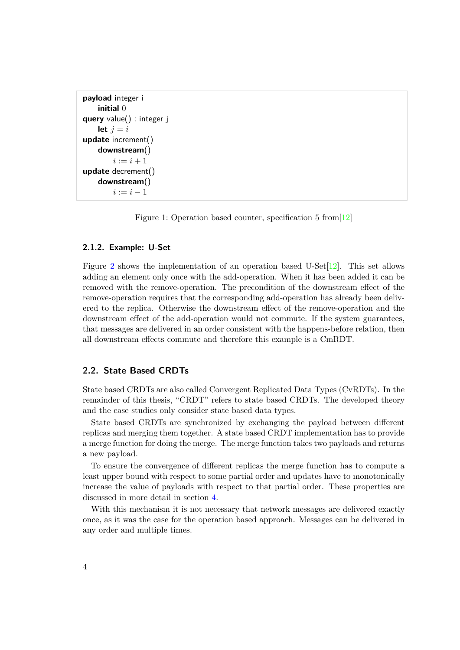```
payload integer i
    initial 0
query value() : integer j
    let j = iupdate increment()
    downstream()
        i := i + 1update decrement()
    downstream()
        i := i - 1
```
Figure 1: Operation based counter, specification 5 from[\[12\]](#page-84-1)

#### <span id="page-11-0"></span>**2.1.2. Example: U-Set**

Figure [2](#page-12-2) shows the implementation of an operation based U-Set $[12]$ . This set allows adding an element only once with the add-operation. When it has been added it can be removed with the remove-operation. The precondition of the downstream effect of the remove-operation requires that the corresponding add-operation has already been delivered to the replica. Otherwise the downstream effect of the remove-operation and the downstream effect of the add-operation would not commute. If the system guarantees, that messages are delivered in an order consistent with the happens-before relation, then all downstream effects commute and therefore this example is a CmRDT.

#### <span id="page-11-1"></span>**2.2. State Based CRDTs**

State based CRDTs are also called Convergent Replicated Data Types (CvRDTs). In the remainder of this thesis, "CRDT" refers to state based CRDTs. The developed theory and the case studies only consider state based data types.

State based CRDTs are synchronized by exchanging the payload between different replicas and merging them together. A state based CRDT implementation has to provide a merge function for doing the merge. The merge function takes two payloads and returns a new payload.

To ensure the convergence of different replicas the merge function has to compute a least upper bound with respect to some partial order and updates have to monotonically increase the value of payloads with respect to that partial order. These properties are discussed in more detail in section [4.](#page-26-0)

With this mechanism it is not necessary that network messages are delivered exactly once, as it was the case for the operation based approach. Messages can be delivered in any order and multiple times.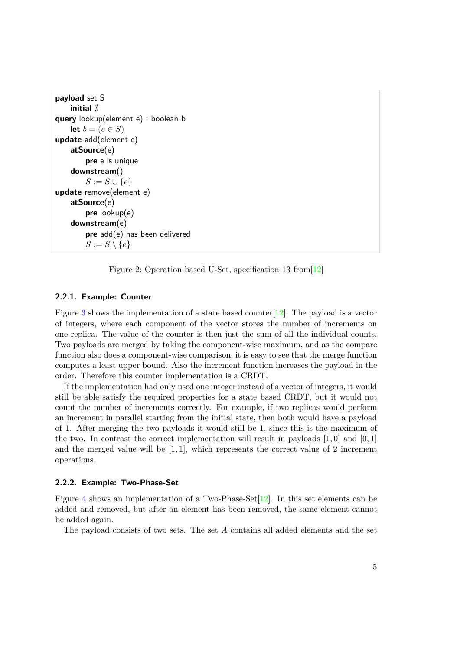```
payload set S
    initial ∅
query lookup(element e) : boolean b
    let b = (e \in S)update add(element e)
    atSource(e)
        pre e is unique
    downstream()
        S := S \cup \{e\}update remove(element e)
    atSource(e)
        pre lookup(e)
    downstream(e)
        pre add(e) has been delivered
        S := S \setminus \{e\}
```
Figure 2: Operation based U-Set, specification 13 from[\[12\]](#page-84-1)

#### <span id="page-12-0"></span>**2.2.1. Example: Counter**

Figure [3](#page-13-1) shows the implementation of a state based counter  $[12]$ . The payload is a vector of integers, where each component of the vector stores the number of increments on one replica. The value of the counter is then just the sum of all the individual counts. Two payloads are merged by taking the component-wise maximum, and as the compare function also does a component-wise comparison, it is easy to see that the merge function computes a least upper bound. Also the increment function increases the payload in the order. Therefore this counter implementation is a CRDT.

If the implementation had only used one integer instead of a vector of integers, it would still be able satisfy the required properties for a state based CRDT, but it would not count the number of increments correctly. For example, if two replicas would perform an increment in parallel starting from the initial state, then both would have a payload of 1. After merging the two payloads it would still be 1, since this is the maximum of the two. In contrast the correct implementation will result in payloads [1*,* 0] and [0*,* 1] and the merged value will be [1*,* 1], which represents the correct value of 2 increment operations.

#### <span id="page-12-1"></span>**2.2.2. Example: Two-Phase-Set**

Figure [4](#page-14-0) shows an implementation of a Two-Phase-Set[\[12\]](#page-84-1). In this set elements can be added and removed, but after an element has been removed, the same element cannot be added again.

The payload consists of two sets. The set *A* contains all added elements and the set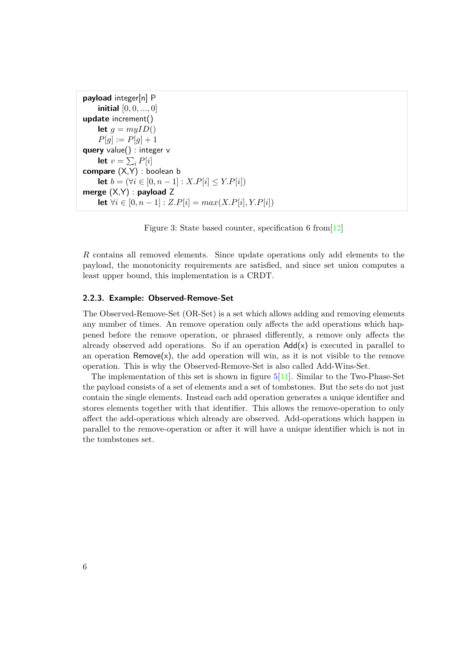```
payload integer[n] P
    initial [0, 0, ..., 0]
update increment()
    let q = myID()P[q] := P[q] + 1query value() : integer v
    let v = \sum_i P[i]compare (X,Y) : boolean b
    let b = (∀i ∈ [0, n − 1] : X.P[i] < Y.P[i])
merge (X,Y) : payload Z
    let ∀i ∈ [0, n − 1] : Z.P[i] = max(X.P[i], Y.P[i])
```
Figure 3: State based counter, specification 6 from[\[12\]](#page-84-1)

*R* contains all removed elements. Since update operations only add elements to the payload, the monotonicity requirements are satisfied, and since set union computes a least upper bound, this implementation is a CRDT.

#### <span id="page-13-0"></span>**2.2.3. Example: Observed-Remove-Set**

The Observed-Remove-Set (OR-Set) is a set which allows adding and removing elements any number of times. An remove operation only affects the add operations which happened before the remove operation, or phrased differently, a remove only affects the already observed add operations. So if an operation  $Add(x)$  is executed in parallel to an operation  $Remove(x)$ , the add operation will win, as it is not visible to the remove operation. This is why the Observed-Remove-Set is also called Add-Wins-Set.

The implementation of this set is shown in figure  $5[11]$  $5[11]$ . Similar to the Two-Phase-Set the payload consists of a set of elements and a set of tombstones. But the sets do not just contain the single elements. Instead each add operation generates a unique identifier and stores elements together with that identifier. This allows the remove-operation to only affect the add-operations which already are observed. Add-operations which happen in parallel to the remove-operation or after it will have a unique identifier which is not in the tombstones set.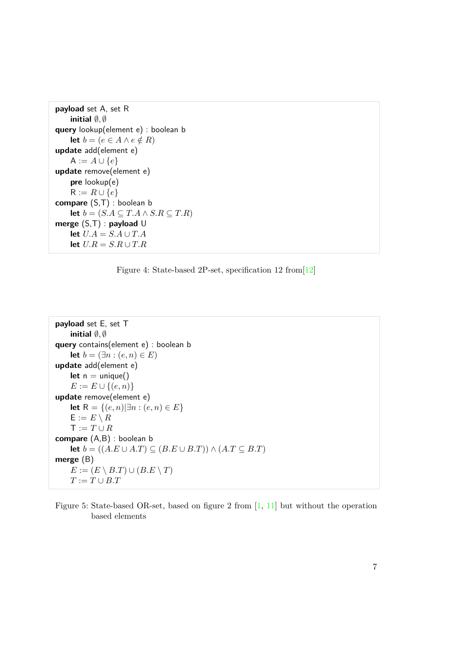```
payload set A, set R
    initial ∅, ∅
query lookup(element e) : boolean b
    let b = (e ∈ A ∧ e ∉ R)
update add(element e)
    A := A ∪ {e}update remove(element e)
    pre lookup(e)
    R := R \cup \{e\}compare (S,T) : boolean b
    let b = (S.A ⊆ T.A ∧ S.R ⊆ T.R)
merge (S,T) : payload U
    let U.A = S.A \cup T.Alet U.R = S.R ∪ T.R
```


```
payload set E, set T
    initial ∅, ∅
query contains(element e) : boolean b
    let b = (\exists n : (e, n) \in E)update add(element e)
    let n = unique()
    E := E \cup \{(e, n)\}\update remove(element e)
    let R = {(e, n) ∃n : (e, n) ∈ E}
    E := E \setminus RT := T \cup Rcompare (A,B) : boolean b
    let b = ((A.E ∪ A.T) ⊆ (B.E ∪ B.T)) ∧ (A.T ⊆ B.T)merge (B)
    E := (E \setminus B.T) \cup (B.E \setminus T)T := T \cup B.T
```
Figure 5: State-based OR-set, based on figure 2 from [\[1,](#page-84-3) [11\]](#page-84-2) but without the operation based elements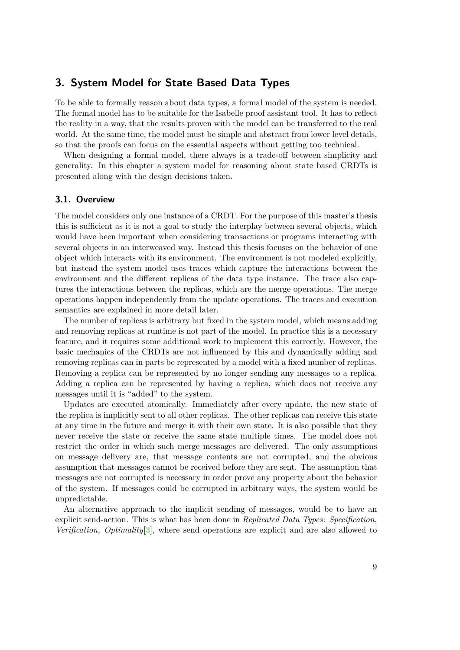## <span id="page-16-0"></span>**3. System Model for State Based Data Types**

To be able to formally reason about data types, a formal model of the system is needed. The formal model has to be suitable for the Isabelle proof assistant tool. It has to reflect the reality in a way, that the results proven with the model can be transferred to the real world. At the same time, the model must be simple and abstract from lower level details, so that the proofs can focus on the essential aspects without getting too technical.

When designing a formal model, there always is a trade-off between simplicity and generality. In this chapter a system model for reasoning about state based CRDTs is presented along with the design decisions taken.

#### <span id="page-16-1"></span>**3.1. Overview**

The model considers only one instance of a CRDT. For the purpose of this master's thesis this is sufficient as it is not a goal to study the interplay between several objects, which would have been important when considering transactions or programs interacting with several objects in an interweaved way. Instead this thesis focuses on the behavior of one object which interacts with its environment. The environment is not modeled explicitly, but instead the system model uses traces which capture the interactions between the environment and the different replicas of the data type instance. The trace also captures the interactions between the replicas, which are the merge operations. The merge operations happen independently from the update operations. The traces and execution semantics are explained in more detail later.

The number of replicas is arbitrary but fixed in the system model, which means adding and removing replicas at runtime is not part of the model. In practice this is a necessary feature, and it requires some additional work to implement this correctly. However, the basic mechanics of the CRDTs are not influenced by this and dynamically adding and removing replicas can in parts be represented by a model with a fixed number of replicas. Removing a replica can be represented by no longer sending any messages to a replica. Adding a replica can be represented by having a replica, which does not receive any messages until it is "added" to the system.

Updates are executed atomically. Immediately after every update, the new state of the replica is implicitly sent to all other replicas. The other replicas can receive this state at any time in the future and merge it with their own state. It is also possible that they never receive the state or receive the same state multiple times. The model does not restrict the order in which such merge messages are delivered. The only assumptions on message delivery are, that message contents are not corrupted, and the obvious assumption that messages cannot be received before they are sent. The assumption that messages are not corrupted is necessary in order prove any property about the behavior of the system. If messages could be corrupted in arbitrary ways, the system would be unpredictable.

An alternative approach to the implicit sending of messages, would be to have an explicit send-action. This is what has been done in *Replicated Data Types: Specification, Verification, Optimality*[\[3\]](#page-84-4), where send operations are explicit and are also allowed to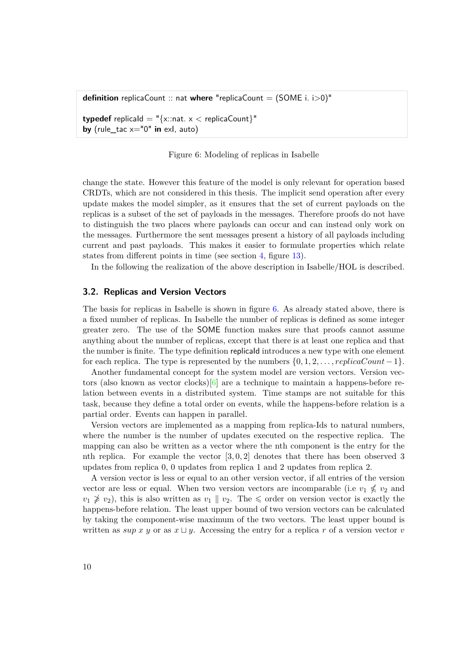<span id="page-17-1"></span>**definition** replicaCount :: nat **where** "replicaCount = (SOME i. i>0)"

**typedef** replicald = " $\{x:\text{nat. } x < \text{replicaCount}\}$ " **by** (rule\_tac x="0" **in** exI, auto)

Figure 6: Modeling of replicas in Isabelle

change the state. However this feature of the model is only relevant for operation based CRDTs, which are not considered in this thesis. The implicit send operation after every update makes the model simpler, as it ensures that the set of current payloads on the replicas is a subset of the set of payloads in the messages. Therefore proofs do not have to distinguish the two places where payloads can occur and can instead only work on the messages. Furthermore the sent messages present a history of all payloads including current and past payloads. This makes it easier to formulate properties which relate states from different points in time (see section [4,](#page-26-0) figure [13\)](#page-27-1).

In the following the realization of the above description in Isabelle/HOL is described.

#### <span id="page-17-0"></span>**3.2. Replicas and Version Vectors**

The basis for replicas in Isabelle is shown in figure [6.](#page-17-1) As already stated above, there is a fixed number of replicas. In Isabelle the number of replicas is defined as some integer greater zero. The use of the SOME function makes sure that proofs cannot assume anything about the number of replicas, except that there is at least one replica and that the number is finite. The type definition replicaId introduces a new type with one element for each replica. The type is represented by the numbers  $\{0, 1, 2, \ldots, replicaCount -1\}$ .

Another fundamental concept for the system model are version vectors. Version vectors (also known as vector clocks) $[6]$  are a technique to maintain a happens-before relation between events in a distributed system. Time stamps are not suitable for this task, because they define a total order on events, while the happens-before relation is a partial order. Events can happen in parallel.

Version vectors are implemented as a mapping from replica-Ids to natural numbers, where the number is the number of updates executed on the respective replica. The mapping can also be written as a vector where the nth component is the entry for the nth replica. For example the vector [3*,* 0*,* 2] denotes that there has been observed 3 updates from replica 0, 0 updates from replica 1 and 2 updates from replica 2.

A version vector is less or equal to an other version vector, if all entries of the version vector are less or equal. When two version vectors are incomparable (i.e  $v_1 \nleq v_2$  and  $v_1 \not\geq v_2$ , this is also written as  $v_1 \parallel v_2$ . The  $\leq$  order on version vector is exactly the happens-before relation. The least upper bound of two version vectors can be calculated by taking the component-wise maximum of the two vectors. The least upper bound is written as  $\sup x y$  or as  $x \sqcup y$ . Accessing the entry for a replica r of a version vector v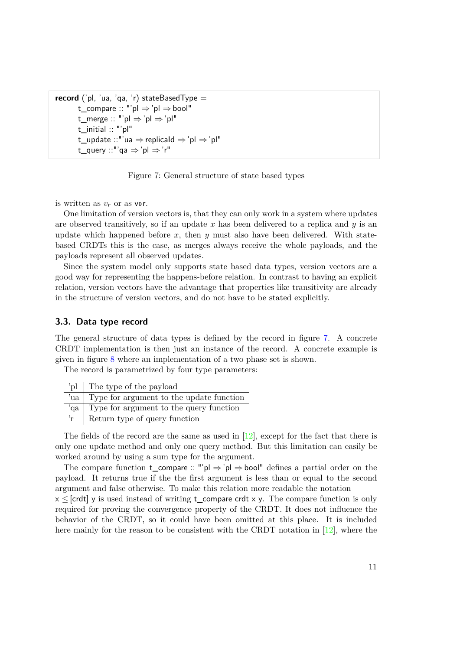```
record ('pl, 'ua, 'qa, 'r) stateBasedType =t_compare :: "'pl ⇒ 'pl ⇒bool"
       t_merge :: "'pl ⇒'pl ⇒ 'pl"
       t_initial :: "'pl"
       t_update ::"'ua ⇒ replicaId ⇒'pl ⇒ 'pl"
       t_query ::"'qa \Rightarrow'pl \Rightarrow'r"
```
Figure 7: General structure of state based types

is written as  $v_r$  or as v»r.

One limitation of version vectors is, that they can only work in a system where updates are observed transitively, so if an update x has been delivered to a replica and  $y$  is an update which happened before  $x$ , then  $y$  must also have been delivered. With statebased CRDTs this is the case, as merges always receive the whole payloads, and the payloads represent all observed updates.

Since the system model only supports state based data types, version vectors are a good way for representing the happens-before relation. In contrast to having an explicit relation, version vectors have the advantage that properties like transitivity are already in the structure of version vectors, and do not have to be stated explicitly.

#### <span id="page-18-0"></span>**3.3. Data type record**

The general structure of data types is defined by the record in figure [7.](#page-18-1) A concrete CRDT implementation is then just an instance of the record. A concrete example is given in figure [8](#page-19-0) where an implementation of a two phase set is shown.

The record is parametrized by four type parameters:

| 'pl The type of the payload                  |
|----------------------------------------------|
| 'ua Type for argument to the update function |
| 'qa Type for argument to the query function  |
| Return type of query function                |

The fields of the record are the same as used in  $[12]$ , except for the fact that there is only one update method and only one query method. But this limitation can easily be worked around by using a sum type for the argument.

The compare function **t\_compare** :: "'pl  $\Rightarrow$  'pl  $\Rightarrow$  bool" defines a partial order on the payload. It returns true if the the first argument is less than or equal to the second argument and false otherwise. To make this relation more readable the notation

 $x \leq$  [crdt] y is used instead of writing t\_compare crdt x y. The compare function is only required for proving the convergence property of the CRDT. It does not influence the behavior of the CRDT, so it could have been omitted at this place. It is included here mainly for the reason to be consistent with the CRDT notation in [\[12\]](#page-84-1), where the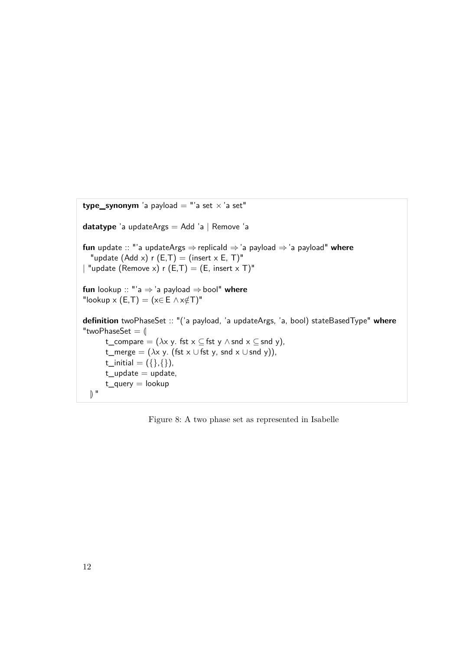```
type_synonym 'a payload = "'a set \times 'a set"
datatype 'a updateArgs = Add 'a | Remove 'a
fun update :: "'a updateArgs ⇒replicaId ⇒'a payload ⇒'a payload" where
  "update (Add x) r (E,T) = (insert x E, T)"
| "update (Remove x) r (E,T) = (E, insert x T)"
fun lookup :: "'a ⇒'a payload ⇒bool" where
"lookup x (E,T) = (x \in E \land x \notin T)^"definition twoPhaseSet :: "('a payload, 'a updateArgs, 'a, bool) stateBasedType" where
"twoPhaseSet = \parallelt_compare = (\lambda x \vee y). fst x \subseteq fst y \wedge snd x \subseteq snd y),
       t_merge = (\lambda x y. (fst x \cup fst y, snd x \cup snd y)),
       t_initial = ({},{{}}, {}),
       t_update = update,
       t_query = lookup
  \mathbb{R}^{\mathbb{N}}
```
Figure 8: A two phase set as represented in Isabelle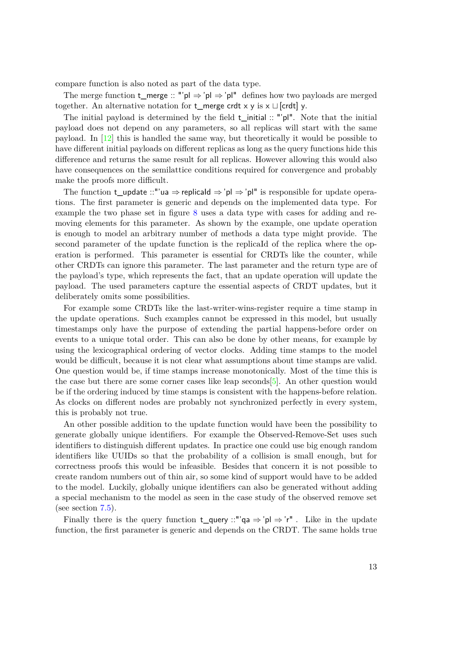compare function is also noted as part of the data type.

The merge function **t\_merge** :: "'pl  $\Rightarrow$  'pl  $\Rightarrow$  'pl" defines how two payloads are merged together. An alternative notation for **t\_merge crdt** x y is  $x \sqcup$  [crdt] y.

The initial payload is determined by the field t\_initial :: "'pl". Note that the initial payload does not depend on any parameters, so all replicas will start with the same payload. In [\[12\]](#page-84-1) this is handled the same way, but theoretically it would be possible to have different initial payloads on different replicas as long as the query functions hide this difference and returns the same result for all replicas. However allowing this would also have consequences on the semilattice conditions required for convergence and probably make the proofs more difficult.

The function **t\_update** ::"'ua  $\Rightarrow$  replicald  $\Rightarrow$ 'pl  $\Rightarrow$ 'pl" is responsible for update operations. The first parameter is generic and depends on the implemented data type. For example the two phase set in figure [8](#page-19-0) uses a data type with cases for adding and removing elements for this parameter. As shown by the example, one update operation is enough to model an arbitrary number of methods a data type might provide. The second parameter of the update function is the replicaId of the replica where the operation is performed. This parameter is essential for CRDTs like the counter, while other CRDTs can ignore this parameter. The last parameter and the return type are of the payload's type, which represents the fact, that an update operation will update the payload. The used parameters capture the essential aspects of CRDT updates, but it deliberately omits some possibilities.

For example some CRDTs like the last-writer-wins-register require a time stamp in the update operations. Such examples cannot be expressed in this model, but usually timestamps only have the purpose of extending the partial happens-before order on events to a unique total order. This can also be done by other means, for example by using the lexicographical ordering of vector clocks. Adding time stamps to the model would be difficult, because it is not clear what assumptions about time stamps are valid. One question would be, if time stamps increase monotonically. Most of the time this is the case but there are some corner cases like leap seconds[\[5\]](#page-84-6). An other question would be if the ordering induced by time stamps is consistent with the happens-before relation. As clocks on different nodes are probably not synchronized perfectly in every system, this is probably not true.

An other possible addition to the update function would have been the possibility to generate globally unique identifiers. For example the Observed-Remove-Set uses such identifiers to distinguish different updates. In practice one could use big enough random identifiers like UUIDs so that the probability of a collision is small enough, but for correctness proofs this would be infeasible. Besides that concern it is not possible to create random numbers out of thin air, so some kind of support would have to be added to the model. Luckily, globally unique identifiers can also be generated without adding a special mechanism to the model as seen in the case study of the observed remove set (see section [7.5\)](#page-59-0).

Finally there is the query function **t\_query** ::"' $qa \Rightarrow 'pl \Rightarrow 'r''$ . Like in the update function, the first parameter is generic and depends on the CRDT. The same holds true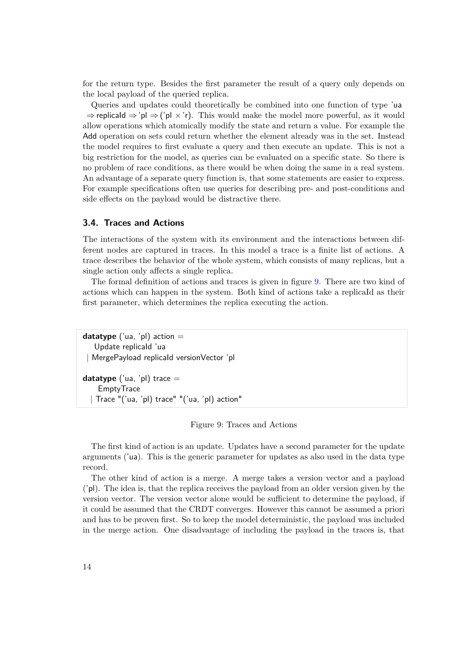for the return type. Besides the first parameter the result of a query only depends on the local payload of the queried replica.

Queries and updates could theoretically be combined into one function of type 'ua  $\Rightarrow$  replicald  $\Rightarrow$  'pl  $\Rightarrow$  ('pl  $\times$  'r). This would make the model more powerful, as it would allow operations which atomically modify the state and return a value. For example the Add operation on sets could return whether the element already was in the set. Instead the model requires to first evaluate a query and then execute an update. This is not a big restriction for the model, as queries can be evaluated on a specific state. So there is no problem of race conditions, as there would be when doing the same in a real system. An advantage of a separate query function is, that some statements are easier to express. For example specifications often use queries for describing pre- and post-conditions and side effects on the payload would be distractive there.

#### <span id="page-21-0"></span>**3.4. Traces and Actions**

The interactions of the system with its environment and the interactions between different nodes are captured in traces. In this model a trace is a finite list of actions. A trace describes the behavior of the whole system, which consists of many replicas, but a single action only affects a single replica.

The formal definition of actions and traces is given in figure [9.](#page-21-1) There are two kind of actions which can happen in the system. Both kind of actions take a replicaId as their first parameter, which determines the replica executing the action.

<span id="page-21-1"></span>**datatype** ('ua, 'pl) action  $=$ Update replicaId 'ua | MergePayload replicaId versionVector 'pl

**datatype** ('ua, 'pl) trace  $=$ **EmptyTrace** | Trace "('ua, 'pl) trace" "('ua, 'pl) action"

Figure 9: Traces and Actions

The first kind of action is an update. Updates have a second parameter for the update arguments ('ua). This is the generic parameter for updates as also used in the data type record.

The other kind of action is a merge. A merge takes a version vector and a payload ('pl). The idea is, that the replica receives the payload from an older version given by the version vector. The version vector alone would be sufficient to determine the payload, if it could be assumed that the CRDT converges. However this cannot be assumed a priori and has to be proven first. So to keep the model deterministic, the payload was included in the merge action. One disadvantage of including the payload in the traces is, that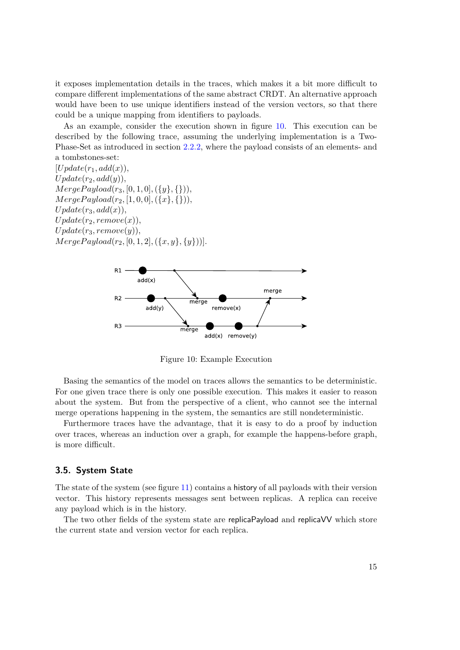it exposes implementation details in the traces, which makes it a bit more difficult to compare different implementations of the same abstract CRDT. An alternative approach would have been to use unique identifiers instead of the version vectors, so that there could be a unique mapping from identifiers to payloads.

As an example, consider the execution shown in figure [10.](#page-22-1) This execution can be described by the following trace, assuming the underlying implementation is a Two-Phase-Set as introduced in section [2.2.2,](#page-12-1) where the payload consists of an elements- and a tombstones-set:

 $[Update(r_1, add(x)),$  $Update(r_2, add(y)),$  $Merge Payload(r_3, [0, 1, 0], (\{y\}, \{\}))$  $MergePayload(r_2, [1, 0, 0], (\{x\}, \{\})),$  $Update(r_3, add(x)),$  $Update(r_2, remove(x)),$  $Update(r_3, remove(y)),$  $Merge Payload(r_2, [0, 1, 2], (\{x, y\}, \{y\})).$ 

<span id="page-22-1"></span>

Figure 10: Example Execution

Basing the semantics of the model on traces allows the semantics to be deterministic. For one given trace there is only one possible execution. This makes it easier to reason about the system. But from the perspective of a client, who cannot see the internal merge operations happening in the system, the semantics are still nondeterministic.

Furthermore traces have the advantage, that it is easy to do a proof by induction over traces, whereas an induction over a graph, for example the happens-before graph, is more difficult.

### <span id="page-22-0"></span>**3.5. System State**

The state of the system (see figure [11\)](#page-23-1) contains a history of all payloads with their version vector. This history represents messages sent between replicas. A replica can receive any payload which is in the history.

The two other fields of the system state are replicaPayload and replicaVV which store the current state and version vector for each replica.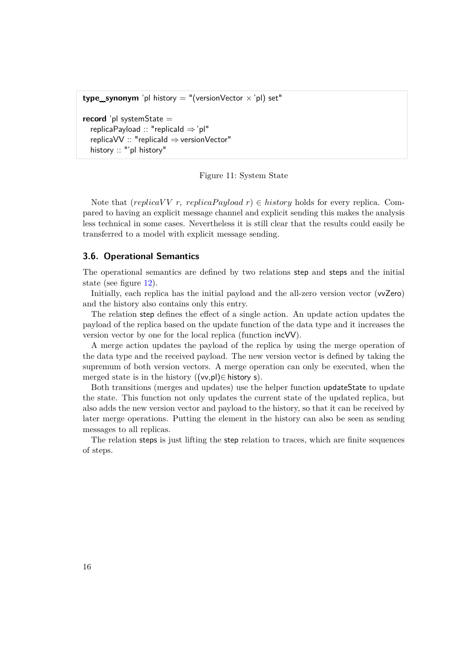```
type_synonym 'pl history = "(versionVector \times 'pl) set"
record 'pl systemState =
  replicaPayload :: "replicaId ⇒'pl"
  replicaVV :: "replicaId ⇒versionVector"
  history :: "'pl history"
```
Figure 11: System State

Note that (*replicaVV r, replicaPayload r*)  $\in$  *history* holds for every replica. Compared to having an explicit message channel and explicit sending this makes the analysis less technical in some cases. Nevertheless it is still clear that the results could easily be transferred to a model with explicit message sending.

#### <span id="page-23-0"></span>**3.6. Operational Semantics**

The operational semantics are defined by two relations step and steps and the initial state (see figure [12\)](#page-24-0).

Initially, each replica has the initial payload and the all-zero version vector (vvZero) and the history also contains only this entry.

The relation step defines the effect of a single action. An update action updates the payload of the replica based on the update function of the data type and it increases the version vector by one for the local replica (function incVV).

A merge action updates the payload of the replica by using the merge operation of the data type and the received payload. The new version vector is defined by taking the supremum of both version vectors. A merge operation can only be executed, when the merged state is in the history  $((vv,p))\in$  history s).

Both transitions (merges and updates) use the helper function updateState to update the state. This function not only updates the current state of the updated replica, but also adds the new version vector and payload to the history, so that it can be received by later merge operations. Putting the element in the history can also be seen as sending messages to all replicas.

The relation steps is just lifting the step relation to traces, which are finite sequences of steps.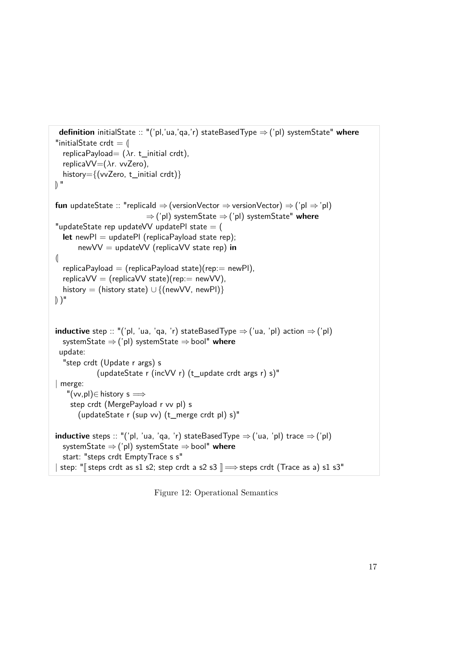```
definition initialState :: "('pl,'ua,'qa,'r) stateBasedType ⇒ ('pl) systemState" where
"initialState crdt = \parallelreplicaPayload= (λr. t_initial crdt),
  replicaVV=(λr. vvZero),
  history={(vvZero, t_initial crdt)}
\mathbb{R}^{\mathbb{N}}fun updateState :: "replicaId \Rightarrow (versionVector \Rightarrow versionVector) \Rightarrow ('pl \Rightarrow 'pl)
                             ⇒('pl) systemState ⇒('pl) systemState" where
"updateState rep updateVV updatePl state = (
  let newPl = updatePl (replicaPayload state rep);
       newVV = updateVV (replicaVV state rep) in
\left( \right|replicaPayload = (replicaPayload state)(rep: = newPl),
  replicaVV = (replicaVV state)(rep == newVV),history = (history state) \cup {(newVV, newPl)}
)"
inductive step :: "('pl, 'ua, 'qa, 'r) stateBasedType \Rightarrow ('ua, 'pl) action \Rightarrow ('pl)
  systemState ⇒('pl) systemState ⇒bool" where
 update:
  "step crdt (Update r args) s
             (updateState r (incVV r) (t_update crdt args r) s)"
| merge:
    "(vv, pl) \in history s \impliesstep crdt (MergePayload r vv pl) s
       (updateState r (sup vv) (t_merge crdt pl) s)"
inductive steps :: "('pl, 'ua, 'qa, 'r) stateBasedType \Rightarrow ('ua, 'pl) trace \Rightarrow ('pl)
  systemState ⇒('pl) systemState ⇒bool" where
  start: "steps crdt EmptyTrace s s"
| step: "\lceil steps crdt as s1 s2; step crdt a s2 s3 \lceil \Rightarrow steps crdt (Trace as a) s1 s3"
```
Figure 12: Operational Semantics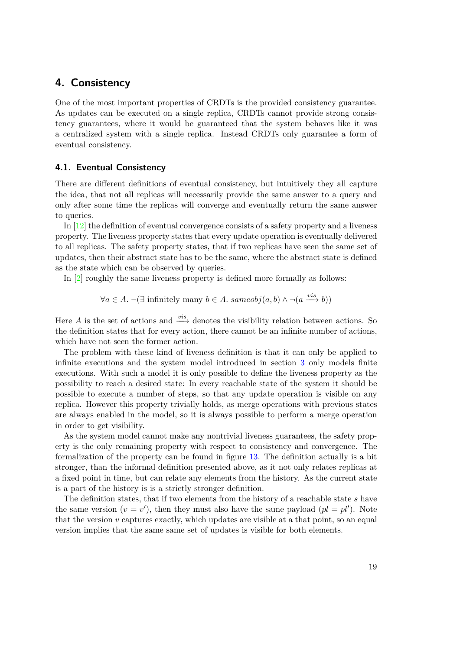# <span id="page-26-0"></span>**4. Consistency**

One of the most important properties of CRDTs is the provided consistency guarantee. As updates can be executed on a single replica, CRDTs cannot provide strong consistency guarantees, where it would be guaranteed that the system behaves like it was a centralized system with a single replica. Instead CRDTs only guarantee a form of eventual consistency.

#### <span id="page-26-1"></span>**4.1. Eventual Consistency**

There are different definitions of eventual consistency, but intuitively they all capture the idea, that not all replicas will necessarily provide the same answer to a query and only after some time the replicas will converge and eventually return the same answer to queries.

In [\[12\]](#page-84-1) the definition of eventual convergence consists of a safety property and a liveness property. The liveness property states that every update operation is eventually delivered to all replicas. The safety property states, that if two replicas have seen the same set of updates, then their abstract state has to be the same, where the abstract state is defined as the state which can be observed by queries.

In [\[2\]](#page-84-7) roughly the same liveness property is defined more formally as follows:

 $\forall a \in A$ .  $\neg(\exists \text{ infinitely many } b \in A \text{.} \text{ sameobj}(a, b) \land \neg(a \xrightarrow{vis} b))$ 

Here *A* is the set of actions and  $\frac{vis}{\longrightarrow}$  denotes the visibility relation between actions. So the definition states that for every action, there cannot be an infinite number of actions, which have not seen the former action.

The problem with these kind of liveness definition is that it can only be applied to infinite executions and the system model introduced in section [3](#page-16-0) only models finite executions. With such a model it is only possible to define the liveness property as the possibility to reach a desired state: In every reachable state of the system it should be possible to execute a number of steps, so that any update operation is visible on any replica. However this property trivially holds, as merge operations with previous states are always enabled in the model, so it is always possible to perform a merge operation in order to get visibility.

As the system model cannot make any nontrivial liveness guarantees, the safety property is the only remaining property with respect to consistency and convergence. The formalization of the property can be found in figure [13.](#page-27-1) The definition actually is a bit stronger, than the informal definition presented above, as it not only relates replicas at a fixed point in time, but can relate any elements from the history. As the current state is a part of the history is is a strictly stronger definition.

The definition states, that if two elements from the history of a reachable state *s* have the same version  $(v = v')$ , then they must also have the same payload  $(pl = pl')$ . Note that the version  $v$  captures exactly, which updates are visible at a that point, so an equal version implies that the same same set of updates is visible for both elements.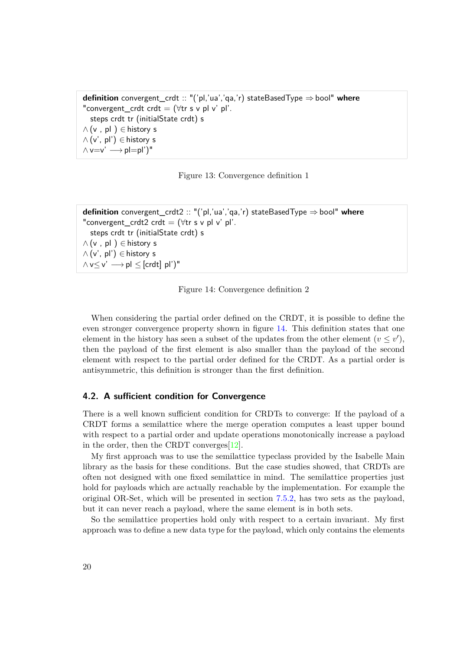<span id="page-27-1"></span>**definition** convergent\_crdt :: "('pl,'ua','qa,'r) stateBasedType ⇒bool" **where** "convergent\_crdt crdt =  $(\forall$ tr s v pl v' pl'. steps crdt tr (initialState crdt) s  $\wedge$  (v, pl)  $\in$  history s  $\wedge$  (v', pl')  $\in$  history s  $\wedge v=v' \longrightarrow pl=p'$ <sup>"</sup>

Figure 13: Convergence definition 1

```
definition convergent_crdt2 :: "('pl,'ua','qa,'r) stateBasedType ⇒bool" where
"convergent_crdt2 crdt = (\foralltr s v pl v' pl'.
  steps crdt tr (initialState crdt) s
\wedge (v, pl) \in history s
∧ (v', pl') ∈ history s
\wedge v\leq v' \longrightarrow pl \leq [crdt] pl')"
```
Figure 14: Convergence definition 2

When considering the partial order defined on the CRDT, it is possible to define the even stronger convergence property shown in figure [14.](#page-27-2) This definition states that one element in the history has seen a subset of the updates from the other element  $(v \leq v')$ , then the payload of the first element is also smaller than the payload of the second element with respect to the partial order defined for the CRDT. As a partial order is antisymmetric, this definition is stronger than the first definition.

#### <span id="page-27-0"></span>**4.2. A sufficient condition for Convergence**

There is a well known sufficient condition for CRDTs to converge: If the payload of a CRDT forms a semilattice where the merge operation computes a least upper bound with respect to a partial order and update operations monotonically increase a payload in the order, then the CRDT converges[\[12\]](#page-84-1).

My first approach was to use the semilattice typeclass provided by the Isabelle Main library as the basis for these conditions. But the case studies showed, that CRDTs are often not designed with one fixed semilattice in mind. The semilattice properties just hold for payloads which are actually reachable by the implementation. For example the original OR-Set, which will be presented in section [7.5.2,](#page-62-0) has two sets as the payload, but it can never reach a payload, where the same element is in both sets.

So the semilattice properties hold only with respect to a certain invariant. My first approach was to define a new data type for the payload, which only contains the elements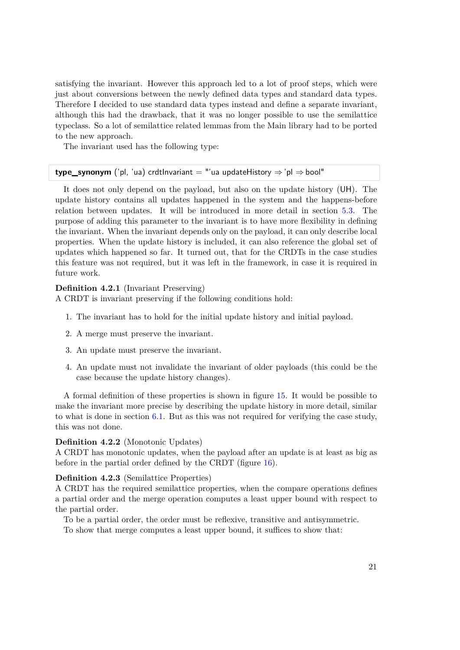satisfying the invariant. However this approach led to a lot of proof steps, which were just about conversions between the newly defined data types and standard data types. Therefore I decided to use standard data types instead and define a separate invariant, although this had the drawback, that it was no longer possible to use the semilattice typeclass. So a lot of semilattice related lemmas from the Main library had to be ported to the new approach.

The invariant used has the following type:

#### **type\_synonym** ('pl, 'ua) crdtInvariant = "'ua updateHistory  $\Rightarrow$  'pl  $\Rightarrow$  bool"

It does not only depend on the payload, but also on the update history (UH). The update history contains all updates happened in the system and the happens-before relation between updates. It will be introduced in more detail in section [5.3.](#page-40-0) The purpose of adding this parameter to the invariant is to have more flexibility in defining the invariant. When the invariant depends only on the payload, it can only describe local properties. When the update history is included, it can also reference the global set of updates which happened so far. It turned out, that for the CRDTs in the case studies this feature was not required, but it was left in the framework, in case it is required in future work.

#### **Definition 4.2.1** (Invariant Preserving)

A CRDT is invariant preserving if the following conditions hold:

- 1. The invariant has to hold for the initial update history and initial payload.
- 2. A merge must preserve the invariant.
- 3. An update must preserve the invariant.
- 4. An update must not invalidate the invariant of older payloads (this could be the case because the update history changes).

A formal definition of these properties is shown in figure [15.](#page-29-0) It would be possible to make the invariant more precise by describing the update history in more detail, similar to what is done in section [6.1.](#page-47-0) But as this was not required for verifying the case study, this was not done.

#### **Definition 4.2.2** (Monotonic Updates)

A CRDT has monotonic updates, when the payload after an update is at least as big as before in the partial order defined by the CRDT (figure [16\)](#page-29-1).

#### **Definition 4.2.3** (Semilattice Properties)

A CRDT has the required semilattice properties, when the compare operations defines a partial order and the merge operation computes a least upper bound with respect to the partial order.

To be a partial order, the order must be reflexive, transitive and antisymmetric.

To show that merge computes a least upper bound, it suffices to show that: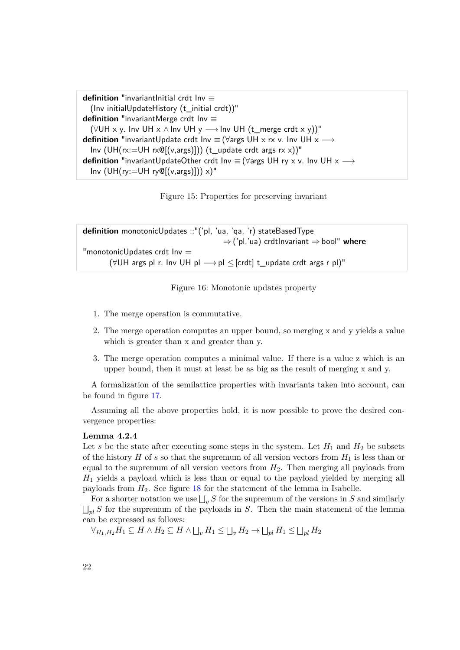```
definition "invariantInitial crdt Inv ≡
  (Inv initialUpdateHistory (t_initial crdt))"
definition "invariantMerge crdt Inv ≡
  (\forall UH \times y. Inv UH \times \land Inv UH y \rightarrow Inv UH (t merge crdt \times y)<sup>"</sup>
definition "invariantUpdate crdt Inv \equiv (\forallargs UH x rx v. Inv UH x \rightarrowInv (UH(rx:=UH rx@[(v,args)])) (t_update crdt args rxx))"
definition "invariantUpdateOther crdt Inv ≡ (∀args UH ry x v. Inv UH x →
  Inv (UH(ry:=UH ry@[(v,args)])) x)''
```
Figure 15: Properties for preserving invariant

<span id="page-29-1"></span>**definition** monotonicUpdates ::"('pl, 'ua, 'qa, 'r) stateBasedType ⇒('pl,'ua) crdtInvariant ⇒bool" **where** "monotonicUpdates crdt  $Inv =$ ( $\forall$ UH args pl r. Inv UH pl  $\longrightarrow$  pl  $\leq$  [crdt] t\_update crdt args r pl)"

Figure 16: Monotonic updates property

- 1. The merge operation is commutative.
- 2. The merge operation computes an upper bound, so merging x and y yields a value which is greater than x and greater than y.
- 3. The merge operation computes a minimal value. If there is a value z which is an upper bound, then it must at least be as big as the result of merging x and y.

A formalization of the semilattice properties with invariants taken into account, can be found in figure [17.](#page-30-0)

Assuming all the above properties hold, it is now possible to prove the desired convergence properties:

#### <span id="page-29-2"></span>**Lemma 4.2.4**

Let *s* be the state after executing some steps in the system. Let  $H_1$  and  $H_2$  be subsets of the history  $H$  of  $s$  so that the supremum of all version vectors from  $H_1$  is less than or equal to the supremum of all version vectors from  $H_2$ . Then merging all payloads from *H*<sup>1</sup> yields a payload which is less than or equal to the payload yielded by merging all payloads from *H*2. See figure [18](#page-30-1) for the statement of the lemma in Isabelle.

For a shorter notation we use  $\bigsqcup_v S$  for the supremum of the versions in *S* and similarly  $\bigsqcup_{pl} S$  for the supremum of the payloads in *S*. Then the main statement of the lemma can be expressed as follows:

 $\forall$ <sub>*H*1</sub>, *H*<sub>2</sub>  $\subseteq$  *H*  $\land$   $\sqcup$ <sub>*u*</sub>  $H$ <sub>1</sub>  $\leq$   $\sqcup$ <sub>*u*</sub>  $H$ <sub>2</sub>  $\rightarrow$   $\sqcup$ <sub>*pl</sub>*  $H$ <sub>1</sub>  $\leq$   $\sqcup$ <sub>*pl*</sub>  $H$ <sub>2</sub></sub>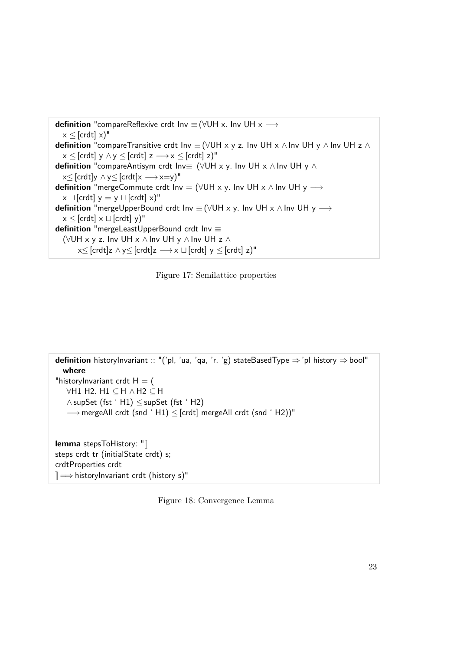```
definition "compareReflexive crdt Inv ≡ (∀UH x. Inv UH x →
  x \leq [crdt] x]"
definition "compareTransitive crdt Inv \equiv (\forallUH x y z. Inv UH x \land Inv UH y \land Inv UH z \landx \leq [crdt] y \wedge y \leq [crdt] z \longrightarrow x \leq [crdt] z]"
definition "compareAntisym crdt Inv≡ (∀UH x y. Inv UH x ∧ Inv UH y ∧
  x \leq [crdt]y \land y\leq [crdt]x \longrightarrow x=y)"
definition "mergeCommute crdt Inv = (∀UH x y. Inv UH x ∧ Inv UH y →
  x \sqcup [crdt] y = y \sqcup [crdt] x)"
definition "mergeUpperBound crdt Inv \equiv (\forallUH x y. Inv UH x \land Inv UH y \longrightarrowx \leq [crdt] x \sqcup [crdt] v]"
definition "mergeLeastUpperBound crdt Inv ≡
  (∀UH x y z. Inv UH x ∧ Inv UH y ∧ Inv UH z ∧
       x \leq [crdt]z \wedge y\leq [crdt]z \longrightarrow x \sqcup [crdt] y \leq [crdt] z)"
```


```
definition historyInvariant :: "('pl, 'ua, 'qa, 'r, 'g) stateBasedType ⇒ 'pl history ⇒bool"
  where
"historyInvariant crdt H = (∀H1 H2. H1 ⊆ H ∧ H2 ⊆ H
   ∧ supSet (fst ' H1) ≤ supSet (fst ' H2)
   \rightarrow mergeAll crdt (snd 'H1) < [crdt] mergeAll crdt (snd 'H2))"
lemma stepsToHistory: "[
steps crdt tr (initialState crdt) s;
crdtProperties crdt
\mathbb{R} \Longrightarrow historyInvariant crdt (history s)"
```
Figure 18: Convergence Lemma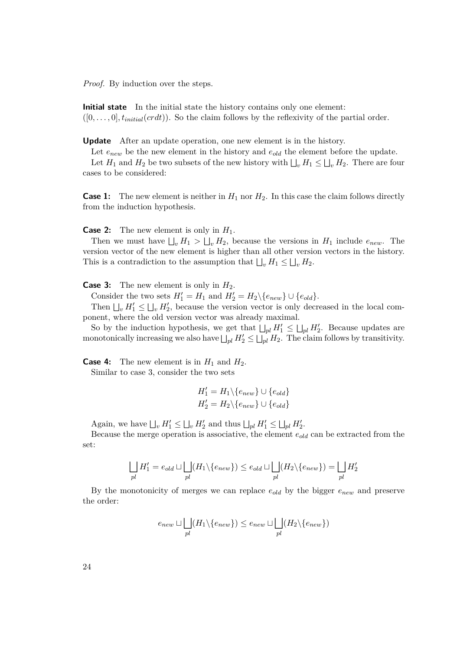*Proof.* By induction over the steps.

**Initial state** In the initial state the history contains only one element:  $([0, \ldots, 0], t_{initial}(crdt))$ . So the claim follows by the reflexivity of the partial order.

**Update** After an update operation, one new element is in the history.

Let  $e_{new}$  be the new element in the history and  $e_{old}$  the element before the update.

Let  $H_1$  and  $H_2$  be two subsets of the new history with  $\bigsqcup_v H_1 \leq \bigsqcup_v H_2$ . There are four cases to be considered:

**Case 1:** The new element is neither in  $H_1$  nor  $H_2$ . In this case the claim follows directly from the induction hypothesis.

**Case 2:** The new element is only in *H*1.

Then we must have  $\bigsqcup_v H_1 > \bigsqcup_v H_2$ , because the versions in  $H_1$  include  $e_{new}$ . The version vector of the new element is higher than all other version vectors in the history. This is a contradiction to the assumption that  $\bigsqcup_v H_1 \leq \bigsqcup_v H_2$ .

**Case 3:** The new element is only in  $H_2$ .

Consider the two sets  $H'_1 = H_1$  and  $H'_2 = H_2 \setminus \{e_{new}\} \cup \{e_{old}\}.$ 

Then  $\bigcup_v H'_1 \leq \bigcup_v H'_2$ , because the version vector is only decreased in the local component, where the old version vector was already maximal.

So by the induction hypothesis, we get that  $\bigsqcup_{pl} H_1' \leq \bigsqcup_{pl} H_2'$ . Because updates are monotonically increasing we also have  $\bigsqcup_{pl} H_2' \leq \bigsqcup_{pl} H_2$ . The claim follows by transitivity.

**Case 4:** The new element is in  $H_1$  and  $H_2$ . Similar to case 3, consider the two sets

$$
H'_1 = H_1 \setminus \{e_{new}\} \cup \{e_{old}\}
$$
  

$$
H'_2 = H_2 \setminus \{e_{new}\} \cup \{e_{old}\}
$$

Again, we have  $\bigsqcup_v H'_1 \le \bigsqcup_v H'_2$  and thus  $\bigsqcup_{pl} H'_1 \le \bigsqcup_{pl} H'_2$ .

Because the merge operation is associative, the element *eold* can be extracted from the set:

$$
\bigsqcup_{pl} H'_1 = e_{old} \sqcup \bigsqcup_{pl} (H_1 \backslash \{e_{new}\}) \leq e_{old} \sqcup \bigsqcup_{pl} (H_2 \backslash \{e_{new}\}) = \bigsqcup_{pl} H'_2
$$

By the monotonicity of merges we can replace *eold* by the bigger *enew* and preserve the order:

$$
e_{new} \sqcup \bigsqcup_{pl} (H_1 \setminus \{e_{new}\}) \le e_{new} \sqcup \bigsqcup_{pl} (H_2 \setminus \{e_{new}\})
$$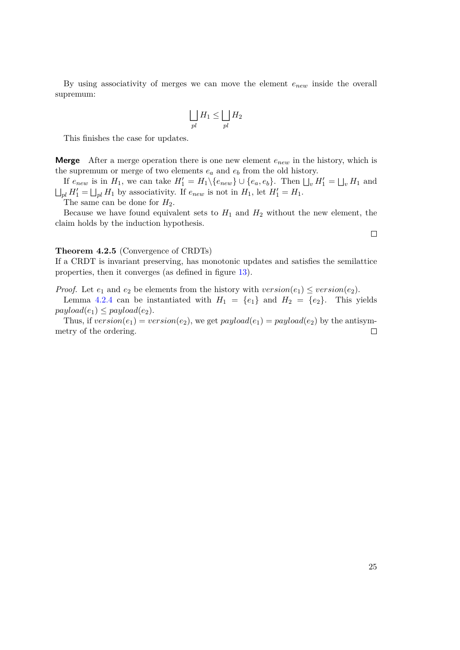By using associativity of merges we can move the element *enew* inside the overall supremum:

$$
\bigsqcup_{pl} H_1 \le \bigsqcup_{pl} H_2
$$

This finishes the case for updates.

**Merge** After a merge operation there is one new element *enew* in the history, which is the supremum or merge of two elements *e<sup>a</sup>* and *e<sup>b</sup>* from the old history.

If  $e_{new}$  is in  $H_1$ , we can take  $H'_1 = H_1 \setminus \{e_{new}\} \cup \{e_a, e_b\}$ . Then  $\bigsqcup_v H'_1 = \bigsqcup_v H_1$  and  $\bigsqcup_{pl} H_1' = \bigsqcup_{pl} H_1$  by associativity. If  $e_{new}$  is not in  $H_1$ , let  $H_1' = H_1$ .

The same can be done for  $H_2$ .

Because we have found equivalent sets to  $H_1$  and  $H_2$  without the new element, the claim holds by the induction hypothesis.

#### **Theorem 4.2.5** (Convergence of CRDTs)

If a CRDT is invariant preserving, has monotonic updates and satisfies the semilattice properties, then it converges (as defined in figure [13\)](#page-27-1).

*Proof.* Let  $e_1$  and  $e_2$  be elements from the history with  $version(e_1) \leq version(e_2)$ .

Lemma [4.2.4](#page-29-2) can be instantiated with  $H_1 = \{e_1\}$  and  $H_2 = \{e_2\}$ . This yields  $payload(e_1) \leq payload(e_2)$ .

Thus, if  $version(e_1) = version(e_2)$ , we get  $payload(e_1) = payload(e_2)$  by the antisymmetry of the ordering.  $\Box$ 

 $\Box$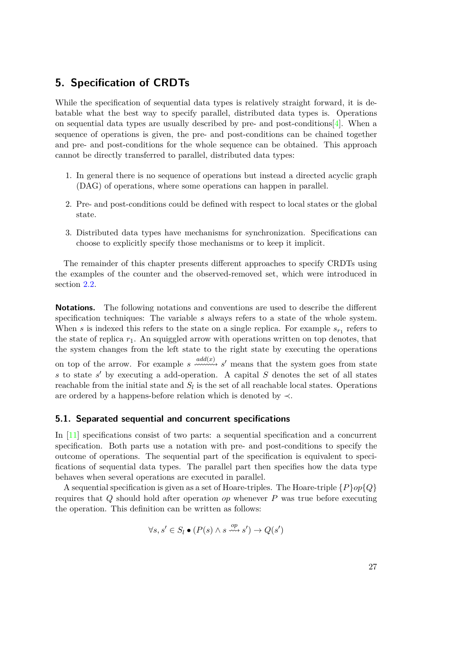# <span id="page-34-0"></span>**5. Specification of CRDTs**

While the specification of sequential data types is relatively straight forward, it is debatable what the best way to specify parallel, distributed data types is. Operations on sequential data types are usually described by pre- and post-conditions[\[4\]](#page-84-8). When a sequence of operations is given, the pre- and post-conditions can be chained together and pre- and post-conditions for the whole sequence can be obtained. This approach cannot be directly transferred to parallel, distributed data types:

- 1. In general there is no sequence of operations but instead a directed acyclic graph (DAG) of operations, where some operations can happen in parallel.
- 2. Pre- and post-conditions could be defined with respect to local states or the global state.
- 3. Distributed data types have mechanisms for synchronization. Specifications can choose to explicitly specify those mechanisms or to keep it implicit.

The remainder of this chapter presents different approaches to specify CRDTs using the examples of the counter and the observed-removed set, which were introduced in section [2.2.](#page-11-1)

**Notations.** The following notations and conventions are used to describe the different specification techniques: The variable *s* always refers to a state of the whole system. When *s* is indexed this refers to the state on a single replica. For example  $s_{r_1}$  refers to the state of replica  $r_1$ . An squiggled arrow with operations written on top denotes, that the system changes from the left state to the right state by executing the operations on top of the arrow. For example  $s \xrightarrow{add(x)} s'$  means that the system goes from state *s* to state *s*<sup>'</sup> by executing a add-operation. A capital *S* denotes the set of all states reachable from the initial state and  $S_l$  is the set of all reachable local states. Operations are ordered by a happens-before relation which is denoted by  $\prec$ .

#### <span id="page-34-1"></span>**5.1. Separated sequential and concurrent specifications**

In [\[11\]](#page-84-2) specifications consist of two parts: a sequential specification and a concurrent specification. Both parts use a notation with pre- and post-conditions to specify the outcome of operations. The sequential part of the specification is equivalent to specifications of sequential data types. The parallel part then specifies how the data type behaves when several operations are executed in parallel.

A sequential specification is given as a set of Hoare-triples. The Hoare-triple  $\{P\}op\{Q\}$ requires that *Q* should hold after operation *op* whenever *P* was true before executing the operation. This definition can be written as follows:

$$
\forall s, s' \in S_l \bullet (P(s) \land s \xrightarrow{op} s') \rightarrow Q(s')
$$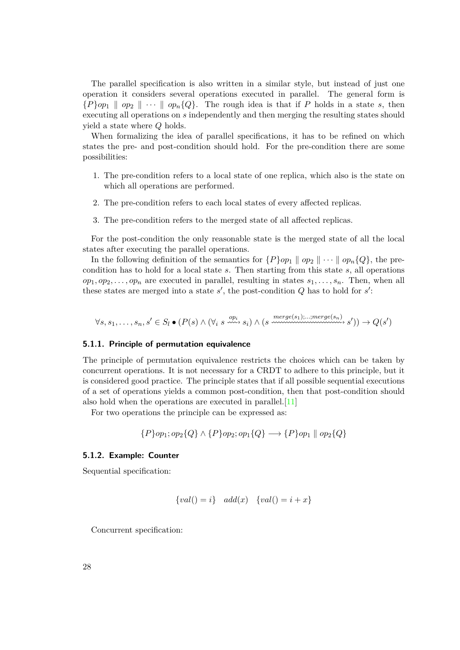The parallel specification is also written in a similar style, but instead of just one operation it considers several operations executed in parallel. The general form is  ${P}$ *op*<sub>1</sub> | *op*<sub>2</sub> ||  $\cdots$  || *op*<sub>n</sub> ${Q}$ . The rough idea is that if *P* holds in a state *s*, then executing all operations on *s* independently and then merging the resulting states should yield a state where *Q* holds.

When formalizing the idea of parallel specifications, it has to be refined on which states the pre- and post-condition should hold. For the pre-condition there are some possibilities:

- 1. The pre-condition refers to a local state of one replica, which also is the state on which all operations are performed.
- 2. The pre-condition refers to each local states of every affected replicas.
- 3. The pre-condition refers to the merged state of all affected replicas.

For the post-condition the only reasonable state is the merged state of all the local states after executing the parallel operations.

In the following definition of the semantics for  ${P}{op_1 \parallel op_2 \parallel \cdots \parallel op_n}{Q}$ , the precondition has to hold for a local state *s*. Then starting from this state *s*, all operations  $op_1, op_2, \ldots, op_n$  are executed in parallel, resulting in states  $s_1, \ldots, s_n$ . Then, when all these states are merged into a state  $s'$ , the post-condition  $Q$  has to hold for  $s'$ :

$$
\forall s, s_1, \ldots, s_n, s' \in S_l \bullet (P(s) \land (\forall_i \ s \xrightarrow{op_i} s_i) \land (s \xrightarrow{merge(s_1), \ldots;merge(s_n)} s')) \rightarrow Q(s')
$$

#### <span id="page-35-0"></span>**5.1.1. Principle of permutation equivalence**

The principle of permutation equivalence restricts the choices which can be taken by concurrent operations. It is not necessary for a CRDT to adhere to this principle, but it is considered good practice. The principle states that if all possible sequential executions of a set of operations yields a common post-condition, then that post-condition should also hold when the operations are executed in parallel.[\[11\]](#page-84-2)

For two operations the principle can be expressed as:

$$
\{P\}op_1; op_2\{Q\} \wedge \{P\}op_2; op_1\{Q\} \longrightarrow \{P\}op_1 \parallel op_2\{Q\}
$$

#### <span id="page-35-1"></span>**5.1.2. Example: Counter**

Sequential specification:

$$
\{val() = i\} \quad add(x) \quad \{val() = i + x\}
$$

Concurrent specification: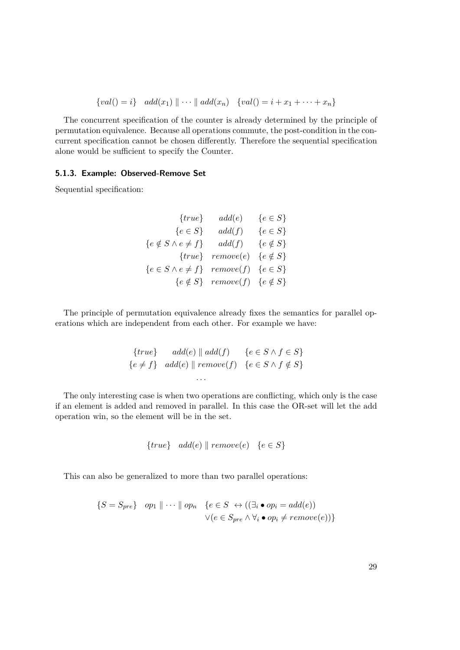$$
\{val() = i\} \quad add(x_1) \parallel \cdots \parallel add(x_n) \quad \{val() = i + x_1 + \cdots + x_n\}
$$

The concurrent specification of the counter is already determined by the principle of permutation equivalence. Because all operations commute, the post-condition in the concurrent specification cannot be chosen differently. Therefore the sequential specification alone would be sufficient to specify the Counter.

## **5.1.3. Example: Observed-Remove Set**

Sequential specification:

$$
\{true\} \qquad add(e) \qquad \{e \in S\} \n\{e \in S\} \qquad add(f) \qquad \{e \in S\} \n\{e \notin S \land e \neq f\} \qquad add(f) \qquad \{e \notin S\} \n\{true\} \qquad remove(e) \qquad \{e \notin S\} \n\{e \in S \land e \neq f\} \qquad remove(f) \qquad \{e \in S\} \n\{e \notin S\} \qquad remove(f) \qquad \{e \notin S\}
$$

The principle of permutation equivalence already fixes the semantics for parallel operations which are independent from each other. For example we have:

$$
{true} \quad add(e) \parallel add(f) \quad \{e \in S \land f \in S\}
$$

$$
\{e \neq f\} \quad add(e) \parallel remove(f) \quad \{e \in S \land f \notin S\}
$$

$$
\dots
$$

The only interesting case is when two operations are conflicting, which only is the case if an element is added and removed in parallel. In this case the OR-set will let the add operation win, so the element will be in the set.

$$
{true} \quad add(e) \parallel remove(e) \quad \{e \in S\}
$$

This can also be generalized to more than two parallel operations:

$$
\{S = S_{pre}\} \quad op_1 \parallel \cdots \parallel op_n \quad \{e \in S \; \leftrightarrow \left((\exists_i \bullet op_i = add(e))\right) \newline \lor \left(e \in S_{pre} \land \forall_i \bullet op_i \neq remove(e)\right)\}\
$$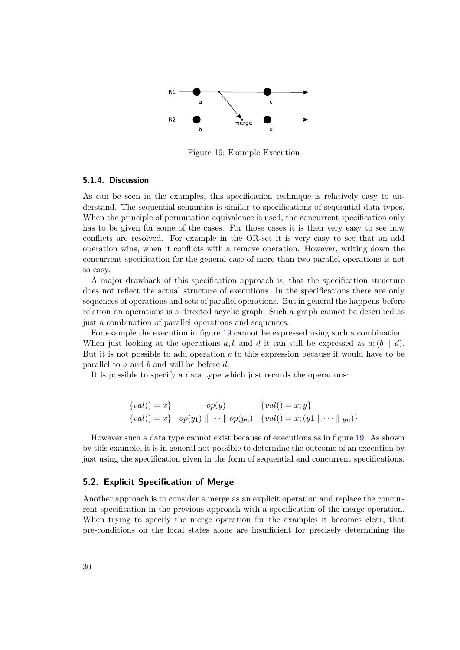<span id="page-37-0"></span>

Figure 19: Example Execution

#### **5.1.4. Discussion**

As can be seen in the examples, this specification technique is relatively easy to understand. The sequential semantics is similar to specifications of sequential data types. When the principle of permutation equivalence is used, the concurrent specification only has to be given for some of the cases. For those cases it is then very easy to see how conflicts are resolved. For example in the OR-set it is very easy to see that an add operation wins, when it conflicts with a remove operation. However, writing down the concurrent specification for the general case of more than two parallel operations is not so easy.

A major drawback of this specification approach is, that the specification structure does not reflect the actual structure of executions. In the specifications there are only sequences of operations and sets of parallel operations. But in general the happens-before relation on operations is a directed acyclic graph. Such a graph cannot be described as just a combination of parallel operations and sequences.

For example the execution in figure [19](#page-37-0) cannot be expressed using such a combination. When just looking at the operations  $a, b$  and  $d$  it can still be expressed as  $a$ ;  $(b \parallel d)$ . But it is not possible to add operation *c* to this expression because it would have to be parallel to *a* and *b* and still be before *d*.

It is possible to specify a data type which just records the operations:

{
$$
val()
$$
 = x}  $op(y)$  { $val()$  = x; y}  
{ $val()$  = x}  $op(y_1) \| \cdots \| op(y_n)$  { $val()$  = x; (y1  $\| \cdots \| y_n)$ }

However such a data type cannot exist because of executions as in figure [19.](#page-37-0) As shown by this example, it is in general not possible to determine the outcome of an execution by just using the specification given in the form of sequential and concurrent specifications.

#### **5.2. Explicit Specification of Merge**

Another approach is to consider a merge as an explicit operation and replace the concurrent specification in the previous approach with a specification of the merge operation. When trying to specify the merge operation for the examples it becomes clear, that pre-conditions on the local states alone are insufficient for precisely determining the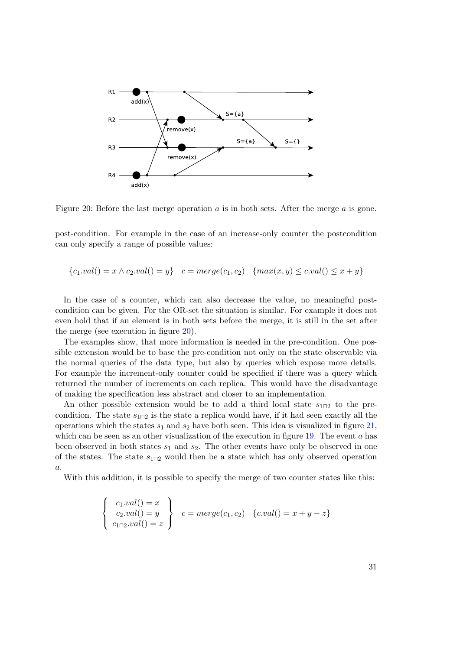<span id="page-38-0"></span>

Figure 20: Before the last merge operation *a* is in both sets. After the merge *a* is gone.

post-condition. For example in the case of an increase-only counter the postcondition can only specify a range of possible values:

$$
{c_1.val() = x \land c_2.val() = y} \quad c = merge(c_1, c_2) \quad {max(x, y) \leq c.val() \leq x + y}
$$

In the case of a counter, which can also decrease the value, no meaningful postcondition can be given. For the OR-set the situation is similar. For example it does not even hold that if an element is in both sets before the merge, it is still in the set after the merge (see execution in figure [20\)](#page-38-0).

The examples show, that more information is needed in the pre-condition. One possible extension would be to base the pre-condition not only on the state observable via the normal queries of the data type, but also by queries which expose more details. For example the increment-only counter could be specified if there was a query which returned the number of increments on each replica. This would have the disadvantage of making the specification less abstract and closer to an implementation.

An other possible extension would be to add a third local state  $s_{1}$ <sub>1 $\alpha$ 2</sub> to the precondition. The state  $s_{1\Box 2}$  is the state a replica would have, if it had seen exactly all the operations which the states  $s_1$  and  $s_2$  have both seen. This idea is visualized in figure [21,](#page-39-0) which can be seen as an other visualization of the execution in figure [19.](#page-37-0) The event *a* has been observed in both states *s*<sup>1</sup> and *s*2. The other events have only be observed in one of the states. The state  $s_{1\vert 1}$  would then be a state which has only observed operation *a*.

With this addition, it is possible to specify the merge of two counter states like this:

$$
\begin{cases}\nc_1.val() = x \\
c_2.val() = y \\
c_{1\sqcap 2}.val() = z\n\end{cases}\nc = merge(c_1, c_2) \quad \{c.val() = x + y - z\}
$$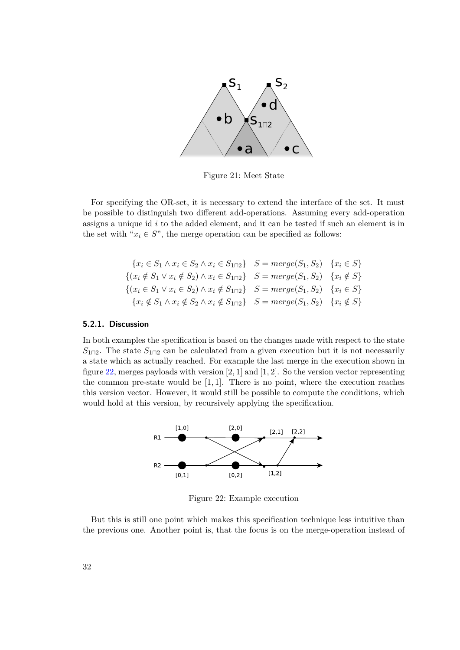<span id="page-39-0"></span>

Figure 21: Meet State

For specifying the OR-set, it is necessary to extend the interface of the set. It must be possible to distinguish two different add-operations. Assuming every add-operation assigns a unique id *i* to the added element, and it can be tested if such an element is in the set with " $x_i \in S$ ", the merge operation can be specified as follows:

$$
\{x_i \in S_1 \land x_i \in S_2 \land x_i \in S_{1\sqcap2}\} \quad S = merge(S_1, S_2) \quad \{x_i \in S\}
$$
  

$$
\{(x_i \notin S_1 \lor x_i \notin S_2) \land x_i \in S_{1\sqcap2}\} \quad S = merge(S_1, S_2) \quad \{x_i \notin S\}
$$
  

$$
\{(x_i \in S_1 \lor x_i \in S_2) \land x_i \notin S_{1\sqcap2}\} \quad S = merge(S_1, S_2) \quad \{x_i \in S\}
$$
  

$$
\{x_i \notin S_1 \land x_i \notin S_2 \land x_i \notin S_{1\sqcap2}\} \quad S = merge(S_1, S_2) \quad \{x_i \notin S\}
$$

#### **5.2.1. Discussion**

In both examples the specification is based on the changes made with respect to the state  $S_{1\Box 2}$ . The state  $S_{1\Box 2}$  can be calculated from a given execution but it is not necessarily a state which as actually reached. For example the last merge in the execution shown in figure [22,](#page-39-1) merges payloads with version [2*,* 1] and [1*,* 2]. So the version vector representing the common pre-state would be [1*,* 1]. There is no point, where the execution reaches this version vector. However, it would still be possible to compute the conditions, which would hold at this version, by recursively applying the specification.

<span id="page-39-1"></span>

Figure 22: Example execution

But this is still one point which makes this specification technique less intuitive than the previous one. Another point is, that the focus is on the merge-operation instead of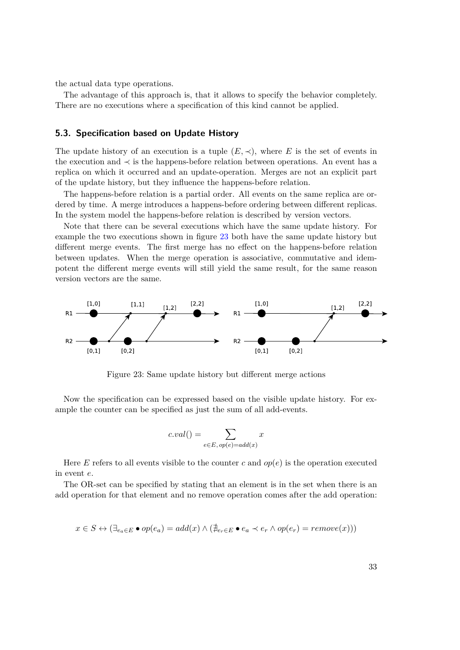the actual data type operations.

The advantage of this approach is, that it allows to specify the behavior completely. There are no executions where a specification of this kind cannot be applied.

## <span id="page-40-1"></span>**5.3. Specification based on Update History**

The update history of an execution is a tuple  $(E, \prec)$ , where E is the set of events in the execution and ≺ is the happens-before relation between operations. An event has a replica on which it occurred and an update-operation. Merges are not an explicit part of the update history, but they influence the happens-before relation.

The happens-before relation is a partial order. All events on the same replica are ordered by time. A merge introduces a happens-before ordering between different replicas. In the system model the happens-before relation is described by version vectors.

Note that there can be several executions which have the same update history. For example the two executions shown in figure [23](#page-40-0) both have the same update history but different merge events. The first merge has no effect on the happens-before relation between updates. When the merge operation is associative, commutative and idempotent the different merge events will still yield the same result, for the same reason version vectors are the same.

<span id="page-40-0"></span>

Figure 23: Same update history but different merge actions

Now the specification can be expressed based on the visible update history. For example the counter can be specified as just the sum of all add-events.

$$
c.val() = \sum_{e \in E, op(e) = add(x)} x
$$

Here *E* refers to all events visible to the counter *c* and  $op(e)$  is the operation executed in event *e*.

The OR-set can be specified by stating that an element is in the set when there is an add operation for that element and no remove operation comes after the add operation:

$$
x \in S \leftrightarrow (\exists_{e_a \in E} \bullet op(e_a) = add(x) \land (\nexists_{e_r \in E} \bullet e_a \prec e_r \land op(e_r) = remove(x)))
$$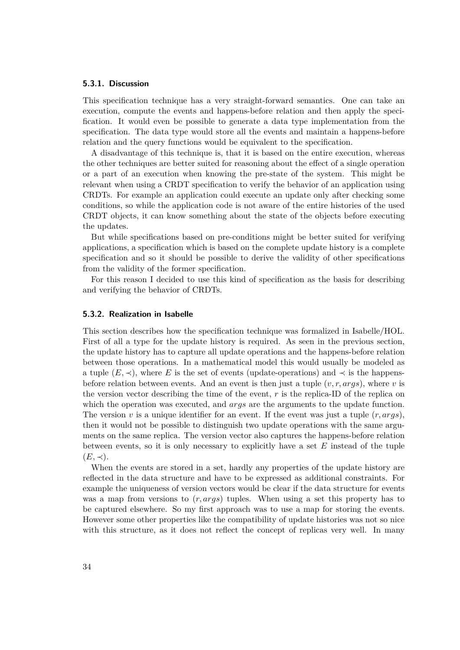#### **5.3.1. Discussion**

This specification technique has a very straight-forward semantics. One can take an execution, compute the events and happens-before relation and then apply the specification. It would even be possible to generate a data type implementation from the specification. The data type would store all the events and maintain a happens-before relation and the query functions would be equivalent to the specification.

A disadvantage of this technique is, that it is based on the entire execution, whereas the other techniques are better suited for reasoning about the effect of a single operation or a part of an execution when knowing the pre-state of the system. This might be relevant when using a CRDT specification to verify the behavior of an application using CRDTs. For example an application could execute an update only after checking some conditions, so while the application code is not aware of the entire histories of the used CRDT objects, it can know something about the state of the objects before executing the updates.

But while specifications based on pre-conditions might be better suited for verifying applications, a specification which is based on the complete update history is a complete specification and so it should be possible to derive the validity of other specifications from the validity of the former specification.

For this reason I decided to use this kind of specification as the basis for describing and verifying the behavior of CRDTs.

#### **5.3.2. Realization in Isabelle**

This section describes how the specification technique was formalized in Isabelle/HOL. First of all a type for the update history is required. As seen in the previous section, the update history has to capture all update operations and the happens-before relation between those operations. In a mathematical model this would usually be modeled as a tuple  $(E, \prec)$ , where *E* is the set of events (update-operations) and  $\prec$  is the happensbefore relation between events. And an event is then just a tuple  $(v, r, \text{args})$ , where v is the version vector describing the time of the event, *r* is the replica-ID of the replica on which the operation was executed, and *args* are the arguments to the update function. The version *v* is a unique identifier for an event. If the event was just a tuple  $(r, \text{arg}s)$ , then it would not be possible to distinguish two update operations with the same arguments on the same replica. The version vector also captures the happens-before relation between events, so it is only necessary to explicitly have a set *E* instead of the tuple  $(E, \prec).$ 

When the events are stored in a set, hardly any properties of the update history are reflected in the data structure and have to be expressed as additional constraints. For example the uniqueness of version vectors would be clear if the data structure for events was a map from versions to (*r, args*) tuples. When using a set this property has to be captured elsewhere. So my first approach was to use a map for storing the events. However some other properties like the compatibility of update histories was not so nice with this structure, as it does not reflect the concept of replicas very well. In many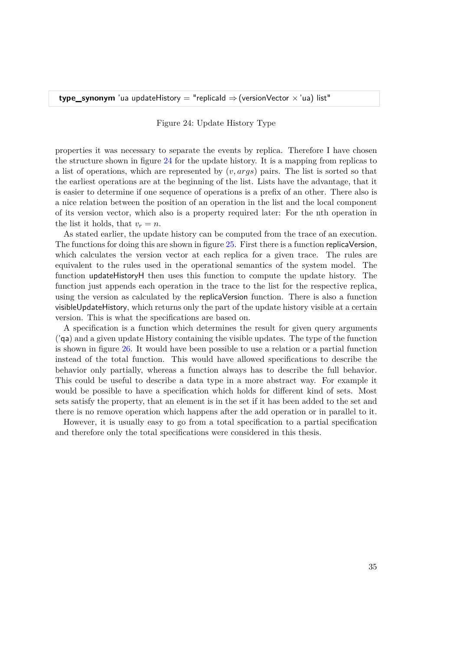Figure 24: Update History Type

<span id="page-42-0"></span>properties it was necessary to separate the events by replica. Therefore I have chosen the structure shown in figure [24](#page-42-0) for the update history. It is a mapping from replicas to a list of operations, which are represented by (*v, args*) pairs. The list is sorted so that the earliest operations are at the beginning of the list. Lists have the advantage, that it is easier to determine if one sequence of operations is a prefix of an other. There also is a nice relation between the position of an operation in the list and the local component of its version vector, which also is a property required later: For the nth operation in the list it holds, that  $v_r = n$ .

As stated earlier, the update history can be computed from the trace of an execution. The functions for doing this are shown in figure [25.](#page-43-0) First there is a function replicaVersion, which calculates the version vector at each replica for a given trace. The rules are equivalent to the rules used in the operational semantics of the system model. The function updateHistoryH then uses this function to compute the update history. The function just appends each operation in the trace to the list for the respective replica, using the version as calculated by the replicaVersion function. There is also a function visibleUpdateHistory, which returns only the part of the update history visible at a certain version. This is what the specifications are based on.

A specification is a function which determines the result for given query arguments ('qa) and a given update History containing the visible updates. The type of the function is shown in figure [26.](#page-43-1) It would have been possible to use a relation or a partial function instead of the total function. This would have allowed specifications to describe the behavior only partially, whereas a function always has to describe the full behavior. This could be useful to describe a data type in a more abstract way. For example it would be possible to have a specification which holds for different kind of sets. Most sets satisfy the property, that an element is in the set if it has been added to the set and there is no remove operation which happens after the add operation or in parallel to it.

However, it is usually easy to go from a total specification to a partial specification and therefore only the total specifications were considered in this thesis.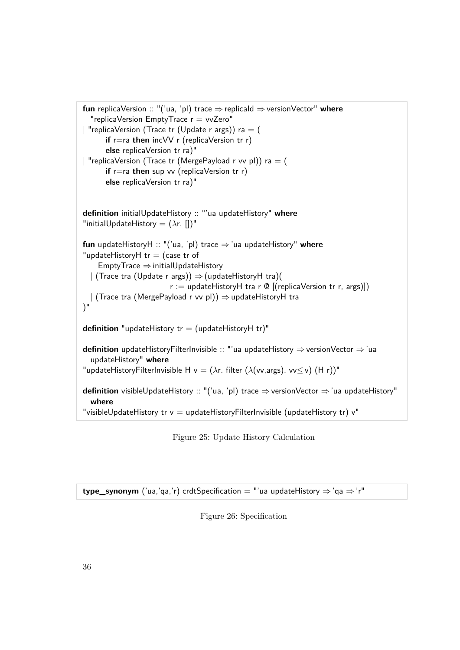```
fun replicaVersion :: "('ua, 'pl) trace ⇒replicaId ⇒versionVector" where
  "replicaVersion EmptyTrace r = vvZero""replicaVersion (Trace tr (Update r args)) ra = (
      if r=ra then incVV r (replicaVersion tr r)
      else replicaVersion tr ra)"
| "replicaVersion (Trace tr (MergePayload r vv pl)) ra = (
      if r=ra then sup vv (replicaVersion tr r)
      else replicaVersion tr ra)"
definition initialUpdateHistory :: "'ua updateHistory" where
"initialUpdateHistory = (λr. [])"
fun updateHistoryH :: "('ua, 'pl) trace ⇒'ua updateHistory" where
"updateHistoryH tr = (case tr of
    EmptyTrace ⇒ initialUpdateHistory
  | (Trace tra (Update r args)) \Rightarrow (updateHistoryH tra)(
                        r := updateHistoryH tra r \Theta [(replicaVersion tr r, args)])
  | (Trace tra (MergePayload r vv pl)) ⇒updateHistoryH tra
)"
definition "updateHistory tr = (updateHistoryH tr)"definition updateHistoryFilterInvisible :: "'ua updateHistory ⇒versionVector ⇒'ua
  updateHistory" where
"updateHistoryFilterInvisible H v = (λr. filter (λ(vv,args). vv≤ v) (H r))"
definition visibleUpdateHistory :: "('ua, 'pl) trace ⇒versionVector ⇒ 'ua updateHistory"
  where
"visibleUpdateHistory tr v = updateHistoryFilterInvisible (updateHistory tr) v''
```
Figure 25: Update History Calculation

<span id="page-43-1"></span>**type\_synonym** ('ua,'qa,'r) crdtSpecification = "'ua updateHistory  $\Rightarrow$ 'qa  $\Rightarrow$ 'r"

Figure 26: Specification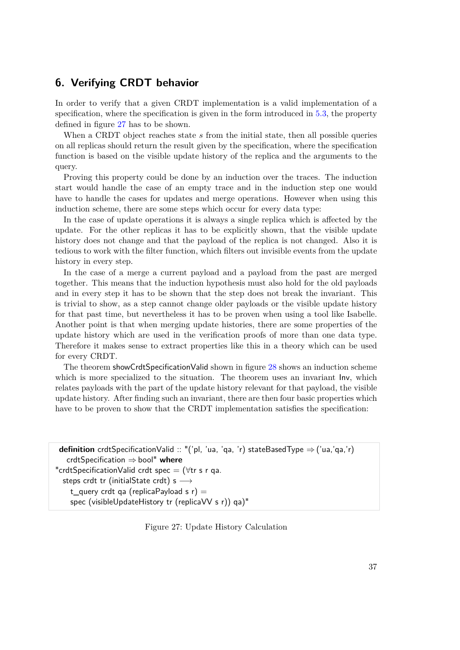## **6. Verifying CRDT behavior**

In order to verify that a given CRDT implementation is a valid implementation of a specification, where the specification is given in the form introduced in [5.3,](#page-40-1) the property defined in figure [27](#page-44-0) has to be shown.

When a CRDT object reaches state *s* from the initial state, then all possible queries on all replicas should return the result given by the specification, where the specification function is based on the visible update history of the replica and the arguments to the query.

Proving this property could be done by an induction over the traces. The induction start would handle the case of an empty trace and in the induction step one would have to handle the cases for updates and merge operations. However when using this induction scheme, there are some steps which occur for every data type:

In the case of update operations it is always a single replica which is affected by the update. For the other replicas it has to be explicitly shown, that the visible update history does not change and that the payload of the replica is not changed. Also it is tedious to work with the filter function, which filters out invisible events from the update history in every step.

In the case of a merge a current payload and a payload from the past are merged together. This means that the induction hypothesis must also hold for the old payloads and in every step it has to be shown that the step does not break the invariant. This is trivial to show, as a step cannot change older payloads or the visible update history for that past time, but nevertheless it has to be proven when using a tool like Isabelle. Another point is that when merging update histories, there are some properties of the update history which are used in the verification proofs of more than one data type. Therefore it makes sense to extract properties like this in a theory which can be used for every CRDT.

The theorem showCrdtSpecificationValid shown in figure [28](#page-46-0) shows an induction scheme which is more specialized to the situation. The theorem uses an invariant  $\ln v$ , which relates payloads with the part of the update history relevant for that payload, the visible update history. After finding such an invariant, there are then four basic properties which have to be proven to show that the CRDT implementation satisfies the specification:

```
definition crdtSpecificationValid :: "('pl, 'ua, 'qa, 'r) stateBasedType ⇒('ua,'qa,'r)
   crdtSpecification ⇒bool" where
"crdtSpecificationValid crdt spec = (∀tr s r qa.
  steps crdt tr (initialState crdt) s \longrightarrowt_query crdt qa (replicaPayload s r) =spec (visibleUpdateHistory tr (replicaVV s r)) qa)"
```
Figure 27: Update History Calculation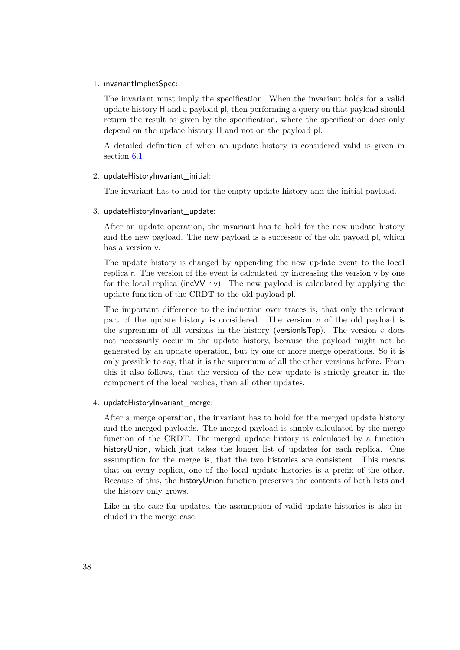#### 1. invariantImpliesSpec:

The invariant must imply the specification. When the invariant holds for a valid update history H and a payload pl, then performing a query on that payload should return the result as given by the specification, where the specification does only depend on the update history H and not on the payload pl.

A detailed definition of when an update history is considered valid is given in section [6.1.](#page-47-0)

#### 2. updateHistoryInvariant\_initial:

The invariant has to hold for the empty update history and the initial payload.

#### 3. updateHistoryInvariant\_update:

After an update operation, the invariant has to hold for the new update history and the new payload. The new payload is a successor of the old payoad pl, which has a version v.

The update history is changed by appending the new update event to the local replica r. The version of the event is calculated by increasing the version v by one for the local replica (incVV  $r v$ ). The new payload is calculated by applying the update function of the CRDT to the old payload pl.

The important difference to the induction over traces is, that only the relevant part of the update history is considered. The version *v* of the old payload is the supremum of all versions in the history (version $\text{Fop}$ ). The version *v* does not necessarily occur in the update history, because the payload might not be generated by an update operation, but by one or more merge operations. So it is only possible to say, that it is the supremum of all the other versions before. From this it also follows, that the version of the new update is strictly greater in the component of the local replica, than all other updates.

#### 4. updateHistoryInvariant merge:

After a merge operation, the invariant has to hold for the merged update history and the merged payloads. The merged payload is simply calculated by the merge function of the CRDT. The merged update history is calculated by a function historyUnion, which just takes the longer list of updates for each replica. One assumption for the merge is, that the two histories are consistent. This means that on every replica, one of the local update histories is a prefix of the other. Because of this, the historyUnion function preserves the contents of both lists and the history only grows.

Like in the case for updates, the assumption of valid update histories is also included in the merge case.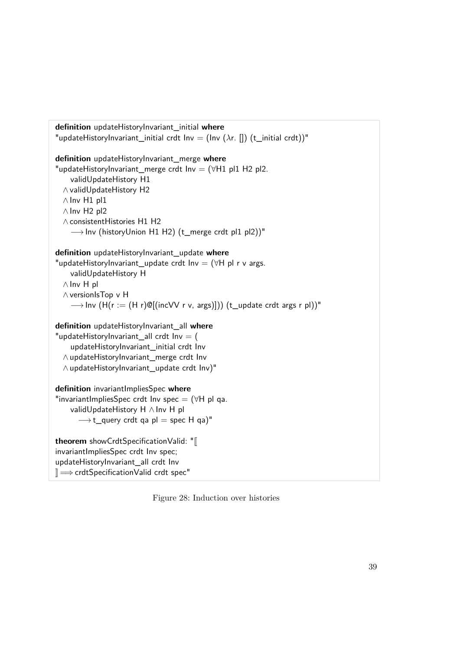<span id="page-46-0"></span>

| "updateHistoryInvariant_initial crdt Inv = (Inv ( $\lambda$ r. []) (t_initial crdt))"<br>definition updateHistoryInvariant_merge where<br>"updateHistoryInvariant_merge crdt Inv = $(\forall H1$ pl1 H2 pl2.<br>validUpdateHistory H1<br>∧ validUpdateHistory H2<br>$\wedge$ Inv H1 pl1<br>$\wedge$ Inv H <sub>2</sub> pl <sub>2</sub><br>$\wedge$ consistent Histories H1 H2<br>$\longrightarrow$ Inv (historyUnion H1 H2) (t_merge crdt pl1 pl2))"<br>definition updateHistoryInvariant_update where<br>"updateHistoryInvariant_update crdt $Inv = (\forall H \text{ pl } r \text{ v } \text{args.})$<br>validUpdateHistory H<br>$\wedge$ Inv H pl<br>$\wedge$ versionls Top v H<br>$\longrightarrow$ lnv (H(r := (H r)@[(incVV r v, args)])) (t_update crdt args r pl))"<br>definition updateHistoryInvariant_all where<br>"updateHistoryInvariant_all crdt Inv $=$ (<br>updateHistoryInvariant_initial crdt Inv<br>∧updateHistoryInvariant_merge crdt Inv<br>∧updateHistoryInvariant_update crdt Inv)"<br>definition invariant ImpliesSpec where<br>"invariant Implies Spec crdt Inv spec = $(\forall H \text{ pl} \text{ qa.})$<br>validUpdateHistory H ∧ Inv H pl<br>$\longrightarrow$ t_query crdt qa pl = spec H qa)"<br>theorem showCrdtSpecificationValid: "[<br>invariantImpliesSpec crdt Inv spec;<br>updateHistoryInvariant_all crdt Inv<br>$\mathbb{I} \Longrightarrow$ crdtSpecificationValid crdt spec" | definition updateHistoryInvariant_initial where |
|-------------------------------------------------------------------------------------------------------------------------------------------------------------------------------------------------------------------------------------------------------------------------------------------------------------------------------------------------------------------------------------------------------------------------------------------------------------------------------------------------------------------------------------------------------------------------------------------------------------------------------------------------------------------------------------------------------------------------------------------------------------------------------------------------------------------------------------------------------------------------------------------------------------------------------------------------------------------------------------------------------------------------------------------------------------------------------------------------------------------------------------------------------------------------------------------------------------------------------------------------------------------------------------------------------------------------------------------------------------------------------------------------------------------------|-------------------------------------------------|
|                                                                                                                                                                                                                                                                                                                                                                                                                                                                                                                                                                                                                                                                                                                                                                                                                                                                                                                                                                                                                                                                                                                                                                                                                                                                                                                                                                                                                         |                                                 |
|                                                                                                                                                                                                                                                                                                                                                                                                                                                                                                                                                                                                                                                                                                                                                                                                                                                                                                                                                                                                                                                                                                                                                                                                                                                                                                                                                                                                                         |                                                 |
|                                                                                                                                                                                                                                                                                                                                                                                                                                                                                                                                                                                                                                                                                                                                                                                                                                                                                                                                                                                                                                                                                                                                                                                                                                                                                                                                                                                                                         |                                                 |
|                                                                                                                                                                                                                                                                                                                                                                                                                                                                                                                                                                                                                                                                                                                                                                                                                                                                                                                                                                                                                                                                                                                                                                                                                                                                                                                                                                                                                         |                                                 |
|                                                                                                                                                                                                                                                                                                                                                                                                                                                                                                                                                                                                                                                                                                                                                                                                                                                                                                                                                                                                                                                                                                                                                                                                                                                                                                                                                                                                                         |                                                 |
|                                                                                                                                                                                                                                                                                                                                                                                                                                                                                                                                                                                                                                                                                                                                                                                                                                                                                                                                                                                                                                                                                                                                                                                                                                                                                                                                                                                                                         |                                                 |
|                                                                                                                                                                                                                                                                                                                                                                                                                                                                                                                                                                                                                                                                                                                                                                                                                                                                                                                                                                                                                                                                                                                                                                                                                                                                                                                                                                                                                         |                                                 |
|                                                                                                                                                                                                                                                                                                                                                                                                                                                                                                                                                                                                                                                                                                                                                                                                                                                                                                                                                                                                                                                                                                                                                                                                                                                                                                                                                                                                                         |                                                 |
|                                                                                                                                                                                                                                                                                                                                                                                                                                                                                                                                                                                                                                                                                                                                                                                                                                                                                                                                                                                                                                                                                                                                                                                                                                                                                                                                                                                                                         |                                                 |
|                                                                                                                                                                                                                                                                                                                                                                                                                                                                                                                                                                                                                                                                                                                                                                                                                                                                                                                                                                                                                                                                                                                                                                                                                                                                                                                                                                                                                         |                                                 |
|                                                                                                                                                                                                                                                                                                                                                                                                                                                                                                                                                                                                                                                                                                                                                                                                                                                                                                                                                                                                                                                                                                                                                                                                                                                                                                                                                                                                                         |                                                 |
|                                                                                                                                                                                                                                                                                                                                                                                                                                                                                                                                                                                                                                                                                                                                                                                                                                                                                                                                                                                                                                                                                                                                                                                                                                                                                                                                                                                                                         |                                                 |
|                                                                                                                                                                                                                                                                                                                                                                                                                                                                                                                                                                                                                                                                                                                                                                                                                                                                                                                                                                                                                                                                                                                                                                                                                                                                                                                                                                                                                         |                                                 |
|                                                                                                                                                                                                                                                                                                                                                                                                                                                                                                                                                                                                                                                                                                                                                                                                                                                                                                                                                                                                                                                                                                                                                                                                                                                                                                                                                                                                                         |                                                 |
|                                                                                                                                                                                                                                                                                                                                                                                                                                                                                                                                                                                                                                                                                                                                                                                                                                                                                                                                                                                                                                                                                                                                                                                                                                                                                                                                                                                                                         |                                                 |
|                                                                                                                                                                                                                                                                                                                                                                                                                                                                                                                                                                                                                                                                                                                                                                                                                                                                                                                                                                                                                                                                                                                                                                                                                                                                                                                                                                                                                         |                                                 |
|                                                                                                                                                                                                                                                                                                                                                                                                                                                                                                                                                                                                                                                                                                                                                                                                                                                                                                                                                                                                                                                                                                                                                                                                                                                                                                                                                                                                                         |                                                 |

Figure 28: Induction over histories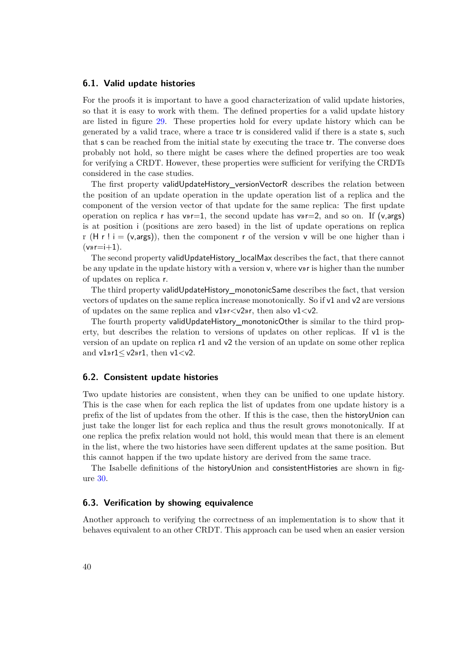#### <span id="page-47-0"></span>**6.1. Valid update histories**

For the proofs it is important to have a good characterization of valid update histories, so that it is easy to work with them. The defined properties for a valid update history are listed in figure [29.](#page-48-0) These properties hold for every update history which can be generated by a valid trace, where a trace tr is considered valid if there is a state s, such that s can be reached from the initial state by executing the trace tr. The converse does probably not hold, so there might be cases where the defined properties are too weak for verifying a CRDT. However, these properties were sufficient for verifying the CRDTs considered in the case studies.

The first property validUpdateHistory versionVectorR describes the relation between the position of an update operation in the update operation list of a replica and the component of the version vector of that update for the same replica: The first update operation on replica r has  $v \rightarrow r=1$ , the second update has  $v \rightarrow r=2$ , and so on. If (v,args) is at position i (positions are zero based) in the list of update operations on replica r (H r ! i = (v,args)), then the component r of the version v will be one higher than i  $(v)$ r=i+1).

The second property validUpdateHistory\_localMax describes the fact, that there cannot be any update in the update history with a version v, where v»r is higher than the number of updates on replica r.

The third property validUpdateHistory\_monotonicSame describes the fact, that version vectors of updates on the same replica increase monotonically. So if v1 and v2 are versions of updates on the same replica and  $v1w < v2w$ r, then also  $v1 < v2$ .

The fourth property validUpdateHistory\_monotonicOther is similar to the third property, but describes the relation to versions of updates on other replicas. If  $v1$  is the version of an update on replica r1 and v2 the version of an update on some other replica and  $v1$ » $r1$ < $v2$ » $r1$ , then  $v1$ < $v2$ .

#### **6.2. Consistent update histories**

Two update histories are consistent, when they can be unified to one update history. This is the case when for each replica the list of updates from one update history is a prefix of the list of updates from the other. If this is the case, then the historyUnion can just take the longer list for each replica and thus the result grows monotonically. If at one replica the prefix relation would not hold, this would mean that there is an element in the list, where the two histories have seen different updates at the same position. But this cannot happen if the two update history are derived from the same trace.

The Isabelle definitions of the historyUnion and consistentHistories are shown in figure [30.](#page-48-1)

#### **6.3. Verification by showing equivalence**

Another approach to verifying the correctness of an implementation is to show that it behaves equivalent to an other CRDT. This approach can be used when an easier version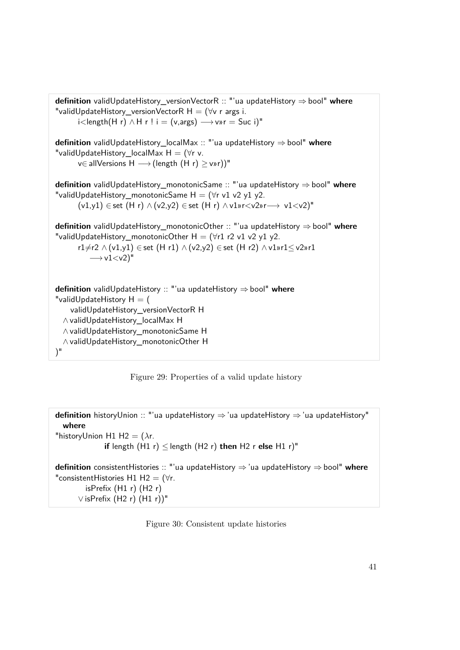```
definition validUpdateHistory_versionVectorR :: "'ua updateHistory ⇒bool" where
"validUpdateHistory_versionVectorR H = (\forall v \ r \text{ args } i.i < length(H r) \land H r ! i = (v, \text{args}) \rightarrow v \text{wr} = Suc i)"
definition validUpdateHistory_localMax :: "'ua updateHistory ⇒bool" where
"validUpdateHistory_localMax H = (\forall r \, v.v∈ allVersions H → (length (H r) ≥ v»r))"
definition validUpdateHistory_monotonicSame :: "'ua updateHistory ⇒bool" where
"validUpdateHistory_monotonicSame H = (\forall r \text{ v1 v2 y1 y2}).(v1,y1) \in set (H r) \wedge (v2,y2) \in set (H r) \wedge v1wr \langle v2w \rangle \rightarrow v1 \langle v2w \rangle"
definition validUpdateHistory_monotonicOther :: "'ua updateHistory ⇒bool" where
"validUpdateHistory_monotonicOther H = (\forall r1 r2 v1 v2 y1 y2.
      r1\neqr2 ∧ (v1,y1) ∈ set (H r1) ∧ (v2,y2) ∈ set (H r2) ∧ v1»r1 ≤ v2»r1
          \longrightarrow v1 \ltv2)"
definition validUpdateHistory :: "'ua updateHistory ⇒ bool" where
"validUpdateHistory H = (validUpdateHistory_versionVectorR H
  ∧ validUpdateHistory_localMax H
  ∧ validUpdateHistory_monotonicSame H
  ∧ validUpdateHistory_monotonicOther H
)"
```
Figure 29: Properties of a valid update history

<span id="page-48-1"></span>**definition** historyUnion :: "'ua updateHistory ⇒'ua updateHistory ⇒ 'ua updateHistory" **where** "historyUnion H1 H2 = (*λ*r. **if** length  $(H1 r) \leq$  length  $(H2 r)$  **then**  $H2 r$  **else**  $H1 r$ <sup>"</sup> **definition** consistentHistories :: "'ua updateHistory ⇒ 'ua updateHistory ⇒bool" **where** "consistentHistories H1 H2 =  $(\forall r.$ isPrefix  $(H1 r)$   $(H2 r)$ ∨ isPrefix (H2 r) (H1 r))"

Figure 30: Consistent update histories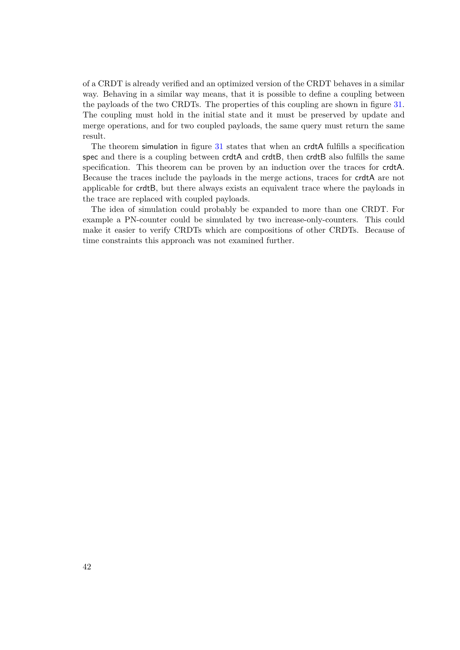of a CRDT is already verified and an optimized version of the CRDT behaves in a similar way. Behaving in a similar way means, that it is possible to define a coupling between the payloads of the two CRDTs. The properties of this coupling are shown in figure [31.](#page-50-0) The coupling must hold in the initial state and it must be preserved by update and merge operations, and for two coupled payloads, the same query must return the same result.

The theorem simulation in figure [31](#page-50-0) states that when an crdtA fulfills a specification spec and there is a coupling between crdtA and crdtB, then crdtB also fulfills the same specification. This theorem can be proven by an induction over the traces for crdtA. Because the traces include the payloads in the merge actions, traces for crdtA are not applicable for crdtB, but there always exists an equivalent trace where the payloads in the trace are replaced with coupled payloads.

The idea of simulation could probably be expanded to more than one CRDT. For example a PN-counter could be simulated by two increase-only-counters. This could make it easier to verify CRDTs which are compositions of other CRDTs. Because of time constraints this approach was not examined further.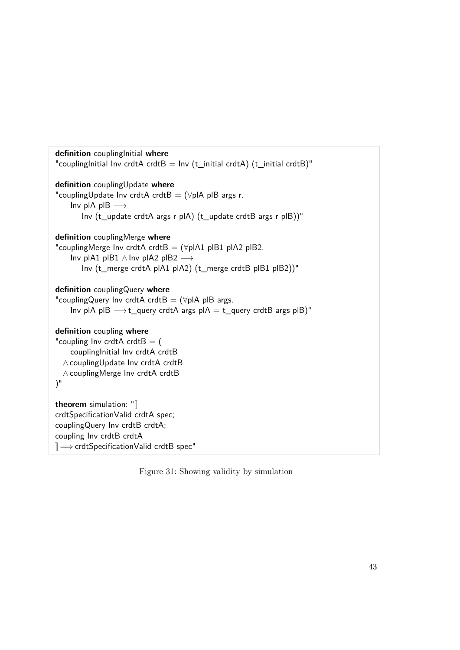<span id="page-50-0"></span>

| definition couplinglnitial where<br>"coupling Initial Inv crdtA crdtB = Inv (t_initial crdtA) (t_initial crdtB)"                                                                                                          |
|---------------------------------------------------------------------------------------------------------------------------------------------------------------------------------------------------------------------------|
| definition couplingUpdate where<br>"couplingUpdate Inv crdtA crdtB = $(\forall p   A p   B \text{ args } r$ .<br>Inv plA plB $\longrightarrow$<br>Inv (t_update crdtA args r plA) (t_update crdtB args r plB))"           |
| definition couplingMerge where<br>"couplingMerge Inv crdtA crdtB = $(\forall p$ IA1 pIB1 pIA2 pIB2.<br>Inv pIA1 pIB1 $\land$ Inv pIA2 pIB2 $\longrightarrow$<br>Inv (t_merge crdtA pIA1 pIA2) (t_merge crdtB pIB1 pIB2))" |
| definition couplingQuery where<br>"couplingQuery Inv crdtA crdtB = $(\forall p$ IA pIB args.<br>Inv pIA pIB $\longrightarrow$ t_query crdtA args pIA = t_query crdtB args pIB)"                                           |
| definition coupling where<br>"coupling Inv crdtA crdtB $=$ (<br>coupling Initial Inv crdtA crdtB<br>∧ couplingUpdate Inv crdtA crdtB<br>∧ couplingMerge Inv crdtA crdtB<br>$)^{n}$                                        |
| theorem simulation: $\mathbb{I}$<br>crdtSpecificationValid crdtA spec;<br>couplingQuery Inv crdtB crdtA;<br>coupling Inv crdtB crdtA<br>$\mathbb{I} \Longrightarrow$ crdtSpecificationValid crdtB spec"                   |

Figure 31: Showing validity by simulation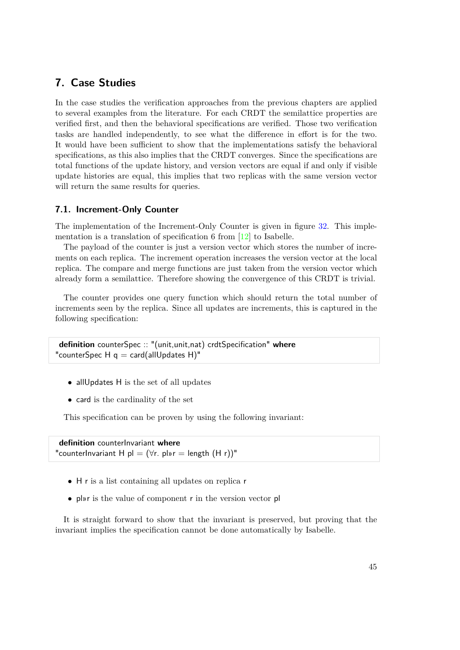# **7. Case Studies**

In the case studies the verification approaches from the previous chapters are applied to several examples from the literature. For each CRDT the semilattice properties are verified first, and then the behavioral specifications are verified. Those two verification tasks are handled independently, to see what the difference in effort is for the two. It would have been sufficient to show that the implementations satisfy the behavioral specifications, as this also implies that the CRDT converges. Since the specifications are total functions of the update history, and version vectors are equal if and only if visible update histories are equal, this implies that two replicas with the same version vector will return the same results for queries.

## **7.1. Increment-Only Counter**

The implementation of the Increment-Only Counter is given in figure [32.](#page-53-0) This implementation is a translation of specification 6 from [\[12\]](#page-84-0) to Isabelle.

The payload of the counter is just a version vector which stores the number of increments on each replica. The increment operation increases the version vector at the local replica. The compare and merge functions are just taken from the version vector which already form a semilattice. Therefore showing the convergence of this CRDT is trivial.

The counter provides one query function which should return the total number of increments seen by the replica. Since all updates are increments, this is captured in the following specification:

```
definition counterSpec :: "(unit,unit,nat) crdtSpecification" where
"counterSpec H q = \text{card}(\text{allUpdate H})"
```
- allUpdates H is the set of all updates
- card is the cardinality of the set

This specification can be proven by using the following invariant:

**definition** counterInvariant **where** "counterInvariant H pl =  $(\forall r. \text{ pl} \nu r = \text{length } (H r))$ "

- H r is a list containing all updates on replica r
- pl»r is the value of component r in the version vector pl

It is straight forward to show that the invariant is preserved, but proving that the invariant implies the specification cannot be done automatically by Isabelle.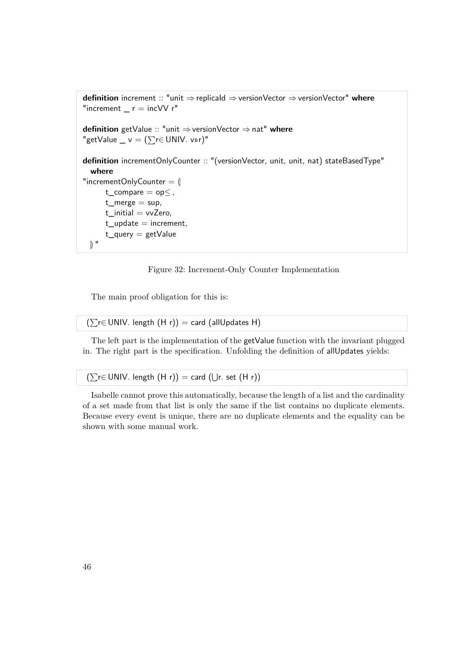```
definition increment :: "unit ⇒ replicaId ⇒versionVector ⇒versionVector" where
"increment r = incVV r"
definition getValue :: "unit ⇒ versionVector ⇒nat" where
"getValue _ v = (\sum_{r \in UNIV. vwr)^{n}}definition incrementOnlyCounter :: "(versionVector, unit, unit, nat) stateBasedType"
  where
"incrementOnlyCounter = \emptysett_compare = op \leq,
      t_merge = sup,
      t_initial = vvZero,
      t_update = increment,
      t_query = getValue
 \mathbb{R}^{\mathbb{N}}
```
Figure 32: Increment-Only Counter Implementation

The main proof obligation for this is:

 $(\sum_{r} \in UNIV.$  length  $(H r)) = card$  (allUpdates H)

The left part is the implementation of the getValue function with the invariant plugged in. The right part is the specification. Unfolding the definition of allUpdates yields:

 $(∑r∈ UNIV. length (H r)) = card (∪r. set (H r))$ 

Isabelle cannot prove this automatically, because the length of a list and the cardinality of a set made from that list is only the same if the list contains no duplicate elements. Because every event is unique, there are no duplicate elements and the equality can be shown with some manual work.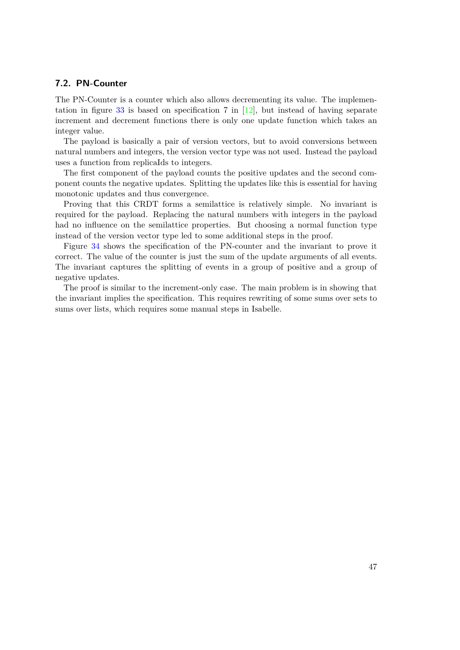## **7.2. PN-Counter**

The PN-Counter is a counter which also allows decrementing its value. The implemen-tation in figure [33](#page-55-0) is based on specification 7 in  $[12]$ , but instead of having separate increment and decrement functions there is only one update function which takes an integer value.

The payload is basically a pair of version vectors, but to avoid conversions between natural numbers and integers, the version vector type was not used. Instead the payload uses a function from replicaIds to integers.

The first component of the payload counts the positive updates and the second component counts the negative updates. Splitting the updates like this is essential for having monotonic updates and thus convergence.

Proving that this CRDT forms a semilattice is relatively simple. No invariant is required for the payload. Replacing the natural numbers with integers in the payload had no influence on the semilattice properties. But choosing a normal function type instead of the version vector type led to some additional steps in the proof.

Figure [34](#page-55-1) shows the specification of the PN-counter and the invariant to prove it correct. The value of the counter is just the sum of the update arguments of all events. The invariant captures the splitting of events in a group of positive and a group of negative updates.

The proof is similar to the increment-only case. The main problem is in showing that the invariant implies the specification. This requires rewriting of some sums over sets to sums over lists, which requires some manual steps in Isabelle.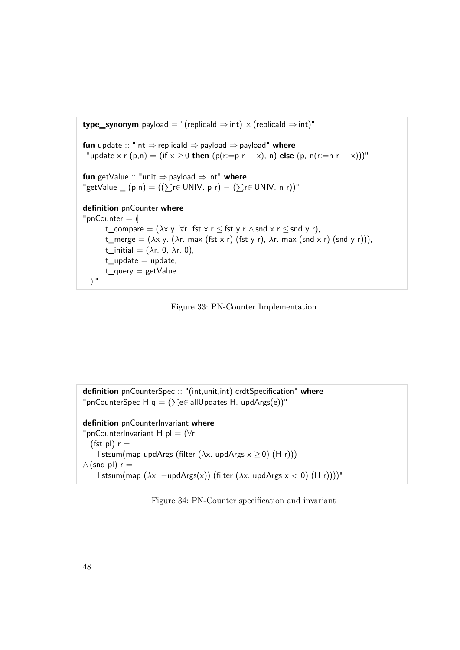<span id="page-55-0"></span>

Figure 33: PN-Counter Implementation

<span id="page-55-1"></span>**definition** pnCounterSpec :: "(int,unit,int) crdtSpecification" **where** "pnCounterSpec H q =  $(\sum e \in allU$ pdates H. updArgs(e))" **definition** pnCounterInvariant **where** "pnCounterInvariant H pl =  $(\forall r$ . (fst pl)  $r =$ listsum(map updArgs (filter (*λ*x. updArgs x ≥ 0) (H r)))  $\wedge$  (snd pl) r = listsum(map (*λ*x. −updArgs(x)) (filter (*λ*x. updArgs x < 0) (H r))))"

Figure 34: PN-Counter specification and invariant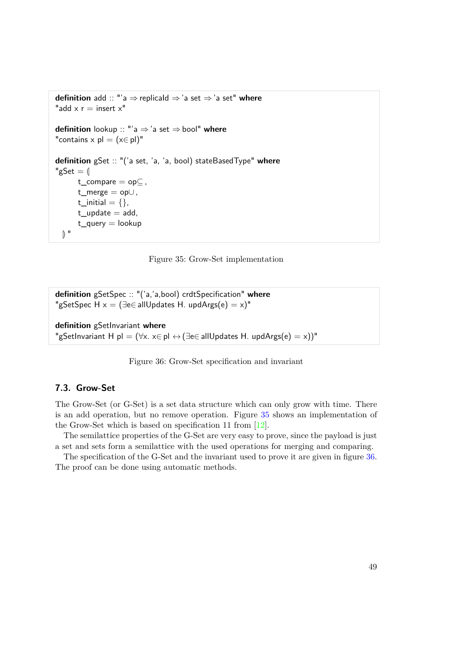```
definition add :: "'a ⇒replicaId ⇒'a set ⇒'a set" where
"add x r = insert x"
definition lookup :: "'a ⇒'a set ⇒bool" where
"contains x pl = (x \in p!)"
definition gSet :: "('a set, 'a, 'a, bool) stateBasedType" where
"gSet = \parallelt_compare = opC,
      t_merge = op∪ ,
      t_initial = \{\},\t_update = add,
      t_q =lookup
  \mathbb{R}^{\mathbb{N}}
```
Figure 35: Grow-Set implementation

```
definition gSetSpec :: "('a,'a,bool) crdtSpecification" where
"gSetSpec H x = (\exists e \in allUpdate H. updArgs(e) = x)"
```

```
definition gSetInvariant where
"gSetInvariant H pl = (\forall x. x \in p \land \rightarrow (\exists e \in allUpdate S H. updArgs(e) = x))"
```
Figure 36: Grow-Set specification and invariant

## **7.3. Grow-Set**

The Grow-Set (or G-Set) is a set data structure which can only grow with time. There is an add operation, but no remove operation. Figure [35](#page-56-0) shows an implementation of the Grow-Set which is based on specification 11 from [\[12\]](#page-84-0).

The semilattice properties of the G-Set are very easy to prove, since the payload is just a set and sets form a semilattice with the used operations for merging and comparing.

The specification of the G-Set and the invariant used to prove it are given in figure [36.](#page-56-1) The proof can be done using automatic methods.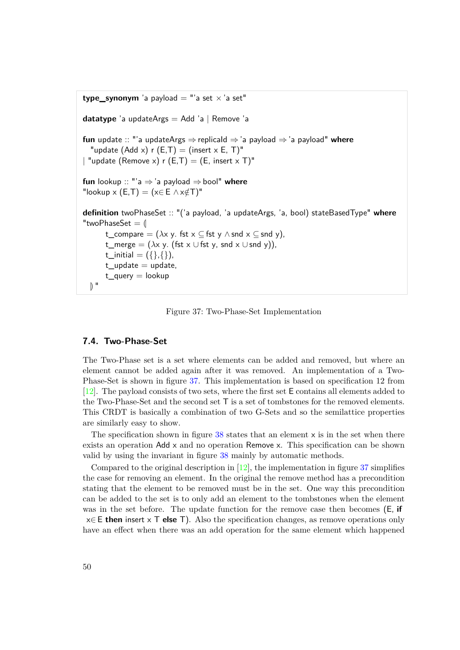```
type synonym 'a payload = "'a set \times 'a set"
datatype 'a updateArgs = Add 'a | Remove 'a
fun update :: "'a updateArgs ⇒replicaId ⇒'a payload ⇒'a payload" where
  "update (Add x) r (E,T) = (insert x E, T)"
| "update (Remove x) r (E,T) = (E, insert x T)"
fun lookup :: "'a ⇒'a payload ⇒bool" where
"lookup x (E,T) = (x \in E \wedge x \notin T)^{n}definition twoPhaseSet :: "('a payload, 'a updateArgs, 'a, bool) stateBasedType" where
"twoPhaseSet = \parallelt_compare = (\lambda x \vee y). fst x \subseteq fst y \wedge snd x \subseteq snd y),
       t_merge = (\lambda x y). (fst x ∪ fst y, snd x ∪ snd y)),
       t_initial = ({},\}}, \}},
       t_update = update,
       t_q = \text{lookup}\mathbb{R}^{\mathbb{N}}
```
Figure 37: Two-Phase-Set Implementation

### **7.4. Two-Phase-Set**

The Two-Phase set is a set where elements can be added and removed, but where an element cannot be added again after it was removed. An implementation of a Two-Phase-Set is shown in figure [37.](#page-57-0) This implementation is based on specification 12 from [\[12\]](#page-84-0). The payload consists of two sets, where the first set E contains all elements added to the Two-Phase-Set and the second set T is a set of tombstones for the removed elements. This CRDT is basically a combination of two G-Sets and so the semilattice properties are similarly easy to show.

The specification shown in figure  $38$  states that an element  $\times$  is in the set when there exists an operation Add x and no operation Remove x. This specification can be shown valid by using the invariant in figure [38](#page-58-0) mainly by automatic methods.

Compared to the original description in  $[12]$ , the implementation in figure [37](#page-57-0) simplifies the case for removing an element. In the original the remove method has a precondition stating that the element to be removed must be in the set. One way this precondition can be added to the set is to only add an element to the tombstones when the element was in the set before. The update function for the remove case then becomes (E, **if** x∈ E **then** insert x T **else** T). Also the specification changes, as remove operations only have an effect when there was an add operation for the same element which happened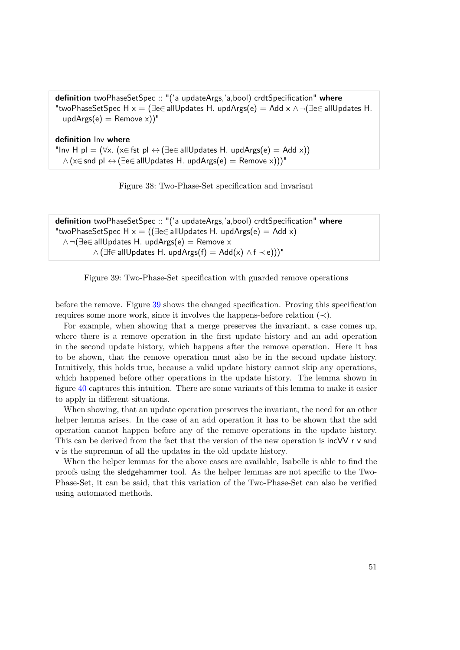<span id="page-58-0"></span>**definition** twoPhaseSetSpec :: "('a updateArgs,'a,bool) crdtSpecification" **where** "twoPhaseSetSpec H  $x = \exists e \in allUpdate$  H. updArgs $(e) = Add \times \land \neg \exists e \in allUpdate$  H.  $updArg(s) =$ Remove x))"

**definition** Inv **where** "Inv H pl =  $(\forall x. (x \in \text{fst } p) \leftrightarrow (\exists e \in allUpdate S H. updArgs(e) = Add x))$  $\wedge$  (x∈ snd pl  $\leftrightarrow$  ( $\exists$ e∈ allUpdates H. updArgs(e) = Remove x)))"



```
definition twoPhaseSetSpec :: "('a updateArgs,'a,bool) crdtSpecification" where
"twoPhaseSetSpec H x = ((\exists e \in allUpdate H. updArgs(e) = Add x))∧ ¬(∃e∈ allUpdates H. updArgs(e) = Remove x
           \wedge (∃f∈ allUpdates H. updArgs(f) = Add(x) \wedge f \prec e)))"
```
Figure 39: Two-Phase-Set specification with guarded remove operations

before the remove. Figure [39](#page-58-1) shows the changed specification. Proving this specification requires some more work, since it involves the happens-before relation  $(\prec)$ .

For example, when showing that a merge preserves the invariant, a case comes up, where there is a remove operation in the first update history and an add operation in the second update history, which happens after the remove operation. Here it has to be shown, that the remove operation must also be in the second update history. Intuitively, this holds true, because a valid update history cannot skip any operations, which happened before other operations in the update history. The lemma shown in figure [40](#page-59-0) captures this intuition. There are some variants of this lemma to make it easier to apply in different situations.

When showing, that an update operation preserves the invariant, the need for an other helper lemma arises. In the case of an add operation it has to be shown that the add operation cannot happen before any of the remove operations in the update history. This can be derived from the fact that the version of the new operation is incVV r v and v is the supremum of all the updates in the old update history.

When the helper lemmas for the above cases are available, Isabelle is able to find the proofs using the sledgehammer tool. As the helper lemmas are not specific to the Two-Phase-Set, it can be said, that this variation of the Two-Phase-Set can also be verified using automated methods.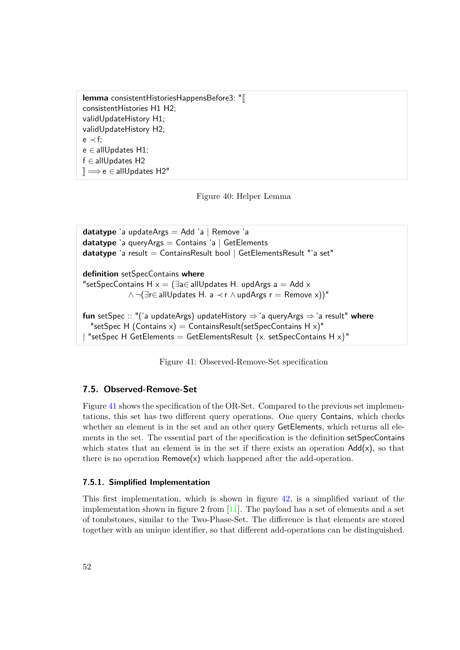<span id="page-59-0"></span>**lemma** consistentHistoriesHappensBefore3: " consistentHistories H1 H2; validUpdateHistory H1; validUpdateHistory H2; e ≺ f; e ∈ allUpdates H1; f ∈ allUpdates H2  $\mathbb{R} \Longrightarrow$ e ∈ allUpdates H2"

Figure 40: Helper Lemma

```
datatype 'a updateArgs = Add 'a | Remove 'a
datatype 'a queryArgs = Contains 'a | GetElements
datatype 'a result = ContainsResult bool | GetElementsResult "'a set"
definition setSpecContains where
"setSpecContains H x = \exists a \in aIIUpdates H. updArgs a = Add x
             \wedge \neg (\exists r \in allUpdate S H. a \prec r \wedge updArgs r = Remove x))"
fun setSpec :: "('a updateArgs) updateHistory ⇒'a queryArgs ⇒'a result" where
  "setSpec H (Contains x) = ContainsResult(setSpecContains H x)"
 "setSpec H GetElements = GetElementsResult \{x. \text{ setSpecContinuous H } x\}"
```
Figure 41: Observed-Remove-Set specification

## **7.5. Observed-Remove-Set**

Figure [41](#page-59-1) shows the specification of the OR-Set. Compared to the previous set implementations, this set has two different query operations. One query Contains, which checks whether an element is in the set and an other query GetElements, which returns all elements in the set. The essential part of the specification is the definition setSpecContains which states that an element is in the set if there exists an operation  $Add(x)$ , so that there is no operation  $Remove(x)$  which happened after the add-operation.

#### **7.5.1. Simplified Implementation**

This first implementation, which is shown in figure [42,](#page-61-0) is a simplified variant of the implementation shown in figure 2 from  $[11]$ . The payload has a set of elements and a set of tombstones, similar to the Two-Phase-Set. The difference is that elements are stored together with an unique identifier, so that different add-operations can be distinguished.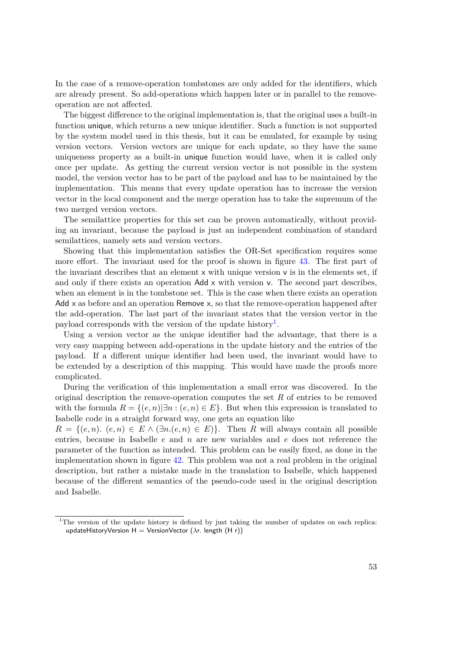In the case of a remove-operation tombstones are only added for the identifiers, which are already present. So add-operations which happen later or in parallel to the removeoperation are not affected.

The biggest difference to the original implementation is, that the original uses a built-in function unique, which returns a new unique identifier. Such a function is not supported by the system model used in this thesis, but it can be emulated, for example by using version vectors. Version vectors are unique for each update, so they have the same uniqueness property as a built-in unique function would have, when it is called only once per update. As getting the current version vector is not possible in the system model, the version vector has to be part of the payload and has to be maintained by the implementation. This means that every update operation has to increase the version vector in the local component and the merge operation has to take the supremum of the two merged version vectors.

The semilattice properties for this set can be proven automatically, without providing an invariant, because the payload is just an independent combination of standard semilattices, namely sets and version vectors.

Showing that this implementation satisfies the OR-Set specification requires some more effort. The invariant used for the proof is shown in figure [43.](#page-62-0) The first part of the invariant describes that an element  $x$  with unique version  $v$  is in the elements set, if and only if there exists an operation Add x with version v. The second part describes, when an element is in the tombstone set. This is the case when there exists an operation Add  $x$  as before and an operation Remove  $x$ , so that the remove-operation happened after the add-operation. The last part of the invariant states that the version vector in the payload corresponds with the version of the update history<sup>[1](#page-60-0)</sup>.

Using a version vector as the unique identifier had the advantage, that there is a very easy mapping between add-operations in the update history and the entries of the payload. If a different unique identifier had been used, the invariant would have to be extended by a description of this mapping. This would have made the proofs more complicated.

During the verification of this implementation a small error was discovered. In the original description the remove-operation computes the set *R* of entries to be removed with the formula  $R = \{(e, n) | \exists n : (e, n) \in E\}$ . But when this expression is translated to Isabelle code in a straight forward way, one gets an equation like

 $R = \{(e, n)$ .  $(e, n) \in E \land (\exists n \ldotp (e, n) \in E)\}$ . Then *R* will always contain all possible entries, because in Isabelle *e* and *n* are new variables and *e* does not reference the parameter of the function as intended. This problem can be easily fixed, as done in the implementation shown in figure [42.](#page-61-0) This problem was not a real problem in the original description, but rather a mistake made in the translation to Isabelle, which happened because of the different semantics of the pseudo-code used in the original description and Isabelle.

<span id="page-60-0"></span><sup>&</sup>lt;sup>1</sup>The version of the update history is defined by just taking the number of updates on each replica: updateHistoryVersion H = VersionVector (*λ*r. length (H r))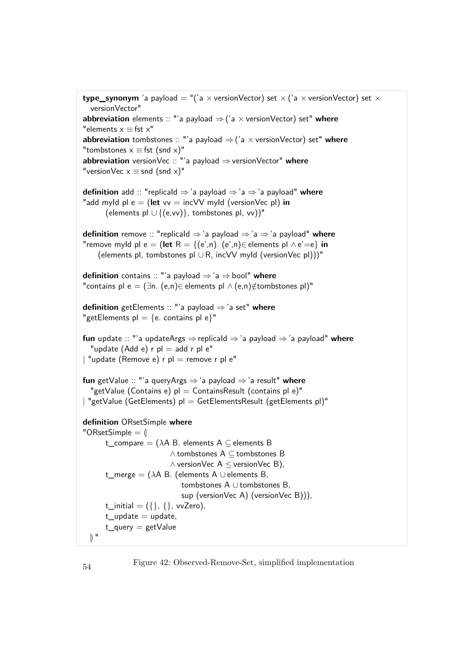```
type_synonym 'a payload = "('a \times versionVector) set \times ('a \times versionVector) set \timesversionVector"
abbreviation elements :: "'a payload ⇒('a × versionVector) set" where
"elements x \equiv fst x"
abbreviation tombstones :: "'a payload \Rightarrow ('a \times versionVector) set" where
"tombstones x \equiv fst (snd x)"
abbreviation versionVec :: "'a payload ⇒versionVector" where
"versionVec x \equiv snd (snd x)"
definition add :: "replicaId ⇒'a payload ⇒ 'a ⇒'a payload" where
"add myId p \mid e = (let \vee v = incVV \text{ myld} (versionVec p)) in
      (elements pl \cup {(e,vv)}, tombstones pl, vv))"
definition remove :: "replicaId ⇒ 'a payload ⇒'a ⇒ 'a payload" where
"remove myId pl e = (let R = {(e',n). (e',n)∈ elements pl \land e'=e} in
    (elements pl, tombstones pl ∪ R, incVV myId (versionVec pl)))"
definition contains :: "'a payload ⇒'a ⇒ bool" where
"contains pl e = (∃n. (e,n)∈ elements pl \wedge (e,n)∉tombstones pl)"
definition getElements :: "'a payload ⇒ 'a set" where
"getElements pl = \{e. contains pl e\}"
fun update :: "'a updateArgs ⇒replicaId ⇒'a payload ⇒'a payload" where
  "update (Add e) r pl = add r pl e"
| "update (Remove e) r pl = remove r pl e"
fun getValue :: "'a queryArgs ⇒'a payload ⇒'a result" where
  "getValue (Contains e) pl = ContainsResult (contains pl e)"
| "getValue (GetElements) pl = GetElementsResult (getElements pl)"
definition ORsetSimple where
"ORsetSimple = \langlet_compare = (λA B. elements A ⊆ elements B
                         ∧ tombstones A ⊆ tombstones B
                         ∧ versionVec A ≤ versionVec B),
      t_merge = (λA B. (elements A ∪ elements B,
                            tombstones A ∪ tombstones B,
                            sup (versionVec A) (versionVec B))),
      t_initial = ({}, , {}, vvZero),
      t_update = update,
      t_query = getValue
  \mathbb{R}^{\mathbb{N}}
```
Figure 42: Observed-Remove-Set, simplified implementation <sup>54</sup>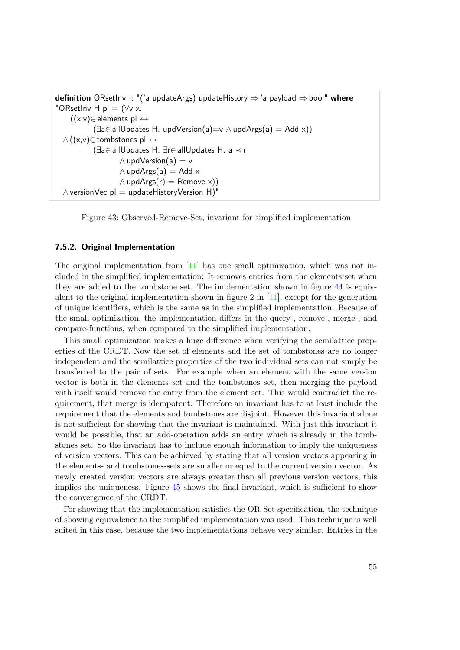```
definition ORsetInv :: "('a updateArgs) updateHistory ⇒'a payload ⇒bool" where
"ORsetInv H pl = (\forall v \times.
    ((x,v) \in elements pl \leftrightarrow(\exists a \in allUpdate H. updVersion(a)=v \wedge updArgs(a) = Add x))\wedge ((x,v)∈ tombstones pl \leftrightarrow(∃a∈ allUpdates H. ∃r∈ allUpdates H. a ≺ r
                     \wedge updVersion(a) = v
                     \wedge updArgs(a) = Add x
                     \wedge updArgs(r) = Remove x))
  \wedge versionVec pl = updateHistoryVersion H)"
```
Figure 43: Observed-Remove-Set, invariant for simplified implementation

#### **7.5.2. Original Implementation**

The original implementation from [\[11\]](#page-84-1) has one small optimization, which was not included in the simplified implementation: It removes entries from the elements set when they are added to the tombstone set. The implementation shown in figure [44](#page-64-0) is equivalent to the original implementation shown in figure 2 in  $[11]$ , except for the generation of unique identifiers, which is the same as in the simplified implementation. Because of the small optimization, the implementation differs in the query-, remove-, merge-, and compare-functions, when compared to the simplified implementation.

This small optimization makes a huge difference when verifying the semilattice properties of the CRDT. Now the set of elements and the set of tombstones are no longer independent and the semilattice properties of the two individual sets can not simply be transferred to the pair of sets. For example when an element with the same version vector is both in the elements set and the tombstones set, then merging the payload with itself would remove the entry from the element set. This would contradict the requirement, that merge is idempotent. Therefore an invariant has to at least include the requirement that the elements and tombstones are disjoint. However this invariant alone is not sufficient for showing that the invariant is maintained. With just this invariant it would be possible, that an add-operation adds an entry which is already in the tombstones set. So the invariant has to include enough information to imply the uniqueness of version vectors. This can be achieved by stating that all version vectors appearing in the elements- and tombstones-sets are smaller or equal to the current version vector. As newly created version vectors are always greater than all previous version vectors, this implies the uniqueness. Figure [45](#page-65-0) shows the final invariant, which is sufficient to show the convergence of the CRDT.

For showing that the implementation satisfies the OR-Set specification, the technique of showing equivalence to the simplified implementation was used. This technique is well suited in this case, because the two implementations behave very similar. Entries in the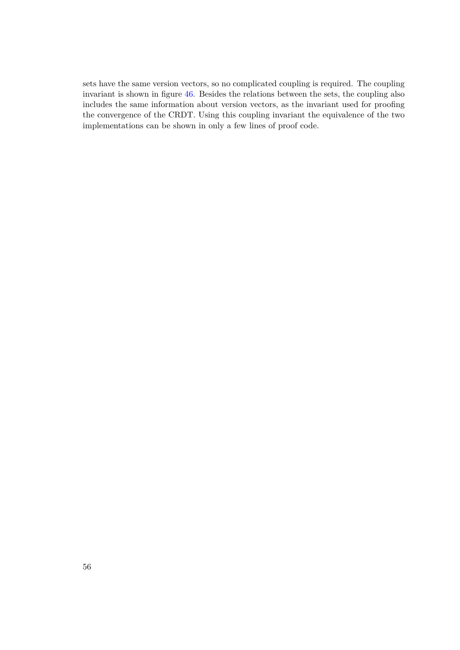sets have the same version vectors, so no complicated coupling is required. The coupling invariant is shown in figure [46.](#page-65-1) Besides the relations between the sets, the coupling also includes the same information about version vectors, as the invariant used for proofing the convergence of the CRDT. Using this coupling invariant the equivalence of the two implementations can be shown in only a few lines of proof code.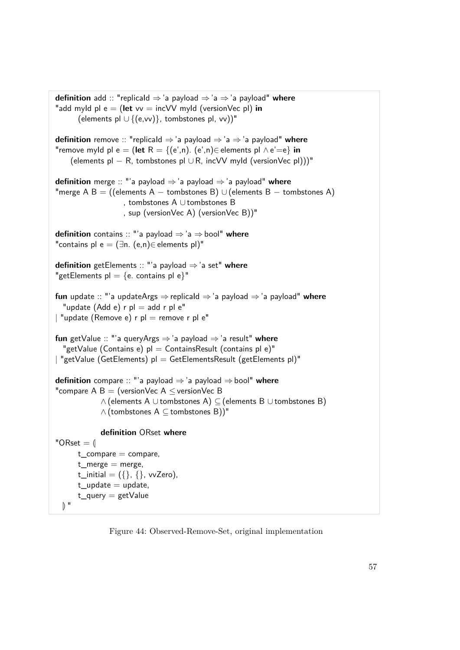```
definition add :: "replicaId ⇒'a payload ⇒'a ⇒'a payload" where
"add myld pl e = (let vv = incVV myld (versionVec pl) in
      (elements pl ∪ {(e,vv)}, tombstones pl, vv))"
definition remove :: "replicaId ⇒ 'a payload ⇒'a ⇒ 'a payload" where
"remove myId pl e = (let R = {(e',n). (e',n)∈ elements pl \land e'=e} in
    (elements pl − R, tombstones pl ∪ R, incVV myId (versionVec pl)))"
definition merge :: "'a payload ⇒ 'a payload ⇒'a payload" where
"merge A B = ((elements A – tombstones B) ∪ (elements B – tombstones A)
                   , tombstones A ∪ tombstones B
                   , sup (versionVec A) (versionVec B))"
definition contains :: "'a payload ⇒'a ⇒ bool" where
"contains pl e = (\exists n. (e, n) \in elements pl)"
definition getElements :: "'a payload ⇒ 'a set" where
"getElements pl = \{e. contains pl e\}"
fun update :: "'a updateArgs ⇒replicaId ⇒'a payload ⇒'a payload" where
  "update (Add e) r pl = add r pl e"
| "update (Remove e) r pl = remove r pl e"
fun getValue :: "'a queryArgs ⇒'a payload ⇒'a result" where
  "getValue (Contains e) \text{pl} = \text{Continuous} (contains pl e)"
| "getValue (GetElements) pl = GetElementsResult (getElements pl)"
definition compare :: "'a payload ⇒'a payload ⇒bool" where
"compare A B = (versionVec A \leq versionVec B
            ∧ (elements A ∪ tombstones A) ⊆ (elements B ∪ tombstones B)
            ∧ (tombstones A ⊆ tombstones B))"
            definition ORset where
"ORset = \emptysett compare = compare,t_merge = merge,
      t_initial = ({}, , {}, vvZero),
      t_update = update,
      t_query = getValue
 \mathbb{D}^{\mathbb{N}}
```
Figure 44: Observed-Remove-Set, original implementation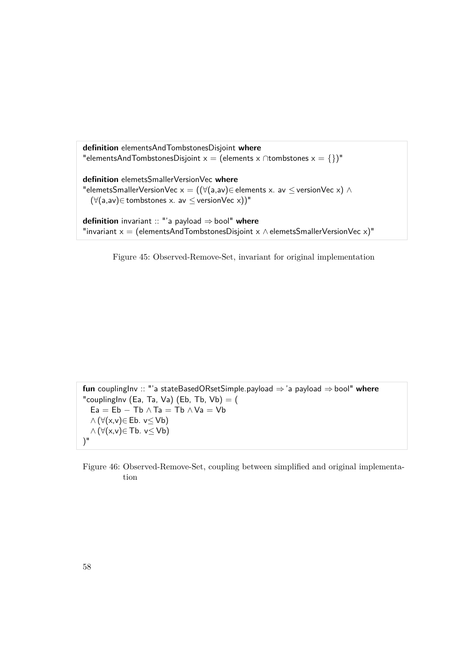<span id="page-65-0"></span>**definition** elementsAndTombstonesDisjoint **where** "elementsAndTombstonesDisjoint x = (elements x ∩tombstones x = {})" **definition** elemetsSmallerVersionVec **where** "elemetsSmallerVersionVec  $x = ((\forall(a, av) \in elements x. av \leq versionVec x) \land$  $(\forall (a, av) \in$  tombstones x. av  $\leq$  version Vec x))" **definition** invariant :: "'a payload ⇒bool" **where** "invariant  $x = (elementsAndTombstonesDisjoint \times \wedge elementsSmallerVersionVec \times)^"$ 

Figure 45: Observed-Remove-Set, invariant for original implementation

<span id="page-65-1"></span>**fun** couplingInv :: "'a stateBasedORsetSimple.payload ⇒'a payload ⇒bool" **where** "couplingInv (Ea, Ta, Va) (Eb, Tb, Vb)  $=$  ( Ea = Eb - Tb  $\wedge$  Ta = Tb  $\wedge$  Va = Vb  $\wedge (\forall (x, v) \in \mathsf{Eb}$ .  $v \leq \mathsf{Vb})$  $\land (\forall (x, v) \in \mathsf{Tb.} \ v \leq \mathsf{Vb})$ )"

Figure 46: Observed-Remove-Set, coupling between simplified and original implementation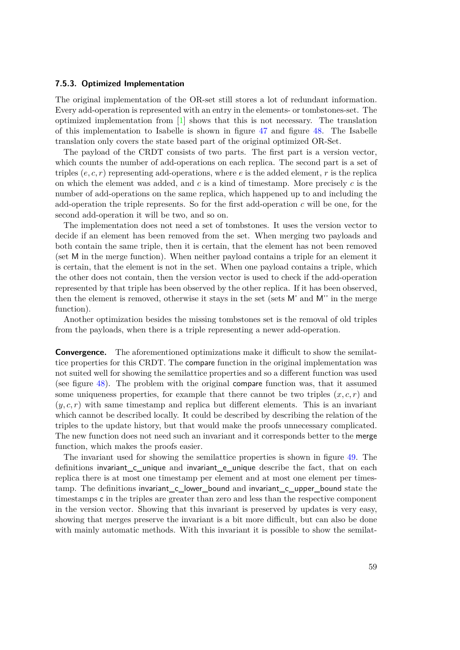#### **7.5.3. Optimized Implementation**

The original implementation of the OR-set still stores a lot of redundant information. Every add-operation is represented with an entry in the elements- or tombstones-set. The optimized implementation from [\[1\]](#page-84-2) shows that this is not necessary. The translation of this implementation to Isabelle is shown in figure [47](#page-67-0) and figure [48.](#page-68-0) The Isabelle translation only covers the state based part of the original optimized OR-Set.

The payload of the CRDT consists of two parts. The first part is a version vector, which counts the number of add-operations on each replica. The second part is a set of triples  $(e, c, r)$  representing add-operations, where  $e$  is the added element,  $r$  is the replica on which the element was added, and *c* is a kind of timestamp. More precisely *c* is the number of add-operations on the same replica, which happened up to and including the add-operation the triple represents. So for the first add-operation *c* will be one, for the second add-operation it will be two, and so on.

The implementation does not need a set of tombstones. It uses the version vector to decide if an element has been removed from the set. When merging two payloads and both contain the same triple, then it is certain, that the element has not been removed (set M in the merge function). When neither payload contains a triple for an element it is certain, that the element is not in the set. When one payload contains a triple, which the other does not contain, then the version vector is used to check if the add-operation represented by that triple has been observed by the other replica. If it has been observed, then the element is removed, otherwise it stays in the set (sets M' and M'' in the merge function).

Another optimization besides the missing tombstones set is the removal of old triples from the payloads, when there is a triple representing a newer add-operation.

**Convergence.** The aforementioned optimizations make it difficult to show the semilattice properties for this CRDT. The compare function in the original implementation was not suited well for showing the semilattice properties and so a different function was used (see figure [48\)](#page-68-0). The problem with the original compare function was, that it assumed some uniqueness properties, for example that there cannot be two triples  $(x, c, r)$  and  $(y, c, r)$  with same timestamp and replica but different elements. This is an invariant which cannot be described locally. It could be described by describing the relation of the triples to the update history, but that would make the proofs unnecessary complicated. The new function does not need such an invariant and it corresponds better to the merge function, which makes the proofs easier.

The invariant used for showing the semilattice properties is shown in figure [49.](#page-69-0) The definitions invariant c unique and invariant e unique describe the fact, that on each replica there is at most one timestamp per element and at most one element per timestamp. The definitions invariant\_c\_lower\_bound and invariant\_c\_upper\_bound state the timestamps c in the triples are greater than zero and less than the respective component in the version vector. Showing that this invariant is preserved by updates is very easy, showing that merges preserve the invariant is a bit more difficult, but can also be done with mainly automatic methods. With this invariant it is possible to show the semilat-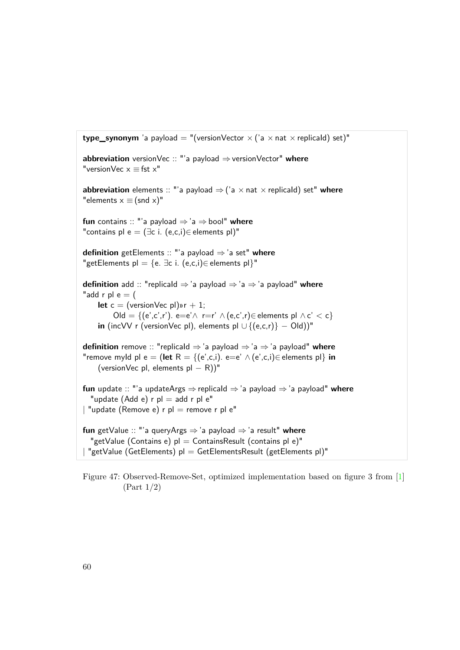```
type_synonym 'a payload = "(versionVector \times ('a \times nat \times replicald) set)"
abbreviation versionVec :: "'a payload ⇒versionVector" where
"versionVec x \equiv fst x"
abbreviation elements :: "'a payload \Rightarrow ('a \times nat \times replicald) set" where
"elements x \equiv (snd x)"fun contains :: "'a payload ⇒ 'a ⇒bool" where
"contains pl e = (\exists c \ i. (e,c,i) \in elements pl)"
definition getElements :: "'a payload ⇒ 'a set" where
"getElements pl = {e. \existsc i. (e,c,i)∈ elements pl}"
definition add :: "replicaId ⇒'a payload ⇒ 'a ⇒'a payload" where
"add r pl e = (let c = (versionVecpl)wr + 1;Old = {(e',c',r'). e=e'\land r=r' \land (e,c',r)∈ elements pl \land c' < c}
    in (incVV r (versionVec pl), elements pl \cup {(e,c,r)} − Old))"
definition remove :: "replicaId ⇒ 'a payload ⇒'a ⇒ 'a payload" where
"remove myId pl e = (let R = {(e',c,i). e=e' \wedge (e',c,i)\in elements pl} in
    (versionVec pl, elements pl - R)"
fun update :: "'a updateArgs ⇒replicaId ⇒'a payload ⇒'a payload" where
  "update (Add e) r pl = add r pl e"
| "update (Remove e) r pl = remove r pl e"
fun getValue :: "'a queryArgs ⇒'a payload ⇒'a result" where
  "getValue (Contains e) pl = ContainsResult (contains pl e)"
| "getValue (GetElements) pl = GetElementsResult (getElements pl)"
```
Figure 47: Observed-Remove-Set, optimized implementation based on figure 3 from [\[1\]](#page-84-2) (Part 1/2)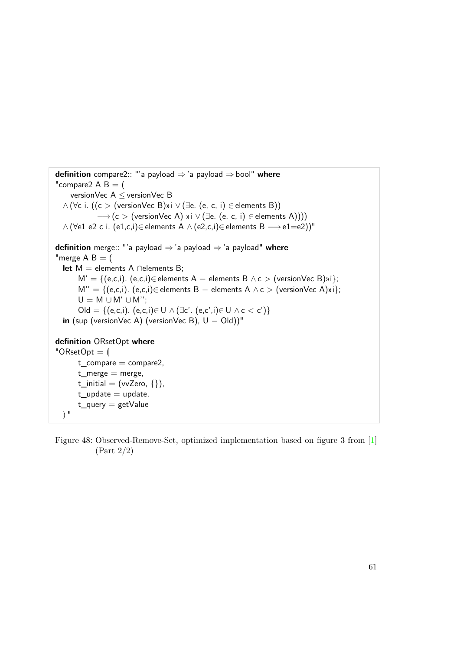```
definition compare2:: "'a payload ⇒'a payload ⇒bool" where
"compare2 A B = (versionVec A ≤ versionVec B
  \wedge (∀c i. ((c > (versionVec B)»i \vee (∃e. (e, c, i) ∈ elements B))
             \rightarrow (c > (versionVec A) »i \vee (∃e. (e, c, i) \in elements A))))
  \wedge (\foralle1 e2 c i. (e1,c,i)∈ elements A \wedge (e2,c,i)∈ elements B \longrightarrow e1=e2))"
definition merge:: "'a payload ⇒'a payload ⇒'a payload" where
"merge A \, B = (let M = elements A ∩elements B;
       M' = \{(e,c,i). (e,c,i) \in elements A – elements B \wedge c > (versionVec B)»i};
       M'' = \{(e,c,i). (e,c,i) \in elements B – elements A \wedge c > (versionVec A)»i};
       U = M \cup M' \cup M'';
       Old = \{(e,c,i). (e,c,i) \in U \land (\exists c'. (e,c',i) \in U \land c < c'\}in (sup (versionVec A) (versionVec B), U - Old))"
definition ORsetOpt where
"ORsetOpt = \emptysett_{\text{compare}} = \text{compare}t_merge = merge,
      t_initial = (vvZero, \{\}),
       t update = update,
       t_query = getValue
  \mathbb{R}
```
Figure 48: Observed-Remove-Set, optimized implementation based on figure 3 from [\[1\]](#page-84-2) (Part 2/2)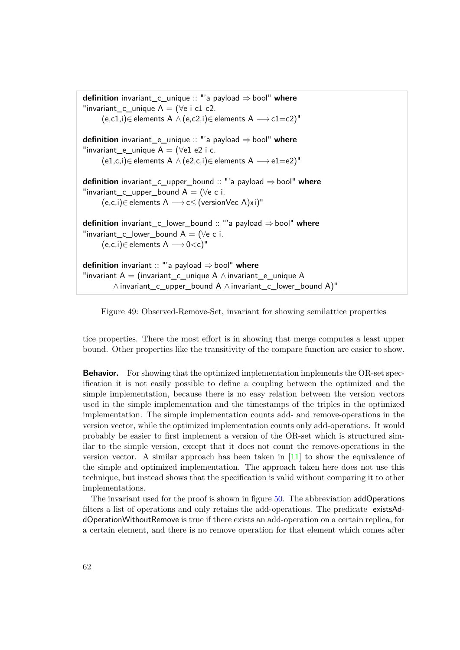<span id="page-69-0"></span>**definition** invariant\_c\_unique :: "'a payload ⇒bool" **where** "invariant\_c\_unique  $A = (\forall e \text{ i } c1 c2$ .  $(e, c1, i)$ ∈ elements A ∧  $(e, c2, i)$ ∈ elements A  $\longrightarrow$  c1=c2)" **definition** invariant\_e\_unique :: "'a payload ⇒bool" **where** "invariant e unique  $A = (\forall e1 e2 i c$ .  $(e1,c,i)$ ∈ elements A ∧  $(e2,c,i)$ ∈ elements A  $\longrightarrow$  e1=e2)" **definition** invariant\_c\_upper\_bound :: "'a payload ⇒bool" **where** "invariant c upper bound  $A = (\forall e \ c \ i.$  $(e, c, i) \in$  elements  $A \longrightarrow c \leq$  (version Vec A)»i)" **definition** invariant\_c\_lower\_bound :: "'a payload ⇒ bool" **where** "invariant c lower bound  $A = (\forall e \ c \ i.$  $(e,c,i) \in$  elements  $A \longrightarrow 0 \lt c$ <sup>"</sup> **definition** invariant :: "'a payload ⇒bool" **where** "invariant  $A = (invariant_c_{uniquel} A \wedge invariant_e_{uniquel} A)$ ∧ invariant\_c\_upper\_bound A ∧ invariant\_c\_lower\_bound A)"

Figure 49: Observed-Remove-Set, invariant for showing semilattice properties

tice properties. There the most effort is in showing that merge computes a least upper bound. Other properties like the transitivity of the compare function are easier to show.

**Behavior.** For showing that the optimized implementation implements the OR-set specification it is not easily possible to define a coupling between the optimized and the simple implementation, because there is no easy relation between the version vectors used in the simple implementation and the timestamps of the triples in the optimized implementation. The simple implementation counts add- and remove-operations in the version vector, while the optimized implementation counts only add-operations. It would probably be easier to first implement a version of the OR-set which is structured similar to the simple version, except that it does not count the remove-operations in the version vector. A similar approach has been taken in  $[11]$  to show the equivalence of the simple and optimized implementation. The approach taken here does not use this technique, but instead shows that the specification is valid without comparing it to other implementations.

The invariant used for the proof is shown in figure [50.](#page-71-0) The abbreviation addOperations filters a list of operations and only retains the add-operations. The predicate existsAddOperationWithoutRemove is true if there exists an add-operation on a certain replica, for a certain element, and there is no remove operation for that element which comes after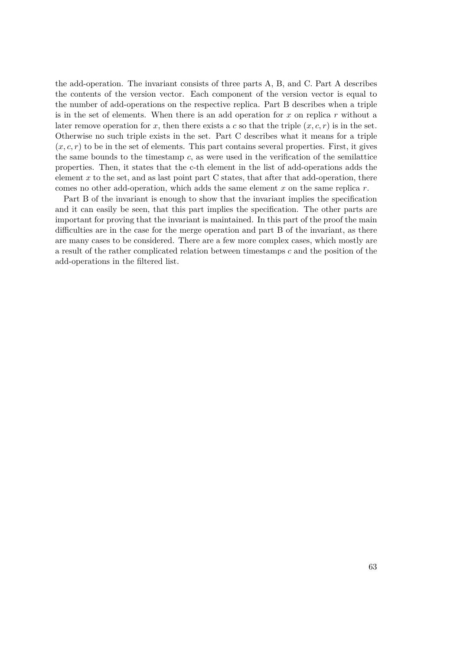the add-operation. The invariant consists of three parts A, B, and C. Part A describes the contents of the version vector. Each component of the version vector is equal to the number of add-operations on the respective replica. Part B describes when a triple is in the set of elements. When there is an add operation for *x* on replica *r* without a later remove operation for *x*, then there exists a *c* so that the triple  $(x, c, r)$  is in the set. Otherwise no such triple exists in the set. Part C describes what it means for a triple  $(x, c, r)$  to be in the set of elements. This part contains several properties. First, it gives the same bounds to the timestamp *c*, as were used in the verification of the semilattice properties. Then, it states that the c-th element in the list of add-operations adds the element x to the set, and as last point part C states, that after that add-operation, there comes no other add-operation, which adds the same element *x* on the same replica *r*.

Part B of the invariant is enough to show that the invariant implies the specification and it can easily be seen, that this part implies the specification. The other parts are important for proving that the invariant is maintained. In this part of the proof the main difficulties are in the case for the merge operation and part B of the invariant, as there are many cases to be considered. There are a few more complex cases, which mostly are a result of the rather complicated relation between timestamps *c* and the position of the add-operations in the filtered list.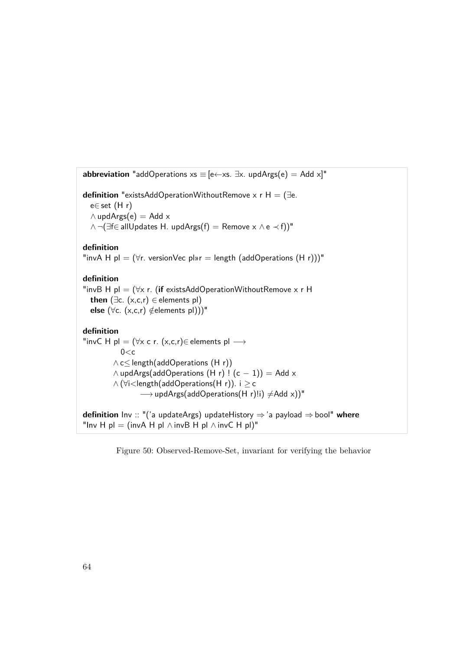<span id="page-71-0"></span>**abbreviation** "addOperations  $xs \equiv [e \leftarrow xs. \exists x. \text{ updArg}(e) = \text{Add } x]$ " **definition** "existsAddOperationWithoutRemove x r H = (∃e. e∈ set (H r)  $\wedge$  updArgs(e) = Add  $\times$  $\wedge \neg (\exists f \in allUpdate S H. updArgs(f) = Remove x \wedge e \prec f))$ " **definition** "invA H pl =  $(\forall r.$  versionVec pl»r = length (addOperations  $(H r))$ " **definition** "invB H pl = (∀x r. (**if** existsAddOperationWithoutRemove x r H **then** ( $\exists$ c. (x,c,r)  $\in$  elements pl) **else** (∀c. (x,c,r) ∉elements pl)))" **definition** "invC H pl = ( $\forall x \in r$ . (x,c,r)∈ elements pl  $\longrightarrow$  $0< c$ ∧ c≤ length(addOperations (H r))  $\wedge$  updArgs(addOperations (H r) ! (c - 1)) = Add x ∧ (∀i<length(addOperations(H r)). i ≥ c → updArgs(addOperations(H r)!i)  $\neq$ Add x))" **definition** Inv :: "('a updateArgs) updateHistory ⇒'a payload ⇒bool" **where** "Inv H pl = (invA H pl  $\land$  invB H pl  $\land$  invC H pl)"

Figure 50: Observed-Remove-Set, invariant for verifying the behavior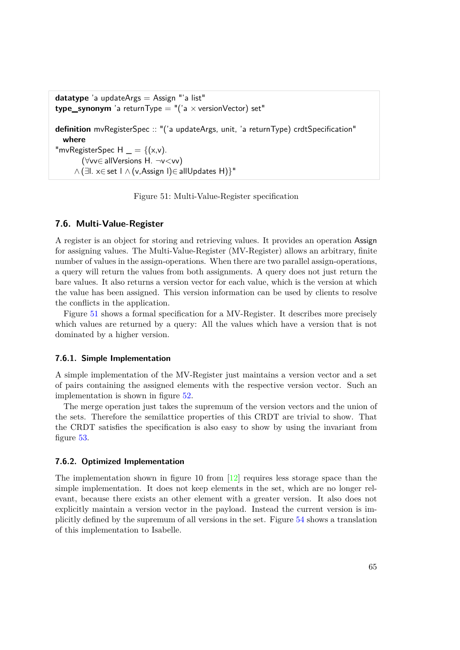```
datatype 'a updateArgs = Assign "'a list"
type_synonym 'a returnType = ''('a \times versionVector) set''definition mvRegisterSpec :: "('a updateArgs, unit, 'a returnType) crdtSpecification"
  where
"mvRegisterSpec H  = \{ (x,v) \}.
       (∀vv∈ allVersions H. ¬v<vv)
     ∧ (∃l. x∈ set l ∧ (v,Assign l)∈ allUpdates H)}"
```
Figure 51: Multi-Value-Register specification

#### **7.6. Multi-Value-Register**

A register is an object for storing and retrieving values. It provides an operation Assign for assigning values. The Multi-Value-Register (MV-Register) allows an arbitrary, finite number of values in the assign-operations. When there are two parallel assign-operations, a query will return the values from both assignments. A query does not just return the bare values. It also returns a version vector for each value, which is the version at which the value has been assigned. This version information can be used by clients to resolve the conflicts in the application.

Figure [51](#page-72-0) shows a formal specification for a MV-Register. It describes more precisely which values are returned by a query: All the values which have a version that is not dominated by a higher version.

#### **7.6.1. Simple Implementation**

A simple implementation of the MV-Register just maintains a version vector and a set of pairs containing the assigned elements with the respective version vector. Such an implementation is shown in figure [52.](#page-73-0)

The merge operation just takes the supremum of the version vectors and the union of the sets. Therefore the semilattice properties of this CRDT are trivial to show. That the CRDT satisfies the specification is also easy to show by using the invariant from figure [53.](#page-73-1)

#### **7.6.2. Optimized Implementation**

The implementation shown in figure 10 from  $[12]$  requires less storage space than the simple implementation. It does not keep elements in the set, which are no longer relevant, because there exists an other element with a greater version. It also does not explicitly maintain a version vector in the payload. Instead the current version is implicitly defined by the supremum of all versions in the set. Figure [54](#page-74-0) shows a translation of this implementation to Isabelle.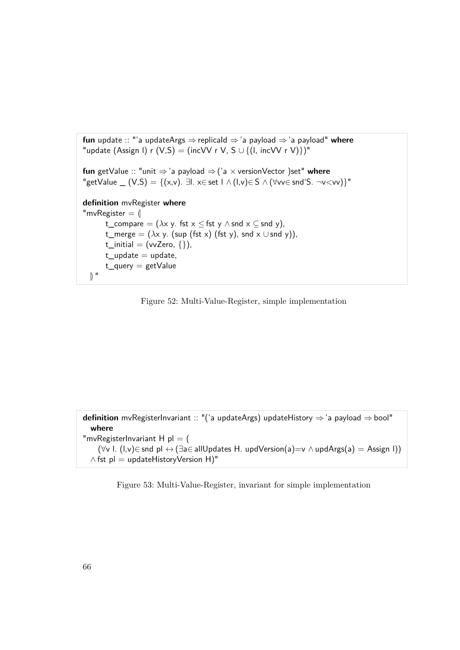<span id="page-73-0"></span>**fun** update :: "'a updateArgs ⇒replicaId ⇒'a payload ⇒'a payload" **where** "update (Assign I) r (V,S) = (incVV r V, S  $\cup$  {(I, incVV r V)})" **fun** getValue :: "unit ⇒'a payload ⇒('a × versionVector )set" **where** "getValue  $(V,S) = \{(x,v) \in \exists L \times \exists s \in L \land (L,v) \in S \land (\forall v \in s \land \exists s \in \neg v \leq v \lor w) \}$ " **definition** mvRegister **where** "mvRegister  $=$   $\parallel$ t\_compare =  $(\lambda x \vee y \cdot fst \times \leq fst \vee \wedge snd \times \subseteq snd \vee)$ , t\_merge =  $(\lambda x \, y. \, (\text{sup } (fst x) (fst y), \, \text{snd } x \cup \text{snd } y)),$ t\_initial  $=$  (vvZero,  $\{\}$ ),  $t$ \_update  $=$  update,  $t$ \_query = getValue  $\mathbb{D}$  "

Figure 52: Multi-Value-Register, simple implementation

<span id="page-73-1"></span>**definition** mvRegisterInvariant :: "('a updateArgs) updateHistory ⇒'a payload ⇒bool" **where** "mvRegisterInvariant  $H$  pl = ( ( $\forall v$  l. (l,v)∈ snd pl  $\leftrightarrow$  (∃a∈ allUpdates H. updVersion(a)=v  $\land$  updArgs(a) = Assign l)) ∧ fst pl = updateHistoryVersion H)"

Figure 53: Multi-Value-Register, invariant for simple implementation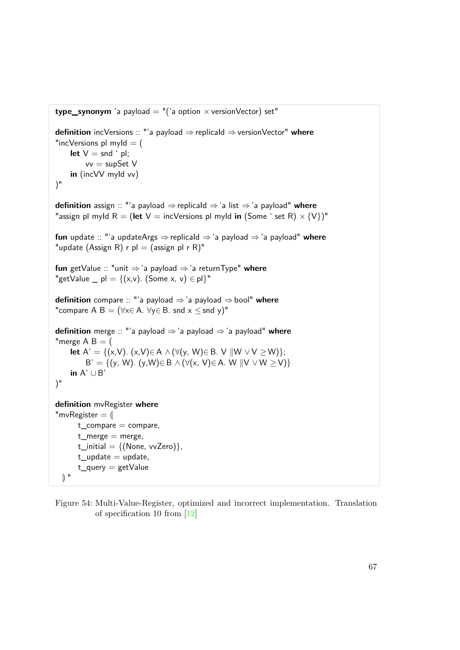```
type_synonym 'a payload = ''('a option \times versionVector) set"
definition incVersions :: "'a payload ⇒ replicaId ⇒versionVector" where
"incVersions pl myId = (
    let V = \text{snd} ' pl;
         vv = supSet Vin (incVV myId vv)
)"
definition assign :: "'a payload ⇒replicaId ⇒'a list ⇒'a payload" where
"assign pl myld R = (let V = incVersions pl myld in (Some ' set R) \times {V})"
fun update :: "'a updateArgs ⇒replicaId ⇒'a payload ⇒'a payload" where
"update (Assign R) r pl = (assign pl r R)"
fun getValue :: "unit ⇒'a payload ⇒'a returnType" where
"getValue _ pl = \{(x,v). (Some x, v) \in pl}"
definition compare :: "'a payload ⇒'a payload ⇒bool" where
"compare A B = (\forall x \in A. \forall y \in B. snd x \leq snd y)"
definition merge :: "'a payload ⇒ 'a payload ⇒'a payload" where
"merge A B = (let A' = {(x,V). (x,V)∈ A \wedge (\forall(y, W)∈ B. V \|W \vee V \ge W\};
         B' = \{(y, W) \mid (y, W) \in B \land (\forall (x, V) \in A \land W \parallel V \lor W \geq V)\}in A' ∪ B'
)"
definition mvRegister where
"mvRegister = \parallelt_{\text{1}}compare = compare,
      t_merge = merge,
      t_initial = \{(\text{None}, \text{vvZero})\},\t_update = update,
      t_query = getValue
  \mathbb{R}^{\mathbb{N}}
```
Figure 54: Multi-Value-Register, optimized and incorrect implementation. Translation of specification 10 from [\[12\]](#page-84-0)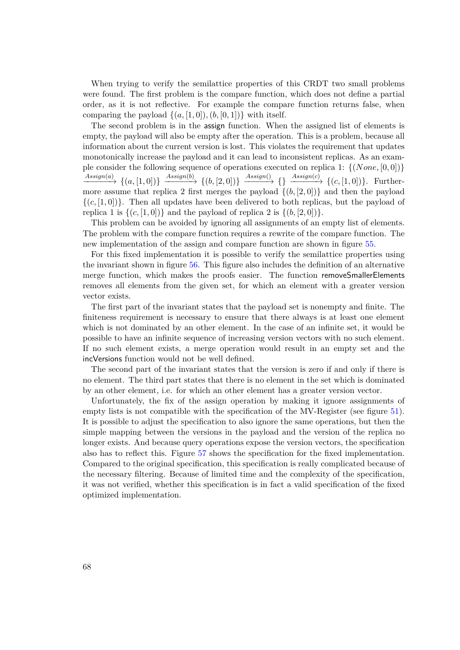When trying to verify the semilattice properties of this CRDT two small problems were found. The first problem is the compare function, which does not define a partial order, as it is not reflective. For example the compare function returns false, when comparing the payload  $\{(a, [1, 0]), (b, [0, 1])\}$  with itself.

The second problem is in the assign function. When the assigned list of elements is empty, the payload will also be empty after the operation. This is a problem, because all information about the current version is lost. This violates the requirement that updates monotonically increase the payload and it can lead to inconsistent replicas. As an example consider the following sequence of operations executed on replica 1: {(*None,* [0*,* 0])}  $\xrightarrow{Assign(a)} \{(a,[1,0])\} \xrightarrow{Assign(b)} \{(b,[2,0])\} \xrightarrow{Assign(0)} \{\} \xrightarrow{Assign(c)} \{(c,[1,0])\}.$  Furthermore assume that replica 2 first merges the payload  $\{(b, [2, 0])\}$  and then the payload  $\{(c, [1,0])\}$ . Then all updates have been delivered to both replicas, but the payload of replica 1 is  $\{(c, [1, 0])\}$  and the payload of replica 2 is  $\{(b, [2, 0])\}$ .

This problem can be avoided by ignoring all assignments of an empty list of elements. The problem with the compare function requires a rewrite of the compare function. The new implementation of the assign and compare function are shown in figure [55.](#page-76-0)

For this fixed implementation it is possible to verify the semilattice properties using the invariant shown in figure [56.](#page-76-1) This figure also includes the definition of an alternative merge function, which makes the proofs easier. The function removeSmallerElements removes all elements from the given set, for which an element with a greater version vector exists.

The first part of the invariant states that the payload set is nonempty and finite. The finiteness requirement is necessary to ensure that there always is at least one element which is not dominated by an other element. In the case of an infinite set, it would be possible to have an infinite sequence of increasing version vectors with no such element. If no such element exists, a merge operation would result in an empty set and the incVersions function would not be well defined.

The second part of the invariant states that the version is zero if and only if there is no element. The third part states that there is no element in the set which is dominated by an other element, i.e. for which an other element has a greater version vector.

Unfortunately, the fix of the assign operation by making it ignore assignments of empty lists is not compatible with the specification of the MV-Register (see figure [51\)](#page-72-0). It is possible to adjust the specification to also ignore the same operations, but then the simple mapping between the versions in the payload and the version of the replica no longer exists. And because query operations expose the version vectors, the specification also has to reflect this. Figure [57](#page-77-0) shows the specification for the fixed implementation. Compared to the original specification, this specification is really complicated because of the necessary filtering. Because of limited time and the complexity of the specification, it was not verified, whether this specification is in fact a valid specification of the fixed optimized implementation.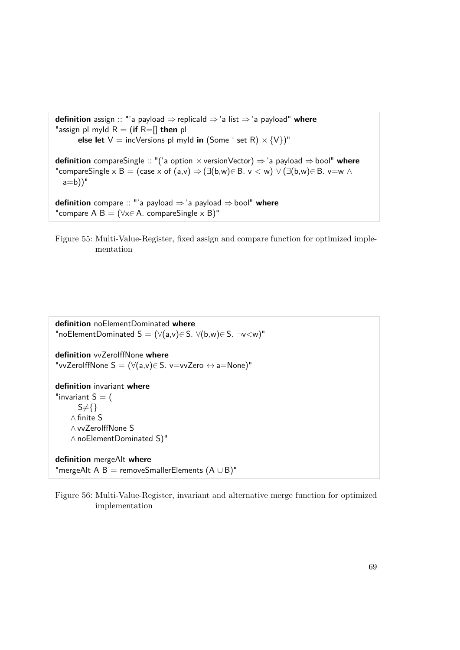<span id="page-76-0"></span>**definition** assign :: "'a payload ⇒replicaId ⇒'a list ⇒'a payload" **where** "assign pl myld  $R = ($ **if**  $R =$ [] **then** pl **else let**  $V =$  incVersions pl myld **in** (Some ' set R)  $\times$  {V})" **definition** compareSingle :: "('a option × versionVector) ⇒'a payload ⇒bool" **where** "compareSingle x B = (case x of (a,v)  $\Rightarrow$  ( $\exists$ (b,w) $\in$  B. v  $\lt$  w)  $\lor$  ( $\exists$ (b,w) $\in$  B. v=w  $\land$  $a=b)$ <sup>"</sup> **definition** compare :: "'a payload ⇒'a payload ⇒bool" **where** "compare A B =  $(\forall x \in A$ . compareSingle x B)"

Figure 55: Multi-Value-Register, fixed assign and compare function for optimized implementation

<span id="page-76-1"></span>**definition** noElementDominated **where** "noElementDominated  $S = (\forall (a,v) \in S. \forall (b,w) \in S. \neg v \lt w)$ " **definition** vvZeroIffNone **where** "vvZeroIffNone  $S = (\forall (a, v) \in S$ . v=vvZero  $\leftrightarrow$  a=None)" **definition** invariant **where** "invariant  $S = ($  $S \neq \{\}$ ∧ finite S ∧ vvZeroIffNone S ∧ noElementDominated S)" **definition** mergeAlt **where** "mergeAlt A B = removeSmallerElements (A ∪ B)"

Figure 56: Multi-Value-Register, invariant and alternative merge function for optimized implementation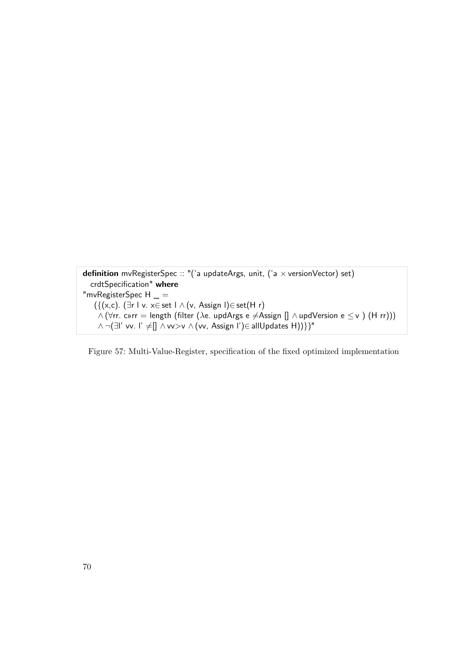```
definition mvRegisterSpec :: "('a updateArgs, unit, ('a × versionVector) set)
  crdtSpecification" where
"mvRegisterSpec H =({(x,c). (∃r l v. x∈ set l \land (v, Assign l)∈ set(H r)
    \wedge (∀rr. c»rr = length (filter (\lambdae. updArgs e ≠Assign [] \wedge updVersion e \leq v ) (H rr)))
    ∧ ¬(∃l' vv. l' ≠[] ∧ vv>v ∧ (vv, Assign l')∈ allUpdates H))})"
```
Figure 57: Multi-Value-Register, specification of the fixed optimized implementation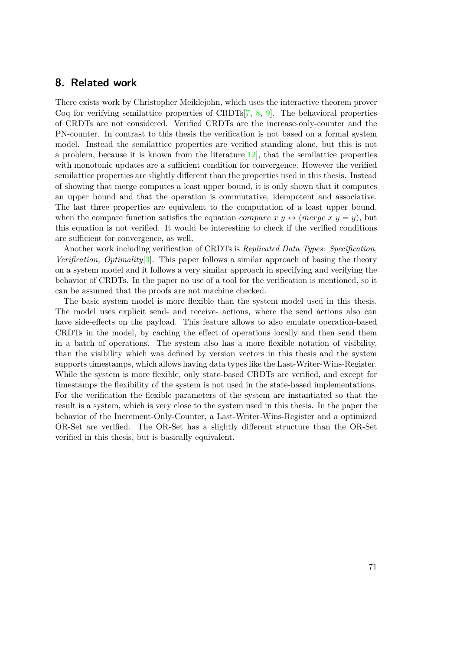## **8. Related work**

There exists work by Christopher Meiklejohn, which uses the interactive theorem prover Coq for verifying semilattice properties of CRDTs[\[7,](#page-84-1) [8,](#page-84-2) [9\]](#page-84-3). The behavioral properties of CRDTs are not considered. Verified CRDTs are the increase-only-counter and the PN-counter. In contrast to this thesis the verification is not based on a formal system model. Instead the semilattice properties are verified standing alone, but this is not a problem, because it is known from the literature  $[12]$ , that the semilattice properties with monotonic updates are a sufficient condition for convergence. However the verified semilattice properties are slightly different than the properties used in this thesis. Instead of showing that merge computes a least upper bound, it is only shown that it computes an upper bound and that the operation is commutative, idempotent and associative. The last three properties are equivalent to the computation of a least upper bound, when the compare function satisfies the equation *compare x y*  $\leftrightarrow$  (*merge x y = y*), but this equation is not verified. It would be interesting to check if the verified conditions are sufficient for convergence, as well.

Another work including verification of CRDTs is *Replicated Data Types: Specification, Verification, Optimality*[\[3\]](#page-84-4). This paper follows a similar approach of basing the theory on a system model and it follows a very similar approach in specifying and verifying the behavior of CRDTs. In the paper no use of a tool for the verification is mentioned, so it can be assumed that the proofs are not machine checked.

The basic system model is more flexible than the system model used in this thesis. The model uses explicit send- and receive- actions, where the send actions also can have side-effects on the payload. This feature allows to also emulate operation-based CRDTs in the model, by caching the effect of operations locally and then send them in a batch of operations. The system also has a more flexible notation of visibility, than the visibility which was defined by version vectors in this thesis and the system supports timestamps, which allows having data types like the Last-Writer-Wins-Register. While the system is more flexible, only state-based CRDTs are verified, and except for timestamps the flexibility of the system is not used in the state-based implementations. For the verification the flexible parameters of the system are instantiated so that the result is a system, which is very close to the system used in this thesis. In the paper the behavior of the Increment-Only-Counter, a Last-Writer-Wins-Register and a optimized OR-Set are verified. The OR-Set has a slightly different structure than the OR-Set verified in this thesis, but is basically equivalent.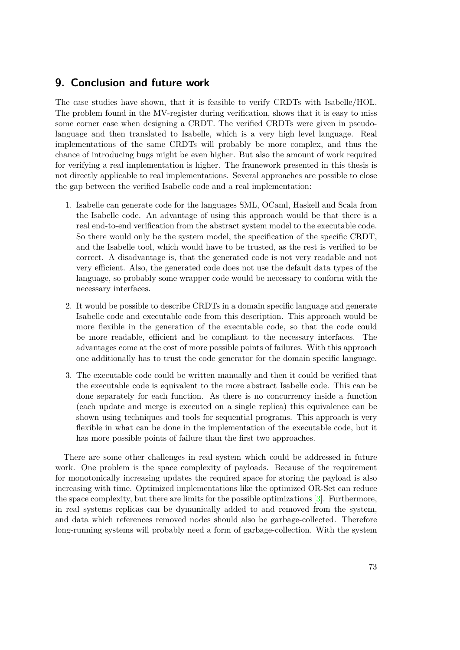## **9. Conclusion and future work**

The case studies have shown, that it is feasible to verify CRDTs with Isabelle/HOL. The problem found in the MV-register during verification, shows that it is easy to miss some corner case when designing a CRDT. The verified CRDTs were given in pseudolanguage and then translated to Isabelle, which is a very high level language. Real implementations of the same CRDTs will probably be more complex, and thus the chance of introducing bugs might be even higher. But also the amount of work required for verifying a real implementation is higher. The framework presented in this thesis is not directly applicable to real implementations. Several approaches are possible to close the gap between the verified Isabelle code and a real implementation:

- 1. Isabelle can generate code for the languages SML, OCaml, Haskell and Scala from the Isabelle code. An advantage of using this approach would be that there is a real end-to-end verification from the abstract system model to the executable code. So there would only be the system model, the specification of the specific CRDT, and the Isabelle tool, which would have to be trusted, as the rest is verified to be correct. A disadvantage is, that the generated code is not very readable and not very efficient. Also, the generated code does not use the default data types of the language, so probably some wrapper code would be necessary to conform with the necessary interfaces.
- 2. It would be possible to describe CRDTs in a domain specific language and generate Isabelle code and executable code from this description. This approach would be more flexible in the generation of the executable code, so that the code could be more readable, efficient and be compliant to the necessary interfaces. The advantages come at the cost of more possible points of failures. With this approach one additionally has to trust the code generator for the domain specific language.
- 3. The executable code could be written manually and then it could be verified that the executable code is equivalent to the more abstract Isabelle code. This can be done separately for each function. As there is no concurrency inside a function (each update and merge is executed on a single replica) this equivalence can be shown using techniques and tools for sequential programs. This approach is very flexible in what can be done in the implementation of the executable code, but it has more possible points of failure than the first two approaches.

There are some other challenges in real system which could be addressed in future work. One problem is the space complexity of payloads. Because of the requirement for monotonically increasing updates the required space for storing the payload is also increasing with time. Optimized implementations like the optimized OR-Set can reduce the space complexity, but there are limits for the possible optimizations [\[3\]](#page-84-4). Furthermore, in real systems replicas can be dynamically added to and removed from the system, and data which references removed nodes should also be garbage-collected. Therefore long-running systems will probably need a form of garbage-collection. With the system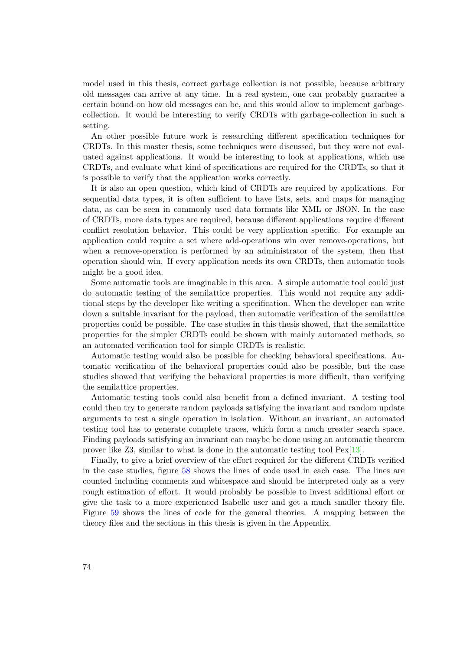model used in this thesis, correct garbage collection is not possible, because arbitrary old messages can arrive at any time. In a real system, one can probably guarantee a certain bound on how old messages can be, and this would allow to implement garbagecollection. It would be interesting to verify CRDTs with garbage-collection in such a setting.

An other possible future work is researching different specification techniques for CRDTs. In this master thesis, some techniques were discussed, but they were not evaluated against applications. It would be interesting to look at applications, which use CRDTs, and evaluate what kind of specifications are required for the CRDTs, so that it is possible to verify that the application works correctly.

It is also an open question, which kind of CRDTs are required by applications. For sequential data types, it is often sufficient to have lists, sets, and maps for managing data, as can be seen in commonly used data formats like XML or JSON. In the case of CRDTs, more data types are required, because different applications require different conflict resolution behavior. This could be very application specific. For example an application could require a set where add-operations win over remove-operations, but when a remove-operation is performed by an administrator of the system, then that operation should win. If every application needs its own CRDTs, then automatic tools might be a good idea.

Some automatic tools are imaginable in this area. A simple automatic tool could just do automatic testing of the semilattice properties. This would not require any additional steps by the developer like writing a specification. When the developer can write down a suitable invariant for the payload, then automatic verification of the semilattice properties could be possible. The case studies in this thesis showed, that the semilattice properties for the simpler CRDTs could be shown with mainly automated methods, so an automated verification tool for simple CRDTs is realistic.

Automatic testing would also be possible for checking behavioral specifications. Automatic verification of the behavioral properties could also be possible, but the case studies showed that verifying the behavioral properties is more difficult, than verifying the semilattice properties.

Automatic testing tools could also benefit from a defined invariant. A testing tool could then try to generate random payloads satisfying the invariant and random update arguments to test a single operation in isolation. Without an invariant, an automated testing tool has to generate complete traces, which form a much greater search space. Finding payloads satisfying an invariant can maybe be done using an automatic theorem prover like Z3, similar to what is done in the automatic testing tool Pex[\[13\]](#page-84-5).

Finally, to give a brief overview of the effort required for the different CRDTs verified in the case studies, figure [58](#page-82-0) shows the lines of code used in each case. The lines are counted including comments and whitespace and should be interpreted only as a very rough estimation of effort. It would probably be possible to invest additional effort or give the task to a more experienced Isabelle user and get a much smaller theory file. Figure [59](#page-82-1) shows the lines of code for the general theories. A mapping between the theory files and the sections in this thesis is given in the Appendix.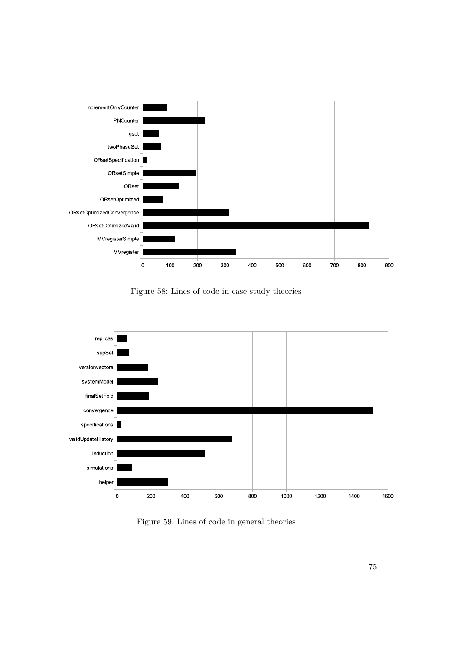<span id="page-82-0"></span>

Figure 58: Lines of code in case study theories

<span id="page-82-1"></span>

Figure 59: Lines of code in general theories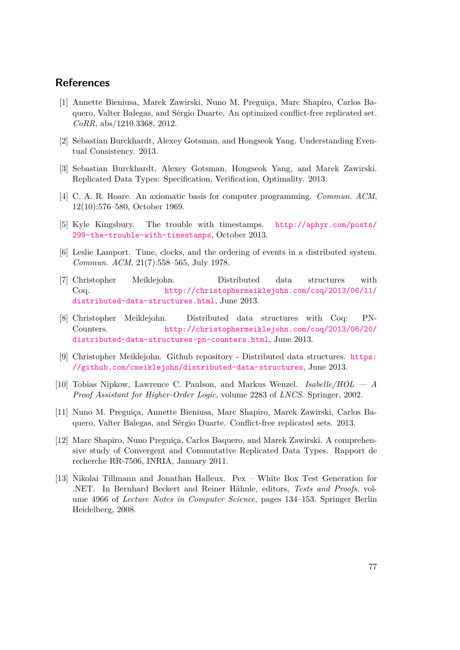### **References**

- [1] Annette Bieniusa, Marek Zawirski, Nuno M. Preguiça, Marc Shapiro, Carlos Baquero, Valter Balegas, and Sérgio Duarte. An optimized conflict-free replicated set. *CoRR*, abs/1210.3368, 2012.
- [2] Sebastian Burckhardt, Alexey Gotsman, and Hongseok Yang. Understanding Eventual Consistency. 2013.
- <span id="page-84-4"></span>[3] Sebastian Burckhardt, Alexey Gotsman, Hongseok Yang, and Marek Zawirski. Replicated Data Types: Specification, Verification, Optimality. 2013.
- [4] C. A. R. Hoare. An axiomatic basis for computer programming. *Commun. ACM*, 12(10):576–580, October 1969.
- [5] Kyle Kingsbury. The trouble with timestamps. [http://aphyr.com/posts/](http://aphyr.com/posts/299-the-trouble-with-timestamps) [299-the-trouble-with-timestamps](http://aphyr.com/posts/299-the-trouble-with-timestamps), October 2013.
- [6] Leslie Lamport. Time, clocks, and the ordering of events in a distributed system. *Commun. ACM*, 21(7):558–565, July 1978.
- <span id="page-84-1"></span>[7] Christopher Meiklejohn. Distributed data structures with Coq. [http://christophermeiklejohn.com/coq/2013/06/11/](http://christophermeiklejohn.com/coq/2013/06/11/distributed-data-structures.html) [distributed-data-structures.html](http://christophermeiklejohn.com/coq/2013/06/11/distributed-data-structures.html), June 2013.
- <span id="page-84-2"></span>[8] Christopher Meiklejohn. Distributed data structures with Coq: PN-Counters. [http://christophermeiklejohn.com/coq/2013/06/20/](http://christophermeiklejohn.com/coq/2013/06/20/distributed-data-structures-pn-counters.html) [distributed-data-structures-pn-counters.html](http://christophermeiklejohn.com/coq/2013/06/20/distributed-data-structures-pn-counters.html), June 2013.
- <span id="page-84-3"></span>[9] Christopher Meiklejohn. Github repository - Distributed data structures. [https:](https://github.com/cmeiklejohn/distributed-data-structures) [//github.com/cmeiklejohn/distributed-data-structures](https://github.com/cmeiklejohn/distributed-data-structures), June 2013.
- [10] Tobias Nipkow, Lawrence C. Paulson, and Markus Wenzel. *Isabelle/HOL A Proof Assistant for Higher-Order Logic*, volume 2283 of *LNCS*. Springer, 2002.
- [11] Nuno M. Preguiça, Annette Bieniusa, Marc Shapiro, Marek Zawirski, Carlos Baquero, Valter Balegas, and Sérgio Duarte. Conflict-free replicated sets. 2013.
- <span id="page-84-0"></span>[12] Marc Shapiro, Nuno Preguiça, Carlos Baquero, and Marek Zawirski. A comprehensive study of Convergent and Commutative Replicated Data Types. Rapport de recherche RR-7506, INRIA, January 2011.
- <span id="page-84-5"></span>[13] Nikolai Tillmann and Jonathan Halleux. Pex – White Box Test Generation for .NET. In Bernhard Beckert and Reiner Hähnle, editors, *Tests and Proofs*, volume 4966 of *Lecture Notes in Computer Science*, pages 134–153. Springer Berlin Heidelberg, 2008.